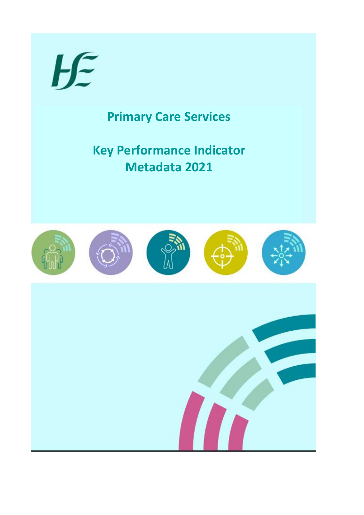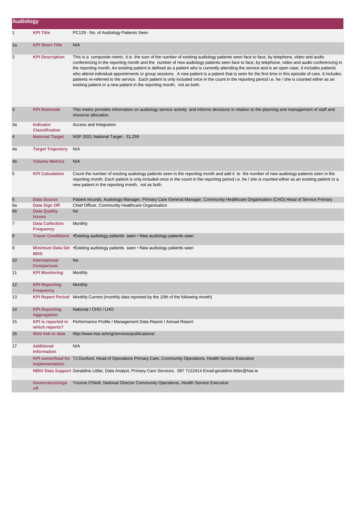| <b>Audiology</b>     |                                             |                                                                                                                                                                                                                                                                                                                                                                                                                                                                                                                                                                                                                                                                                                                                                                                                                                        |
|----------------------|---------------------------------------------|----------------------------------------------------------------------------------------------------------------------------------------------------------------------------------------------------------------------------------------------------------------------------------------------------------------------------------------------------------------------------------------------------------------------------------------------------------------------------------------------------------------------------------------------------------------------------------------------------------------------------------------------------------------------------------------------------------------------------------------------------------------------------------------------------------------------------------------|
| $\mathbf{1}$         | <b>KPI Title</b>                            | PC129 - No. of Audiology Patients Seen                                                                                                                                                                                                                                                                                                                                                                                                                                                                                                                                                                                                                                                                                                                                                                                                 |
| 1a                   | <b>KPI Short Title</b>                      | N/A                                                                                                                                                                                                                                                                                                                                                                                                                                                                                                                                                                                                                                                                                                                                                                                                                                    |
| 2                    | <b>KPI Description</b>                      | This is a composite metric. It is the sum of the number of existing audiology patients seen face to face, by telephone, video and audio<br>conferencing in the reporting month and the number of new audiology patients seen face to face, by telephone, video and audio conferencing in<br>the reporting month. An existing patient is defined as a patient who is currently attending the service and is an open case. It includes patients<br>who attend individual appointments or group sessions. A new patient is a patient that is seen for the first time in this episode of care. It includes<br>patients re-referred to the service. Each patient is only included once in the count in the reporting period i.e. he / she is counted either as an<br>existing patient or a new patient in the reporting month, not as both. |
| 3                    | <b>KPI Rationale</b>                        | This metric provides information on audiology service activity and informs decisions in relation to the planning and management of staff and<br>resource allocation.                                                                                                                                                                                                                                                                                                                                                                                                                                                                                                                                                                                                                                                                   |
| За                   | <b>Indicator</b><br><b>Classification</b>   | Access and Integration                                                                                                                                                                                                                                                                                                                                                                                                                                                                                                                                                                                                                                                                                                                                                                                                                 |
| 4                    | <b>National Target</b>                      | NSP 2021 National Target - 31,259                                                                                                                                                                                                                                                                                                                                                                                                                                                                                                                                                                                                                                                                                                                                                                                                      |
| 4a                   | <b>Target Trajectory</b>                    | N/A                                                                                                                                                                                                                                                                                                                                                                                                                                                                                                                                                                                                                                                                                                                                                                                                                                    |
| 4b                   | <b>Volume Metrics</b>                       | N/A                                                                                                                                                                                                                                                                                                                                                                                                                                                                                                                                                                                                                                                                                                                                                                                                                                    |
| 5                    | <b>KPI Calculation</b>                      | Count the number of existing audiology patients seen in the reporting month and add it to the number of new audiology patients seen in the<br>reporting month. Each patient is only included once in the count in the reporting period i.e. he / she is counted either as an existing patient or a<br>new patient in the reporting month, not as both.                                                                                                                                                                                                                                                                                                                                                                                                                                                                                 |
| 6                    | <b>Data Source</b>                          | Patient records, Audiology Manager, Primary Care General Manager, Community Healthcare Organisation (CHO) Head of Service Primary                                                                                                                                                                                                                                                                                                                                                                                                                                                                                                                                                                                                                                                                                                      |
| 6a<br>6 <sub>b</sub> | Data Sign Off<br><b>Data Quality</b>        | Chief Officer, Community Healthcare Organisation<br><b>No</b>                                                                                                                                                                                                                                                                                                                                                                                                                                                                                                                                                                                                                                                                                                                                                                          |
|                      | <b>Issues</b>                               |                                                                                                                                                                                                                                                                                                                                                                                                                                                                                                                                                                                                                                                                                                                                                                                                                                        |
| 7                    | <b>Data Collection</b><br><b>Frequency</b>  | Monthly                                                                                                                                                                                                                                                                                                                                                                                                                                                                                                                                                                                                                                                                                                                                                                                                                                |
| 8                    | <b>Tracer Conditions</b>                    | • Existing audiology patients seen • New audiology patients seen                                                                                                                                                                                                                                                                                                                                                                                                                                                                                                                                                                                                                                                                                                                                                                       |
| 9                    | <b>MDS</b>                                  | Minimum Data Set • Existing audiology patients seen • New audiology patients seen                                                                                                                                                                                                                                                                                                                                                                                                                                                                                                                                                                                                                                                                                                                                                      |
| 10                   | <b>International</b><br><b>Comparison</b>   | <b>No</b>                                                                                                                                                                                                                                                                                                                                                                                                                                                                                                                                                                                                                                                                                                                                                                                                                              |
| 11                   | <b>KPI Monitoring</b>                       | Monthly                                                                                                                                                                                                                                                                                                                                                                                                                                                                                                                                                                                                                                                                                                                                                                                                                                |
| 12                   | <b>KPI Reporting</b><br><b>Frequency</b>    | Monthly                                                                                                                                                                                                                                                                                                                                                                                                                                                                                                                                                                                                                                                                                                                                                                                                                                |
| 13                   |                                             | KPI Report Period Monthly Current (monthly data reported by the 10th of the following month)                                                                                                                                                                                                                                                                                                                                                                                                                                                                                                                                                                                                                                                                                                                                           |
| 14                   | <b>KPI Reporting</b><br><b>Aggregation</b>  | National / CHO / LHO                                                                                                                                                                                                                                                                                                                                                                                                                                                                                                                                                                                                                                                                                                                                                                                                                   |
| 15                   | <b>KPI</b> is reported in<br>which reports? | Performance Profile / Management Data Report / Annual Report                                                                                                                                                                                                                                                                                                                                                                                                                                                                                                                                                                                                                                                                                                                                                                           |
| 16                   | Web link to data                            | http://www.hse.ie/eng/services/publications/                                                                                                                                                                                                                                                                                                                                                                                                                                                                                                                                                                                                                                                                                                                                                                                           |
| 17                   | <b>Additional</b><br><b>Information</b>     | N/A                                                                                                                                                                                                                                                                                                                                                                                                                                                                                                                                                                                                                                                                                                                                                                                                                                    |
|                      | implementation                              | KPI owner/lead for TJ Dunford, Head of Operations Primary Care, Community Operations, Health Service Executive                                                                                                                                                                                                                                                                                                                                                                                                                                                                                                                                                                                                                                                                                                                         |
|                      |                                             | NBIU Data Support Geraldine Littler, Data Analyst, Primary Care Services, 087 7122414 Email:geraldine.littler@hse.ie                                                                                                                                                                                                                                                                                                                                                                                                                                                                                                                                                                                                                                                                                                                   |
|                      | Governance/sign<br>off                      | Yvonne O'Neill, National Director Community Operations, Health Service Executive                                                                                                                                                                                                                                                                                                                                                                                                                                                                                                                                                                                                                                                                                                                                                       |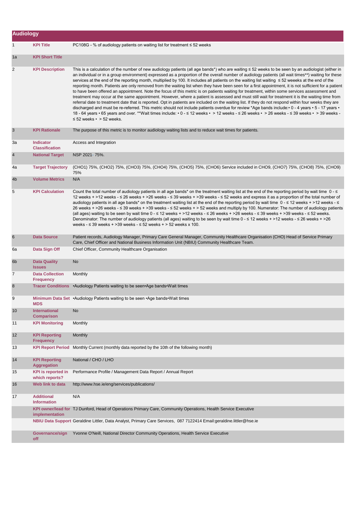| <b>Audiology</b> |                                             |                                                                                                                                                                                                                                                                                                                                                                                                                                                                                                                                                                                                                                                                                                                                                                                                                                                                                                                                                                                                                                                                                                                                                                                                                                                                                                                                                                                                                            |
|------------------|---------------------------------------------|----------------------------------------------------------------------------------------------------------------------------------------------------------------------------------------------------------------------------------------------------------------------------------------------------------------------------------------------------------------------------------------------------------------------------------------------------------------------------------------------------------------------------------------------------------------------------------------------------------------------------------------------------------------------------------------------------------------------------------------------------------------------------------------------------------------------------------------------------------------------------------------------------------------------------------------------------------------------------------------------------------------------------------------------------------------------------------------------------------------------------------------------------------------------------------------------------------------------------------------------------------------------------------------------------------------------------------------------------------------------------------------------------------------------------|
| $\mathbf{1}$     | <b>KPI Title</b>                            | PC108G - % of audiology patients on waiting list for treatment $\leq$ 52 weeks                                                                                                                                                                                                                                                                                                                                                                                                                                                                                                                                                                                                                                                                                                                                                                                                                                                                                                                                                                                                                                                                                                                                                                                                                                                                                                                                             |
| 1a               | <b>KPI Short Title</b>                      |                                                                                                                                                                                                                                                                                                                                                                                                                                                                                                                                                                                                                                                                                                                                                                                                                                                                                                                                                                                                                                                                                                                                                                                                                                                                                                                                                                                                                            |
| $\overline{2}$   | <b>KPI Description</b>                      | This is a calculation of the number of new audiology patients (all age bands*) who are waiting ≤ 52 weeks to be seen by an audiologist (either in<br>an individual or in a group environment) expressed as a proportion of the overall number of audiology patients (all wait times**) waiting for these<br>services at the end of the reporting month, multiplied by 100. It includes all patients on the waiting list waiting ≤ 52 weeeks at the end of the<br>reporting month. Patients are only removed from the waiting list when they have been seen for a first appointment, it is not sufficient for a patient<br>to have been offered an appointment. Note the focus of this metric is on patients waiting for treatment, within some services assessment and<br>treatment may occur at the same appointment. However, where a patient is assessed and must still wait for treatment it is the waiting time from<br>referral date to treatment date that is reported. Opt in patients are included on the waiting list. If they do not respond within four weeks they are<br>discharged and must be re-referred. This metric should not include patients overdue for review *Age bands include: • 0 - 4 years • 5 - 17 years • 5<br>18 - 64 years • 65 years and over. **Wait times include: • 0 - ≤ 12 weeks • > 12 weeks - ≤ 26 weeks • > 26 weeks - ≤ 39 weeks • > 39 weeks -<br>$\leq$ 52 weeks • > 52 weeks. |
| 3                | <b>KPI Rationale</b>                        | The purpose of this metric is to monitor audiology waiting lists and to reduce wait times for patients.                                                                                                                                                                                                                                                                                                                                                                                                                                                                                                                                                                                                                                                                                                                                                                                                                                                                                                                                                                                                                                                                                                                                                                                                                                                                                                                    |
| За               | <b>Indicator</b><br><b>Classification</b>   | Access and Integration                                                                                                                                                                                                                                                                                                                                                                                                                                                                                                                                                                                                                                                                                                                                                                                                                                                                                                                                                                                                                                                                                                                                                                                                                                                                                                                                                                                                     |
| $\overline{4}$   | <b>National Target</b>                      | NSP 2021-75%.                                                                                                                                                                                                                                                                                                                                                                                                                                                                                                                                                                                                                                                                                                                                                                                                                                                                                                                                                                                                                                                                                                                                                                                                                                                                                                                                                                                                              |
| 4a               | <b>Target Trajectory</b>                    | (CHO1) 75%, (CHO2) 75%, (CHO3) 75%, (CHO4) 75%, (CHO5) 75%, (CHO6) Service included in CHO9, (CHO7) 75%, (CHO8) 75%, (CHO9)<br>75%                                                                                                                                                                                                                                                                                                                                                                                                                                                                                                                                                                                                                                                                                                                                                                                                                                                                                                                                                                                                                                                                                                                                                                                                                                                                                         |
| 4 <sub>b</sub>   | <b>Volume Metrics</b>                       | N/A                                                                                                                                                                                                                                                                                                                                                                                                                                                                                                                                                                                                                                                                                                                                                                                                                                                                                                                                                                                                                                                                                                                                                                                                                                                                                                                                                                                                                        |
| 5                | <b>KPI Calculation</b>                      | Count the total number of audiology patients in all age bands* on the treatment waiting list at the end of the reporting period by wait time $0 - \le$<br>12 weeks + >12 weeks - ≤ 26 weeks + >26 weeks - ≤ 39 weeks + >39 weeks - ≤ 52 weeks and express it as a proportion of the total number of<br>audiology patients in all age bands* on the treatment waiting list at the end of the reporting period by wait time 0 - ≤ 12 weeks + >12 weeks - ≤<br>26 weeks + >26 weeks - ≤ 39 weeks + >39 weeks - ≤ 52 weeks + > 52 weeks and multiply by 100. Numerator: The number of audiology patients<br>(all ages) waiting to be seen by wait time 0 - ≤ 12 weeks + >12 weeks - ≤ 26 weeks + >26 weeks - ≤ 39 weeks + >39 weeks - ≤ 52 weeks.<br>Denominator: The number of audiology patients (all ages) waiting to be seen by wait time 0 - ≤ 12 weeks + >12 weeks - ≤ 26 weeks + >26<br>weeks - $\leq$ 39 weeks + > 39 weeks - $\leq$ 52 weeks + > 52 weeks x 100.                                                                                                                                                                                                                                                                                                                                                                                                                                                      |
| 6                | <b>Data Source</b>                          | Patient records, Audiology Manager, Primary Care General Manager, Community Healthcare Organisation (CHO) Head of Service Primary<br>Care, Chief Officer and National Business Information Unit (NBIU) Community Healthcare Team.                                                                                                                                                                                                                                                                                                                                                                                                                                                                                                                                                                                                                                                                                                                                                                                                                                                                                                                                                                                                                                                                                                                                                                                          |
| 6а               | Data Sign Off                               | Chief Officer, Community Healthcare Organisation                                                                                                                                                                                                                                                                                                                                                                                                                                                                                                                                                                                                                                                                                                                                                                                                                                                                                                                                                                                                                                                                                                                                                                                                                                                                                                                                                                           |
| 6 <sub>b</sub>   | <b>Data Quality</b><br><b>Issues</b>        | <b>No</b>                                                                                                                                                                                                                                                                                                                                                                                                                                                                                                                                                                                                                                                                                                                                                                                                                                                                                                                                                                                                                                                                                                                                                                                                                                                                                                                                                                                                                  |
| $\overline{7}$   | <b>Data Collection</b><br><b>Frequency</b>  | Monthly                                                                                                                                                                                                                                                                                                                                                                                                                                                                                                                                                                                                                                                                                                                                                                                                                                                                                                                                                                                                                                                                                                                                                                                                                                                                                                                                                                                                                    |
| 8                |                                             | Tracer Conditions .Audiology Patients waiting to be seen.Age bands. Wait times                                                                                                                                                                                                                                                                                                                                                                                                                                                                                                                                                                                                                                                                                                                                                                                                                                                                                                                                                                                                                                                                                                                                                                                                                                                                                                                                             |
| 9                | <b>MDS</b>                                  | Minimum Data Set • Audiology Patients waiting to be seen • Age bands• Wait times                                                                                                                                                                                                                                                                                                                                                                                                                                                                                                                                                                                                                                                                                                                                                                                                                                                                                                                                                                                                                                                                                                                                                                                                                                                                                                                                           |
| 10               | International<br><b>Comparison</b>          | <b>No</b>                                                                                                                                                                                                                                                                                                                                                                                                                                                                                                                                                                                                                                                                                                                                                                                                                                                                                                                                                                                                                                                                                                                                                                                                                                                                                                                                                                                                                  |
| 11               | <b>KPI Monitoring</b>                       | Monthly                                                                                                                                                                                                                                                                                                                                                                                                                                                                                                                                                                                                                                                                                                                                                                                                                                                                                                                                                                                                                                                                                                                                                                                                                                                                                                                                                                                                                    |
| 12               | <b>KPI Reporting</b><br><b>Frequency</b>    | Monthly                                                                                                                                                                                                                                                                                                                                                                                                                                                                                                                                                                                                                                                                                                                                                                                                                                                                                                                                                                                                                                                                                                                                                                                                                                                                                                                                                                                                                    |
| 13               | <b>KPI Report Period</b>                    | Monthly Current (monthly data reported by the 10th of the following month)                                                                                                                                                                                                                                                                                                                                                                                                                                                                                                                                                                                                                                                                                                                                                                                                                                                                                                                                                                                                                                                                                                                                                                                                                                                                                                                                                 |
| 14               | <b>KPI Reporting</b><br><b>Aggregation</b>  | National / CHO / LHO                                                                                                                                                                                                                                                                                                                                                                                                                                                                                                                                                                                                                                                                                                                                                                                                                                                                                                                                                                                                                                                                                                                                                                                                                                                                                                                                                                                                       |
| 15               | <b>KPI</b> is reported in<br>which reports? | Performance Profile / Management Data Report / Annual Report                                                                                                                                                                                                                                                                                                                                                                                                                                                                                                                                                                                                                                                                                                                                                                                                                                                                                                                                                                                                                                                                                                                                                                                                                                                                                                                                                               |
| 16               | Web link to data                            | http://www.hse.ie/eng/services/publications/                                                                                                                                                                                                                                                                                                                                                                                                                                                                                                                                                                                                                                                                                                                                                                                                                                                                                                                                                                                                                                                                                                                                                                                                                                                                                                                                                                               |
| 17               | <b>Additional</b><br><b>Information</b>     | N/A                                                                                                                                                                                                                                                                                                                                                                                                                                                                                                                                                                                                                                                                                                                                                                                                                                                                                                                                                                                                                                                                                                                                                                                                                                                                                                                                                                                                                        |
|                  | implementation                              | KPI owner/lead for TJ Dunford, Head of Operations Primary Care, Community Operations, Health Service Executive                                                                                                                                                                                                                                                                                                                                                                                                                                                                                                                                                                                                                                                                                                                                                                                                                                                                                                                                                                                                                                                                                                                                                                                                                                                                                                             |
|                  |                                             | NBIU Data Support Geraldine Littler, Data Analyst, Primary Care Services, 087 7122414 Email:geraldine.littler@hse.ie                                                                                                                                                                                                                                                                                                                                                                                                                                                                                                                                                                                                                                                                                                                                                                                                                                                                                                                                                                                                                                                                                                                                                                                                                                                                                                       |
|                  | Governance/sign<br>off                      | Yvonne O'Neill, National Director Community Operations, Health Service Executive                                                                                                                                                                                                                                                                                                                                                                                                                                                                                                                                                                                                                                                                                                                                                                                                                                                                                                                                                                                                                                                                                                                                                                                                                                                                                                                                           |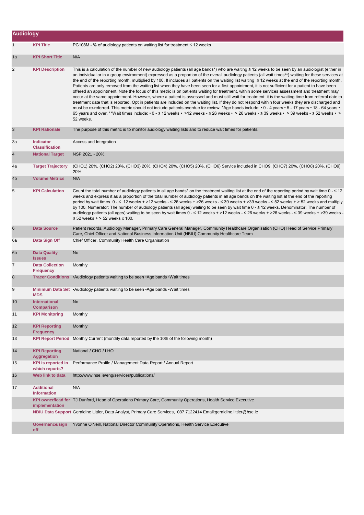| <b>Audiology</b> |                                             |                                                                                                                                                                                                                                                                                                                                                                                                                                                                                                                                                                                                                                                                                                                                                                                                                                                                                                                                                                                                                                                                                                                                                                                                                                                                                                                                                                                                          |
|------------------|---------------------------------------------|----------------------------------------------------------------------------------------------------------------------------------------------------------------------------------------------------------------------------------------------------------------------------------------------------------------------------------------------------------------------------------------------------------------------------------------------------------------------------------------------------------------------------------------------------------------------------------------------------------------------------------------------------------------------------------------------------------------------------------------------------------------------------------------------------------------------------------------------------------------------------------------------------------------------------------------------------------------------------------------------------------------------------------------------------------------------------------------------------------------------------------------------------------------------------------------------------------------------------------------------------------------------------------------------------------------------------------------------------------------------------------------------------------|
| 1                | <b>KPI Title</b>                            | PC108M - % of audiology patients on waiting list for treatment $\leq$ 12 weeks                                                                                                                                                                                                                                                                                                                                                                                                                                                                                                                                                                                                                                                                                                                                                                                                                                                                                                                                                                                                                                                                                                                                                                                                                                                                                                                           |
| 1a               | <b>KPI Short Title</b>                      | N/A                                                                                                                                                                                                                                                                                                                                                                                                                                                                                                                                                                                                                                                                                                                                                                                                                                                                                                                                                                                                                                                                                                                                                                                                                                                                                                                                                                                                      |
| 2                | <b>KPI Description</b>                      | This is a calculation of the number of new audiology patients (all age bands*) who are waiting ≤ 12 weeks to be seen by an audiologist (either in<br>an individual or in a group environment) expressed as a proportion of the overall audiology patients (all wait times**) waiting for these services at<br>the end of the reporting month, multiplied by 100. It includes all patients on the waiting list waiting ≤ 12 weeks at the end of the reporting month.<br>Patients are only removed from the waiting list when they have been seen for a first appointment, it is not sufficient for a patient to have been<br>offered an appointment. Note the focus of this metric is on patients waiting for treatment, within some services assessment and treatment may<br>occur at the same appointment. However, where a patient is assessed and must still wait for treatment it is the waiting time from referral date to<br>treatment date that is reported. Opt in patients are included on the waiting list. If they do not respond within four weeks they are discharged and<br>must be re-referred. This metric should not include patients overdue for review. *Age bands include: • 0 - 4 years • 5 - 17 years • 18 - 64 years •<br>65 years and over. **Wait times include: • 0 - ≤ 12 weeks • >12 weeks - ≤ 26 weeks • > 26 weeks - ≤ 39 weeks • > 39 weeks - ≤ 52 weeks • ><br>52 weeks. |
| 3                | <b>KPI Rationale</b>                        | The purpose of this metric is to monitor audiology waiting lists and to reduce wait times for patients.                                                                                                                                                                                                                                                                                                                                                                                                                                                                                                                                                                                                                                                                                                                                                                                                                                                                                                                                                                                                                                                                                                                                                                                                                                                                                                  |
| За               | <b>Indicator</b><br><b>Classification</b>   | Access and Integration                                                                                                                                                                                                                                                                                                                                                                                                                                                                                                                                                                                                                                                                                                                                                                                                                                                                                                                                                                                                                                                                                                                                                                                                                                                                                                                                                                                   |
| $\overline{4}$   | <b>National Target</b>                      | NSP 2021 - 20%.                                                                                                                                                                                                                                                                                                                                                                                                                                                                                                                                                                                                                                                                                                                                                                                                                                                                                                                                                                                                                                                                                                                                                                                                                                                                                                                                                                                          |
| 4a               | <b>Target Trajectory</b>                    | (CHO1) 20%, (CHO2) 20%, (CHO3) 20%, (CHO4) 20%, (CHO5) 20%, (CHO6) Service included in CHO9, (CHO7) 20%, (CHO8) 20%, (CHO9)<br>20%                                                                                                                                                                                                                                                                                                                                                                                                                                                                                                                                                                                                                                                                                                                                                                                                                                                                                                                                                                                                                                                                                                                                                                                                                                                                       |
| 4b               | <b>Volume Metrics</b>                       | N/A                                                                                                                                                                                                                                                                                                                                                                                                                                                                                                                                                                                                                                                                                                                                                                                                                                                                                                                                                                                                                                                                                                                                                                                                                                                                                                                                                                                                      |
| 5                | <b>KPI Calculation</b>                      | Count the total number of audiology patients in all age bands* on the treatment waiting list at the end of the reporting period by wait time 0 - ≤ 12<br>weeks and express it as a proportion of the total number of audiology patients in all age bands on the waiting list at the end of the reporting<br>period by wait times 0 - ≤ 12 weeks + >12 weeks - ≤ 26 weeks + >26 weeks - ≤ 39 weeks + >39 weeks - ≤ 52 weeks + > 52 weeks and multiply<br>by 100. Numerator: The number of audiology patients (all ages) waiting to be seen by wait time 0 - ≤ 12 weeks. Denominator: The number of<br>audiology patients (all ages) waiting to be seen by wait times 0 - ≤ 12 weeks + >12 weeks - ≤ 26 weeks + >26 weeks - ≤ 39 weeks + >39 weeks -<br>$\le$ 52 weeks + > 52 weeks x 100.                                                                                                                                                                                                                                                                                                                                                                                                                                                                                                                                                                                                                 |
| 6                | <b>Data Source</b>                          | Patient records, Audiology Manager, Primary Care General Manager, Community Healthcare Organisation (CHO) Head of Service Primary<br>Care, Chief Officer and National Business Information Unit (NBIU) Community Healthcare Team                                                                                                                                                                                                                                                                                                                                                                                                                                                                                                                                                                                                                                                                                                                                                                                                                                                                                                                                                                                                                                                                                                                                                                         |
| 6а               | Data Sign Off                               | Chief Officer, Community Health Care Organisation                                                                                                                                                                                                                                                                                                                                                                                                                                                                                                                                                                                                                                                                                                                                                                                                                                                                                                                                                                                                                                                                                                                                                                                                                                                                                                                                                        |
| 6 <sub>b</sub>   | <b>Data Quality</b><br><b>Issues</b>        | No                                                                                                                                                                                                                                                                                                                                                                                                                                                                                                                                                                                                                                                                                                                                                                                                                                                                                                                                                                                                                                                                                                                                                                                                                                                                                                                                                                                                       |
| 7                | <b>Data Collection</b><br><b>Frequency</b>  | Monthly                                                                                                                                                                                                                                                                                                                                                                                                                                                                                                                                                                                                                                                                                                                                                                                                                                                                                                                                                                                                                                                                                                                                                                                                                                                                                                                                                                                                  |
| 8                |                                             | Tracer Conditions .Audiology patients waiting to be seen .Age bands .Wait times                                                                                                                                                                                                                                                                                                                                                                                                                                                                                                                                                                                                                                                                                                                                                                                                                                                                                                                                                                                                                                                                                                                                                                                                                                                                                                                          |
| 9                | <b>MDS</b>                                  | Minimum Data Set • Audiology patients waiting to be seen • Age bands • Wait times                                                                                                                                                                                                                                                                                                                                                                                                                                                                                                                                                                                                                                                                                                                                                                                                                                                                                                                                                                                                                                                                                                                                                                                                                                                                                                                        |
| 10               | <b>International</b><br><b>Comparison</b>   | No                                                                                                                                                                                                                                                                                                                                                                                                                                                                                                                                                                                                                                                                                                                                                                                                                                                                                                                                                                                                                                                                                                                                                                                                                                                                                                                                                                                                       |
| 11               | <b>KPI Monitoring</b>                       | Monthly                                                                                                                                                                                                                                                                                                                                                                                                                                                                                                                                                                                                                                                                                                                                                                                                                                                                                                                                                                                                                                                                                                                                                                                                                                                                                                                                                                                                  |
| 12               | <b>KPI Reporting</b><br><b>Frequency</b>    | Monthly                                                                                                                                                                                                                                                                                                                                                                                                                                                                                                                                                                                                                                                                                                                                                                                                                                                                                                                                                                                                                                                                                                                                                                                                                                                                                                                                                                                                  |
| 13               | <b>KPI Report Period</b>                    | Monthly Current (monthly data reported by the 10th of the following month)                                                                                                                                                                                                                                                                                                                                                                                                                                                                                                                                                                                                                                                                                                                                                                                                                                                                                                                                                                                                                                                                                                                                                                                                                                                                                                                               |
| 14               | <b>KPI Reporting</b><br><b>Aggregation</b>  | National / CHO / LHO                                                                                                                                                                                                                                                                                                                                                                                                                                                                                                                                                                                                                                                                                                                                                                                                                                                                                                                                                                                                                                                                                                                                                                                                                                                                                                                                                                                     |
| 15               | <b>KPI</b> is reported in<br>which reports? | Performance Profile / Management Data Report / Annual Report                                                                                                                                                                                                                                                                                                                                                                                                                                                                                                                                                                                                                                                                                                                                                                                                                                                                                                                                                                                                                                                                                                                                                                                                                                                                                                                                             |
| 16               | Web link to data                            | http://www.hse.ie/eng/services/publications/                                                                                                                                                                                                                                                                                                                                                                                                                                                                                                                                                                                                                                                                                                                                                                                                                                                                                                                                                                                                                                                                                                                                                                                                                                                                                                                                                             |
| 17               | <b>Additional</b><br><b>Information</b>     | N/A                                                                                                                                                                                                                                                                                                                                                                                                                                                                                                                                                                                                                                                                                                                                                                                                                                                                                                                                                                                                                                                                                                                                                                                                                                                                                                                                                                                                      |
|                  | implementation                              | KPI owner/lead for TJ Dunford, Head of Operations Primary Care, Community Operations, Health Service Executive                                                                                                                                                                                                                                                                                                                                                                                                                                                                                                                                                                                                                                                                                                                                                                                                                                                                                                                                                                                                                                                                                                                                                                                                                                                                                           |
|                  |                                             | NBIU Data Support Geraldine Littler, Data Analyst, Primary Care Services, 087 7122414 Email:geraldine.littler@hse.ie                                                                                                                                                                                                                                                                                                                                                                                                                                                                                                                                                                                                                                                                                                                                                                                                                                                                                                                                                                                                                                                                                                                                                                                                                                                                                     |
|                  | Governance/sign<br>off                      | Yvonne O'Neill, National Director Community Operations, Health Service Executive                                                                                                                                                                                                                                                                                                                                                                                                                                                                                                                                                                                                                                                                                                                                                                                                                                                                                                                                                                                                                                                                                                                                                                                                                                                                                                                         |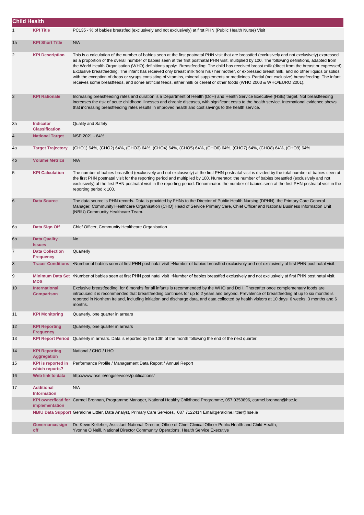| <b>Child Health</b> |                                             |                                                                                                                                                                                                                                                                                                                                                                                                                                                                                                                                                                                                                                                                                                                                                                                                                                                                                                |
|---------------------|---------------------------------------------|------------------------------------------------------------------------------------------------------------------------------------------------------------------------------------------------------------------------------------------------------------------------------------------------------------------------------------------------------------------------------------------------------------------------------------------------------------------------------------------------------------------------------------------------------------------------------------------------------------------------------------------------------------------------------------------------------------------------------------------------------------------------------------------------------------------------------------------------------------------------------------------------|
|                     | <b>KPI Title</b>                            | PC135 - % of babies breastfed (exclusively and not exclusively) at first PHN (Public Health Nurse) Visit                                                                                                                                                                                                                                                                                                                                                                                                                                                                                                                                                                                                                                                                                                                                                                                       |
| 1a                  | <b>KPI Short Title</b>                      | N/A                                                                                                                                                                                                                                                                                                                                                                                                                                                                                                                                                                                                                                                                                                                                                                                                                                                                                            |
| 2                   | <b>KPI Description</b>                      | This is a calculation of the number of babies seen at the first postnatal PHN visit that are breastfed (exclusively and not exclusively) expressed<br>as a proportion of the overall number of babies seen at the first postnatal PHN visit, multiplied by 100. The following definitions, adapted from<br>the World Health Organisation (WHO) definitions apply: Breastfeeding: The child has received breast milk (direct from the breast or expressed).<br>Exclusive breastfeeding: The infant has received only breast milk from his / her mother, or expressed breast milk, and no other liquids or solids<br>with the exception of drops or syrups consisting of vitamins, mineral supplements or medicines. Partial (not exclusive) breastfeeding: The infant<br>receives some breastfeeds, and some artificial feeds, either milk or cereal or other foods (WHO 2003 & WHO/EURO 2001). |
| 3                   | <b>KPI Rationale</b>                        | Increasing breastfeeding rates and duration is a Department of Health (DoH) and Health Service Executive (HSE) target. Not breastfeeding<br>increases the risk of acute childhood illnesses and chronic diseases, with significant costs to the health service. International evidence shows<br>that increasing breastfeeding rates results in improved health and cost savings to the health service.                                                                                                                                                                                                                                                                                                                                                                                                                                                                                         |
| За                  | <b>Indicator</b><br><b>Classification</b>   | <b>Quality and Safety</b>                                                                                                                                                                                                                                                                                                                                                                                                                                                                                                                                                                                                                                                                                                                                                                                                                                                                      |
| $\overline{4}$      | <b>National Target</b>                      | NSP 2021 - 64%.                                                                                                                                                                                                                                                                                                                                                                                                                                                                                                                                                                                                                                                                                                                                                                                                                                                                                |
| 4a                  | <b>Target Trajectory</b>                    | (CHO1) 64%, (CHO2) 64%, (CHO3) 64%, (CHO4) 64%, (CHO5) 64%, (CHO6) 64%, (CHO7) 64%, (CHO8) 64%, (CHO9) 64%                                                                                                                                                                                                                                                                                                                                                                                                                                                                                                                                                                                                                                                                                                                                                                                     |
| 4 <sub>b</sub>      | <b>Volume Metrics</b>                       | N/A                                                                                                                                                                                                                                                                                                                                                                                                                                                                                                                                                                                                                                                                                                                                                                                                                                                                                            |
| 5                   | <b>KPI Calculation</b>                      | The number of babies breastfed (exclusively and not exclusively) at the first PHN postnatal visit is divided by the total number of babies seen at<br>the first PHN postnatal visit for the reporting period and multiplied by 100. Numerator: the number of babies breastfed (exclusively and not<br>exclusively) at the first PHN postnatal visit in the reporting period. Denominator: the number of babies seen at the first PHN postnatal visit in the<br>reporting period x 100.                                                                                                                                                                                                                                                                                                                                                                                                         |
| 6                   | <b>Data Source</b>                          | The data source is PHN records. Data is provided by PHNs to the Director of Public Health Nursing (DPHN), the Primary Care General<br>Manager, Community Healthcare Organisation (CHO) Head of Service Primary Care, Chief Officer and National Business Information Unit<br>(NBIU) Community Healthcare Team.                                                                                                                                                                                                                                                                                                                                                                                                                                                                                                                                                                                 |
| 6а                  | Data Sign Off                               | Chief Officer, Community Healthcare Organisation                                                                                                                                                                                                                                                                                                                                                                                                                                                                                                                                                                                                                                                                                                                                                                                                                                               |
| 6b                  | <b>Data Quality</b><br><b>Issues</b>        | No                                                                                                                                                                                                                                                                                                                                                                                                                                                                                                                                                                                                                                                                                                                                                                                                                                                                                             |
| $\overline{7}$      | <b>Data Collection</b><br><b>Frequency</b>  | Quarterly                                                                                                                                                                                                                                                                                                                                                                                                                                                                                                                                                                                                                                                                                                                                                                                                                                                                                      |
| 8                   | <b>Tracer Conditions</b>                    | •Number of babies seen at first PHN post natal visit •Number of babies breastfed exclusively and not exclusively at first PHN post natal visit.                                                                                                                                                                                                                                                                                                                                                                                                                                                                                                                                                                                                                                                                                                                                                |
| 9                   | <b>MDS</b>                                  | Minimum Data Set ·Number of babies seen at first PHN post natal visit ·Number of babies breastfed exclusively and not exclusively at first PHN post natal visit.                                                                                                                                                                                                                                                                                                                                                                                                                                                                                                                                                                                                                                                                                                                               |
| 10                  | <b>International</b><br><b>Comparison</b>   | Exclusive breastfeeding for 6 months for all infants is recommended by the WHO and DoH. Thereafter once complementary foods are<br>introduced it is recommended that breastfeeding continues for up to 2 years and beyond. Prevalence of breastfeeding at up to six months is<br>reported in Northern Ireland, including initiation and discharge data, and data collected by health visitors at 10 days; 6 weeks; 3 months and 6<br>months.                                                                                                                                                                                                                                                                                                                                                                                                                                                   |
| 11                  | <b>KPI Monitoring</b>                       | Quarterly, one quarter in arrears                                                                                                                                                                                                                                                                                                                                                                                                                                                                                                                                                                                                                                                                                                                                                                                                                                                              |
| 12                  | <b>KPI Reporting</b><br><b>Frequency</b>    | Quarterly, one quarter in arrears                                                                                                                                                                                                                                                                                                                                                                                                                                                                                                                                                                                                                                                                                                                                                                                                                                                              |
| 13                  | <b>KPI Report Period</b>                    | Quarterly in arrears. Data is reported by the 10th of the month following the end of the next quarter.                                                                                                                                                                                                                                                                                                                                                                                                                                                                                                                                                                                                                                                                                                                                                                                         |
| 14                  | <b>KPI Reporting</b><br><b>Aggregation</b>  | National / CHO / LHO                                                                                                                                                                                                                                                                                                                                                                                                                                                                                                                                                                                                                                                                                                                                                                                                                                                                           |
| 15                  | <b>KPI</b> is reported in<br>which reports? | Performance Profile / Management Data Report / Annual Report                                                                                                                                                                                                                                                                                                                                                                                                                                                                                                                                                                                                                                                                                                                                                                                                                                   |
| 16                  | Web link to data                            | http://www.hse.ie/eng/services/publications/                                                                                                                                                                                                                                                                                                                                                                                                                                                                                                                                                                                                                                                                                                                                                                                                                                                   |
| 17                  | <b>Additional</b><br><b>Information</b>     | N/A                                                                                                                                                                                                                                                                                                                                                                                                                                                                                                                                                                                                                                                                                                                                                                                                                                                                                            |
|                     | implementation                              | KPI owner/lead for Carmel Brennan, Programme Manager, National Healthy Childhood Programme, 057 9359896, carmel.brennan@hse.ie                                                                                                                                                                                                                                                                                                                                                                                                                                                                                                                                                                                                                                                                                                                                                                 |
|                     |                                             | NBIU Data Support Geraldine Littler, Data Analyst, Primary Care Services, 087 7122414 Email:geraldine.littler@hse.ie                                                                                                                                                                                                                                                                                                                                                                                                                                                                                                                                                                                                                                                                                                                                                                           |
|                     | Governance/sign<br>off                      | Dr. Kevin Kelleher, Assistant National Director, Office of Chief Clinical Officer Public Health and Child Health,<br>Yvonne O Neill, National Director Community Operations, Health Service Executive                                                                                                                                                                                                                                                                                                                                                                                                                                                                                                                                                                                                                                                                                          |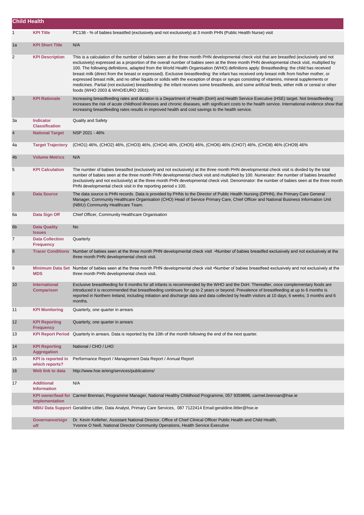| <b>Child Health</b> |                                             |                                                                                                                                                                                                                                                                                                                                                                                                                                                                                                                                                                                                                                                                                                                                                                                                                                                                                                                                 |
|---------------------|---------------------------------------------|---------------------------------------------------------------------------------------------------------------------------------------------------------------------------------------------------------------------------------------------------------------------------------------------------------------------------------------------------------------------------------------------------------------------------------------------------------------------------------------------------------------------------------------------------------------------------------------------------------------------------------------------------------------------------------------------------------------------------------------------------------------------------------------------------------------------------------------------------------------------------------------------------------------------------------|
| $\mathbf{1}$        | <b>KPI Title</b>                            | PC136 - % of babies breastfed (exclusively and not exclusively) at 3 month PHN (Public Health Nurse) visit                                                                                                                                                                                                                                                                                                                                                                                                                                                                                                                                                                                                                                                                                                                                                                                                                      |
| 1a                  | <b>KPI Short Title</b>                      | N/A                                                                                                                                                                                                                                                                                                                                                                                                                                                                                                                                                                                                                                                                                                                                                                                                                                                                                                                             |
| 2                   | <b>KPI Description</b>                      | This is a calculation of the number of babies seen at the three month PHN developmental check visit that are breastfed (exclusively and not<br>exclusively) expressed as a proportion of the overall number of babies seen at the three month PHN developmental check visit, multiplied by<br>100. The following definitions, adapted from the World Health Organisation (WHO) definitions apply: Breastfeeding: the child has received<br>breast milk (direct from the breast or expressed). Exclusive breastfeeding: the infant has received only breast milk from his/her mother, or<br>expressed breast milk, and no other liquids or solids with the exception of drops or syrups consisting of vitamins, mineral supplements or<br>medicines. Partial (not exclusive) breastfeeding: the infant receives some breastfeeds, and some artificial feeds, either milk or cereal or other<br>foods (WHO 2003 & WHO/EURO 2001). |
| 3                   | <b>KPI Rationale</b>                        | Increasing breastfeeding rates and duration is a Department of Health (DoH) and Health Service Executive (HSE) target. Not breastfeeding<br>increases the risk of acute childhood illnesses and chronic diseases, with significant costs to the health service. International evidence show that<br>increasing breastfeeding rates results in improved health and cost savings to the health service.                                                                                                                                                                                                                                                                                                                                                                                                                                                                                                                           |
| За                  | <b>Indicator</b><br><b>Classification</b>   | <b>Quality and Safety</b>                                                                                                                                                                                                                                                                                                                                                                                                                                                                                                                                                                                                                                                                                                                                                                                                                                                                                                       |
| 4                   | <b>National Target</b>                      | NSP 2021 - 46%                                                                                                                                                                                                                                                                                                                                                                                                                                                                                                                                                                                                                                                                                                                                                                                                                                                                                                                  |
| 4a                  | <b>Target Trajectory</b>                    | (CHO1) 46%, (CHO2) 46%, (CHO3) 46%, (CHO4) 46%, (CHO5) 46%, (CHO6) 46% (CHO7) 46%, (CHO8) 46% (CHO9) 46%                                                                                                                                                                                                                                                                                                                                                                                                                                                                                                                                                                                                                                                                                                                                                                                                                        |
| 4b                  | <b>Volume Metrics</b>                       | N/A                                                                                                                                                                                                                                                                                                                                                                                                                                                                                                                                                                                                                                                                                                                                                                                                                                                                                                                             |
| 5                   | <b>KPI Calculation</b>                      | The number of babies breastfed (exclusively and not exclusively) at the three month PHN developmental check visit is divided by the total<br>number of babies seen at the three month PHN developmental check visit and multiplied by 100. Numerator: the number of babies breastfed<br>(exclusively and not exclusively) at the three month PHN developmental check visit. Denominator: the number of babies seen at the three month<br>PHN developmental check visit in the reporting period x 100.                                                                                                                                                                                                                                                                                                                                                                                                                           |
| 6                   | <b>Data Source</b>                          | The data source is PHN records. Data is provided by PHNs to the Director of Public Health Nursing (DPHN), the Primary Care General<br>Manager, Community Healthcare Organisation (CHO) Head of Service Primary Care, Chief Officer and National Business Information Unit<br>(NBIU) Community Healthcare Team.                                                                                                                                                                                                                                                                                                                                                                                                                                                                                                                                                                                                                  |
| 6а                  | Data Sign Off                               | Chief Officer, Community Healthcare Organisation                                                                                                                                                                                                                                                                                                                                                                                                                                                                                                                                                                                                                                                                                                                                                                                                                                                                                |
| 6b                  | <b>Data Quality</b><br><b>Issues</b>        | No                                                                                                                                                                                                                                                                                                                                                                                                                                                                                                                                                                                                                                                                                                                                                                                                                                                                                                                              |
| 7                   | <b>Data Collection</b><br><b>Frequency</b>  | Quarterly                                                                                                                                                                                                                                                                                                                                                                                                                                                                                                                                                                                                                                                                                                                                                                                                                                                                                                                       |
| 8                   |                                             | Tracer Conditions Number of babies seen at the three month PHN developmental check visit •Number of babies breastfed exclusively and not exclusively at the<br>three month PHN developmental check visit.                                                                                                                                                                                                                                                                                                                                                                                                                                                                                                                                                                                                                                                                                                                       |
| 9                   | <b>MDS</b>                                  | Minimum Data Set Number of babies seen at the three month PHN developmental check visit •Number of babies breastfeed exclusively and not exclusively at the<br>three month PHN developmental check visit.                                                                                                                                                                                                                                                                                                                                                                                                                                                                                                                                                                                                                                                                                                                       |
| 10                  | <b>International</b><br><b>Comparison</b>   | Exclusive breastfeeding for 6 months for all infants is recommended by the WHO and the DoH. Thereafter, once complementary foods are<br>introduced it is recommended that breastfeeding continues for up to 2 years or beyond. Prevalence of breastfeeding at up to 6 months is<br>reported in Northern Ireland, including initiation and discharge data and data collected by health visitors at 10 days; 6 weeks; 3 months and 6<br>months.                                                                                                                                                                                                                                                                                                                                                                                                                                                                                   |
| 11                  | <b>KPI Monitoring</b>                       | Quarterly, one quarter in arrears                                                                                                                                                                                                                                                                                                                                                                                                                                                                                                                                                                                                                                                                                                                                                                                                                                                                                               |
| 12                  | <b>KPI Reporting</b><br><b>Frequency</b>    | Quarterly, one quarter in arrears                                                                                                                                                                                                                                                                                                                                                                                                                                                                                                                                                                                                                                                                                                                                                                                                                                                                                               |
| 13                  | <b>KPI Report Period</b>                    | Quarterly in arrears. Data is reported by the 10th of the month following the end of the next quarter.                                                                                                                                                                                                                                                                                                                                                                                                                                                                                                                                                                                                                                                                                                                                                                                                                          |
| 14                  | <b>KPI Reporting</b><br><b>Aggregation</b>  | National / CHO / LHO                                                                                                                                                                                                                                                                                                                                                                                                                                                                                                                                                                                                                                                                                                                                                                                                                                                                                                            |
| 15                  | <b>KPI</b> is reported in<br>which reports? | Performance Report / Management Data Report / Annual Report                                                                                                                                                                                                                                                                                                                                                                                                                                                                                                                                                                                                                                                                                                                                                                                                                                                                     |
| 16                  | Web link to data                            | http://www.hse.ie/eng/services/publications/                                                                                                                                                                                                                                                                                                                                                                                                                                                                                                                                                                                                                                                                                                                                                                                                                                                                                    |
| 17                  | <b>Additional</b><br><b>Information</b>     | N/A                                                                                                                                                                                                                                                                                                                                                                                                                                                                                                                                                                                                                                                                                                                                                                                                                                                                                                                             |
|                     | implementation                              | KPI owner/lead for Carmel Brennan, Programme Manager, National Healthy Childhood Programme, 057 9359896, carmel.brennan@hse.ie                                                                                                                                                                                                                                                                                                                                                                                                                                                                                                                                                                                                                                                                                                                                                                                                  |
|                     |                                             | NBIU Data Support Geraldine Littler, Data Analyst, Primary Care Services, 087 7122414 Email:geraldine.littler@hse.ie                                                                                                                                                                                                                                                                                                                                                                                                                                                                                                                                                                                                                                                                                                                                                                                                            |
|                     | Governance/sign<br>off                      | Dr. Kevin Kelleher, Assistant National Director, Office of Chief Clinical Officer Public Health and Child Health,<br>Yvonne O Neill, National Director Community Operations, Health Service Executive                                                                                                                                                                                                                                                                                                                                                                                                                                                                                                                                                                                                                                                                                                                           |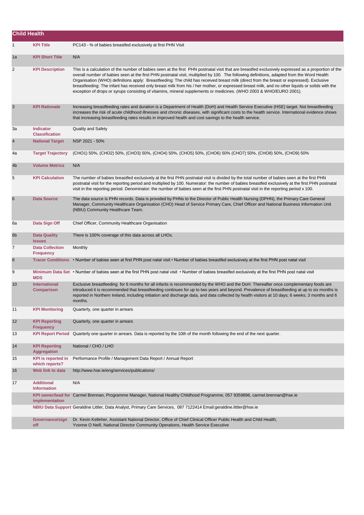| <b>Child Health</b> |                                             |                                                                                                                                                                                                                                                                                                                                                                                                                                                                                                                                                                                                                                                                                                                         |
|---------------------|---------------------------------------------|-------------------------------------------------------------------------------------------------------------------------------------------------------------------------------------------------------------------------------------------------------------------------------------------------------------------------------------------------------------------------------------------------------------------------------------------------------------------------------------------------------------------------------------------------------------------------------------------------------------------------------------------------------------------------------------------------------------------------|
| $\mathbf{1}$        | <b>KPI Title</b>                            | PC143 - % of babies breastfed exclusively at first PHN Visit                                                                                                                                                                                                                                                                                                                                                                                                                                                                                                                                                                                                                                                            |
| 1a                  | <b>KPI Short Title</b>                      | N/A                                                                                                                                                                                                                                                                                                                                                                                                                                                                                                                                                                                                                                                                                                                     |
| 2                   | <b>KPI Description</b>                      | This is a calculation of the number of babies seen at the first PHN postnatal visit that are breastfed exclusively expressed as a proportion of the<br>overall number of babies seen at the first PHN postnatal visit, multiplied by 100. The following definitions, adapted from the Word Health<br>Organisation (WHO) definitions apply: Breastfeeding: The child has received breast milk (direct from the breast or expressed). Exclusive<br>breastfeeding: The infant has received only breast milk from his / her mother, or expressed breast milk, and no other liquids or solids with the<br>exception of drops or syrups consisting of vitamins, mineral supplements or medicines. (WHO 2003 & WHO/EURO 2001). |
| 3                   | <b>KPI Rationale</b>                        | Increasing breastfeeding rates and duration is a Department of Health (DoH) and Health Service Executive (HSE) target. Not breastfeeding<br>increases the risk of acute childhood illnesses and chronic diseases, with significant costs to the health service. International evidence shows<br>that increasing breastfeeding rates results in improved health and cost savings to the health service.                                                                                                                                                                                                                                                                                                                  |
| За                  | <b>Indicator</b><br><b>Classification</b>   | <b>Quality and Safety</b>                                                                                                                                                                                                                                                                                                                                                                                                                                                                                                                                                                                                                                                                                               |
| $\overline{4}$      | <b>National Target</b>                      | NSP 2021 - 50%                                                                                                                                                                                                                                                                                                                                                                                                                                                                                                                                                                                                                                                                                                          |
| 4a                  | <b>Target Trajectory</b>                    | (CHO1) 50%, (CHO2) 50%, (CHO3) 50%, (CHO4) 50%, (CHO5) 50%, (CHO6) 50% (CHO7) 50%, (CHO8) 50%, (CHO9) 50%                                                                                                                                                                                                                                                                                                                                                                                                                                                                                                                                                                                                               |
| 4 <sub>b</sub>      | <b>Volume Metrics</b>                       | N/A                                                                                                                                                                                                                                                                                                                                                                                                                                                                                                                                                                                                                                                                                                                     |
| 5                   | <b>KPI Calculation</b>                      | The number of babies breastfed exclusively at the first PHN postnatal visit is divided by the total number of babies seen at the first PHN<br>postnatal visit for the reporting period and multiplied by 100. Numerator: the number of babies breastfed exclusively at the first PHN postnatal<br>visit in the reporting period. Denominator: the number of babies seen at the first PHN postnatal visit in the reporting period x 100.                                                                                                                                                                                                                                                                                 |
| 6                   | <b>Data Source</b>                          | The data source is PHN records. Data is provided by PHNs to the Director of Public Health Nursing (DPHN), the Primary Care General<br>Manager, Community Healthcare Organisation (CHO) Head of Service Primary Care, Chief Officer and National Business Information Unit<br>(NBIU) Community Healthcare Team.                                                                                                                                                                                                                                                                                                                                                                                                          |
| 6a                  | Data Sign Off                               | Chief Officer, Community Healthcare Organisation                                                                                                                                                                                                                                                                                                                                                                                                                                                                                                                                                                                                                                                                        |
| 6 <sub>b</sub>      | <b>Data Quality</b><br><b>Issues</b>        | There is 100% coverage of this data across all LHOs.                                                                                                                                                                                                                                                                                                                                                                                                                                                                                                                                                                                                                                                                    |
| 7                   | <b>Data Collection</b><br><b>Frequency</b>  | Monthly                                                                                                                                                                                                                                                                                                                                                                                                                                                                                                                                                                                                                                                                                                                 |
| 8                   |                                             | Tracer Conditions • Number of babies seen at first PHN post natal visit • Number of babies breastfed exclusively at the first PHN post natal visit                                                                                                                                                                                                                                                                                                                                                                                                                                                                                                                                                                      |
| 9                   | <b>MDS</b>                                  | Minimum Data Set • Number of babies seen at the first PHN post natal visit • Number of babies breastfed exclusively at the first PHN post natal visit                                                                                                                                                                                                                                                                                                                                                                                                                                                                                                                                                                   |
| 10                  | <b>International</b><br><b>Comparison</b>   | Exclusive breastfeeding for 6 months for all infants is recommended by the WHO and the DoH. Thereafter once complementary foods are<br>introduced it is recommended that breastfeeding continues for up to two years and beyond. Prevalence of breastfeeding at up to six months is<br>reported in Northern Ireland, including initiation and discharge data, and data collected by health visitors at 10 days; 6 weeks; 3 months and 6<br>months.                                                                                                                                                                                                                                                                      |
| 11                  | <b>KPI Monitoring</b>                       | Quarterly, one quarter in arrears                                                                                                                                                                                                                                                                                                                                                                                                                                                                                                                                                                                                                                                                                       |
| 12                  | <b>KPI Reporting</b><br><b>Frequency</b>    | Quarterly, one quarter in arrears                                                                                                                                                                                                                                                                                                                                                                                                                                                                                                                                                                                                                                                                                       |
| 13                  | <b>KPI Report Period</b>                    | Quarterly one quarter in arrears. Data is reported by the 10th of the month following the end of the next quarter.                                                                                                                                                                                                                                                                                                                                                                                                                                                                                                                                                                                                      |
| 14                  | <b>KPI Reporting</b><br><b>Aggregation</b>  | National / CHO / LHO                                                                                                                                                                                                                                                                                                                                                                                                                                                                                                                                                                                                                                                                                                    |
| 15                  | <b>KPI</b> is reported in<br>which reports? | Performance Profile / Management Data Report / Annual Report                                                                                                                                                                                                                                                                                                                                                                                                                                                                                                                                                                                                                                                            |
| 16                  | Web link to data                            | http://www.hse.ie/eng/services/publications/                                                                                                                                                                                                                                                                                                                                                                                                                                                                                                                                                                                                                                                                            |
| 17                  | <b>Additional</b><br><b>Information</b>     | N/A                                                                                                                                                                                                                                                                                                                                                                                                                                                                                                                                                                                                                                                                                                                     |
|                     | implementation                              | KPI owner/lead for Carmel Brennan, Programme Manager, National Healthy Childhood Programme, 057 9359896, carmel.brennan@hse.ie                                                                                                                                                                                                                                                                                                                                                                                                                                                                                                                                                                                          |
|                     |                                             | NBIU Data Support Geraldine Littler, Data Analyst, Primary Care Services, 087 7122414 Email:geraldine.littler@hse.ie                                                                                                                                                                                                                                                                                                                                                                                                                                                                                                                                                                                                    |
|                     | Governance/sign<br>off                      | Dr. Kevin Kelleher, Assistant National Director, Office of Chief Clinical Officer Public Health and Child Health,<br>Yvonne O Neill, National Director Community Operations, Health Service Executive                                                                                                                                                                                                                                                                                                                                                                                                                                                                                                                   |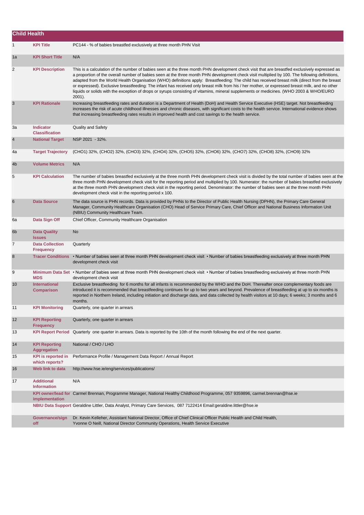| <b>Child Health</b> |                                             |                                                                                                                                                                                                                                                                                                                                                                                                                                                                                                                                                                                                                                                                                                                                                           |
|---------------------|---------------------------------------------|-----------------------------------------------------------------------------------------------------------------------------------------------------------------------------------------------------------------------------------------------------------------------------------------------------------------------------------------------------------------------------------------------------------------------------------------------------------------------------------------------------------------------------------------------------------------------------------------------------------------------------------------------------------------------------------------------------------------------------------------------------------|
| $\mathbf{1}$        | <b>KPI Title</b>                            | PC144 - % of babies breastfed exclusively at three month PHN Visit                                                                                                                                                                                                                                                                                                                                                                                                                                                                                                                                                                                                                                                                                        |
| 1a                  | <b>KPI Short Title</b>                      | N/A                                                                                                                                                                                                                                                                                                                                                                                                                                                                                                                                                                                                                                                                                                                                                       |
| $\overline{2}$      | <b>KPI Description</b>                      | This is a calculation of the number of babies seen at the three month PHN development check visit that are breastfed exclusively expressed as<br>a proportion of the overall number of babies seen at the three month PHN development check visit multiplied by 100. The following definitions,<br>adapted from the World Health Organisation (WHO) definitions apply: Breastfeeding: The child has received breast milk (direct from the breast<br>or expressed). Exclusive breastfeeding: The infant has received only breast milk from his / her mother, or expressed breast milk, and no other<br>liquids or solids with the exception of drops or syrups consisting of vitamins, mineral supplements or medicines. (WHO 2003 & WHO/EURO<br>$2001$ ). |
| 3                   | <b>KPI Rationale</b>                        | Increasing breastfeeding rates and duration is a Department of Health (DoH) and Health Service Executive (HSE) target. Not breastfeeding<br>increases the risk of acute childhood illnesses and chronic diseases, with significant costs to the health service. International evidence shows<br>that increasing breastfeeding rates results in improved health and cost savings to the health service.                                                                                                                                                                                                                                                                                                                                                    |
| За                  | <b>Indicator</b><br><b>Classification</b>   | <b>Quality and Safety</b>                                                                                                                                                                                                                                                                                                                                                                                                                                                                                                                                                                                                                                                                                                                                 |
| $\overline{4}$      | <b>National Target</b>                      | NSP 2021 - 32%.                                                                                                                                                                                                                                                                                                                                                                                                                                                                                                                                                                                                                                                                                                                                           |
| 4a                  | <b>Target Trajectory</b>                    | (CHO1) 32%, (CHO2) 32%, (CHO3) 32%, (CHO4) 32%, (CHO5) 32%, (CHO6) 32%, (CHO7) 32%, (CHO8) 32%, (CHO9) 32%                                                                                                                                                                                                                                                                                                                                                                                                                                                                                                                                                                                                                                                |
| 4 <sub>b</sub>      | <b>Volume Metrics</b>                       | N/A                                                                                                                                                                                                                                                                                                                                                                                                                                                                                                                                                                                                                                                                                                                                                       |
| 5                   | <b>KPI Calculation</b>                      | The number of babies breastfed exclusively at the three month PHN development check visit is divided by the total number of babies seen at the<br>three month PHN development check visit for the reporting period and multiplied by 100. Numerator: the number of babies breastfed exclusively<br>at the three month PHN development check visit in the reporting period. Denominator: the number of babies seen at the three month PHN<br>development check visit in the reporting period x 100.                                                                                                                                                                                                                                                        |
| 6                   | <b>Data Source</b>                          | The data source is PHN records. Data is provided by PHNs to the Director of Public Health Nursing (DPHN), the Primary Care General<br>Manager, Community Healthcare Organisation (CHO) Head of Service Primary Care, Chief Officer and National Business Information Unit<br>(NBIU) Community Healthcare Team.                                                                                                                                                                                                                                                                                                                                                                                                                                            |
| 6a                  | Data Sign Off                               | Chief Officer, Community Healthcare Organisation                                                                                                                                                                                                                                                                                                                                                                                                                                                                                                                                                                                                                                                                                                          |
| 6b                  | <b>Data Quality</b><br><b>Issues</b>        | <b>No</b>                                                                                                                                                                                                                                                                                                                                                                                                                                                                                                                                                                                                                                                                                                                                                 |
| $\overline{7}$      | <b>Data Collection</b><br><b>Frequency</b>  | Quarterly                                                                                                                                                                                                                                                                                                                                                                                                                                                                                                                                                                                                                                                                                                                                                 |
| 8                   | <b>Tracer Conditions</b>                    | • Number of babies seen at three month PHN development check visit • Number of babies breastfeeding exclusively at three month PHN<br>development check visit                                                                                                                                                                                                                                                                                                                                                                                                                                                                                                                                                                                             |
| 9                   | <b>MDS</b>                                  | Minimum Data Set • Number of babies seen at three month PHN development check visit • Number of babies breastfeeding exclusively at three month PHN<br>development check visit                                                                                                                                                                                                                                                                                                                                                                                                                                                                                                                                                                            |
| 10                  | <b>International</b><br><b>Comparison</b>   | Exclusive breastfeeding for 6 months for all infants is recommended by the WHO and the DoH. Thereafter once complementary foods are<br>introduced it is recommended that breastfeeding continues for up to two years and beyond. Prevalence of breastfeeding at up to six months is<br>reported in Northern Ireland, including initiation and discharge data, and data collected by health visitors at 10 days; 6 weeks; 3 months and 6<br>months.                                                                                                                                                                                                                                                                                                        |
| 11                  | <b>KPI Monitoring</b>                       | Quarterly, one quarter in arrears                                                                                                                                                                                                                                                                                                                                                                                                                                                                                                                                                                                                                                                                                                                         |
| 12                  | <b>KPI Reporting</b><br><b>Frequency</b>    | Quarterly, one quarter in arrears                                                                                                                                                                                                                                                                                                                                                                                                                                                                                                                                                                                                                                                                                                                         |
| 13                  |                                             | KPI Report Period Quarterly one quarter in arrears. Data is reported by the 10th of the month following the end of the next quarter.                                                                                                                                                                                                                                                                                                                                                                                                                                                                                                                                                                                                                      |
| 14                  | <b>KPI Reporting</b><br><b>Aggregation</b>  | National / CHO / LHO                                                                                                                                                                                                                                                                                                                                                                                                                                                                                                                                                                                                                                                                                                                                      |
| 15                  | <b>KPI</b> is reported in<br>which reports? | Performance Profile / Management Data Report / Annual Report                                                                                                                                                                                                                                                                                                                                                                                                                                                                                                                                                                                                                                                                                              |
| 16                  | Web link to data                            | http://www.hse.ie/eng/services/publications/                                                                                                                                                                                                                                                                                                                                                                                                                                                                                                                                                                                                                                                                                                              |
| 17                  | <b>Additional</b><br><b>Information</b>     | N/A                                                                                                                                                                                                                                                                                                                                                                                                                                                                                                                                                                                                                                                                                                                                                       |
|                     | implementation                              | KPI owner/lead for Carmel Brennan, Programme Manager, National Healthy Childhood Programme, 057 9359896, carmel brennan@hse.ie                                                                                                                                                                                                                                                                                                                                                                                                                                                                                                                                                                                                                            |
|                     |                                             | NBIU Data Support Geraldine Littler, Data Analyst, Primary Care Services, 087 7122414 Email:geraldine.littler@hse.ie                                                                                                                                                                                                                                                                                                                                                                                                                                                                                                                                                                                                                                      |
|                     | Governance/sign<br>off                      | Dr. Kevin Kelleher, Assistant National Director, Office of Chief Clinical Officer Public Health and Child Health,<br>Yvonne O Neill, National Director Community Operations, Health Service Executive                                                                                                                                                                                                                                                                                                                                                                                                                                                                                                                                                     |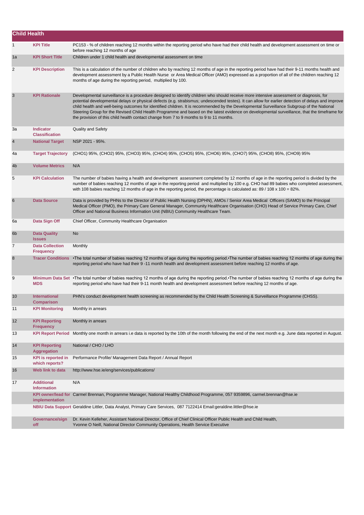| <b>Child Health</b> |                                             |                                                                                                                                                                                                                                                                                                                                                                                                                                                                                                                                                                                                                                                                                       |
|---------------------|---------------------------------------------|---------------------------------------------------------------------------------------------------------------------------------------------------------------------------------------------------------------------------------------------------------------------------------------------------------------------------------------------------------------------------------------------------------------------------------------------------------------------------------------------------------------------------------------------------------------------------------------------------------------------------------------------------------------------------------------|
| 1                   | <b>KPI Title</b>                            | PC153 - % of children reaching 12 months within the reporting period who have had their child health and development assessment on time or<br>before reaching 12 months of age                                                                                                                                                                                                                                                                                                                                                                                                                                                                                                        |
| 1a                  | <b>KPI Short Title</b>                      | Children under 1 child health and developmental assessment on time                                                                                                                                                                                                                                                                                                                                                                                                                                                                                                                                                                                                                    |
| 2                   | <b>KPI Description</b>                      | This is a calculation of the number of children who by reaching 12 months of age in the reporting period have had their 9-11 months health and<br>development assessment by a Public Health Nurse or Area Medical Officer (AMO) expressed as a proportion of all of the children reaching 12<br>months of age during the reporting period, multiplied by 100.                                                                                                                                                                                                                                                                                                                         |
| $\mathbf{3}$        | <b>KPI Rationale</b>                        | Developmental surveillance is a procedure designed to identify children who should receive more intensive assessment or diagnosis, for<br>potential developmental delays or physical defects (e.g. strabismus; undescended testes). It can allow for earlier detection of delays and improve<br>child health and well-being outcomes for identified children. It is recommended by the Developmental Surveillance Subgroup of the National<br>Steering Group for the Revised Child Health Programme and based on the latest evidence on developmental surveillance, that the timeframe for<br>the provision of this child health contact change from 7 to 9 months to 9 to 11 months. |
| За                  | <b>Indicator</b><br><b>Classification</b>   | <b>Quality and Safety</b>                                                                                                                                                                                                                                                                                                                                                                                                                                                                                                                                                                                                                                                             |
| $\overline{4}$      | <b>National Target</b>                      | NSP 2021 - 95%.                                                                                                                                                                                                                                                                                                                                                                                                                                                                                                                                                                                                                                                                       |
| 4a                  | <b>Target Trajectory</b>                    | (CHO1) 95%, (CHO2) 95%, (CHO3) 95%, (CHO4) 95%, (CHO5) 95%, (CHO6) 95%, (CHO7) 95%, (CHO8) 95%, (CHO9) 95%                                                                                                                                                                                                                                                                                                                                                                                                                                                                                                                                                                            |
| 4 <sub>b</sub>      | <b>Volume Metrics</b>                       | N/A                                                                                                                                                                                                                                                                                                                                                                                                                                                                                                                                                                                                                                                                                   |
| 5                   | <b>KPI Calculation</b>                      | The number of babies having a health and development assessment completed by 12 months of age in the reporting period is divided by the<br>number of babies reaching 12 months of age in the reporting period and multiplied by 100 e.g. CHO had 89 babies who completed assessment,<br>with 108 babies reaching 12 months of age in the reporting period, the percentage is calculated as: $89/108 \times 100 = 82\%$ .                                                                                                                                                                                                                                                              |
| 6                   | <b>Data Source</b>                          | Data is provided by PHNs to the Director of Public Health Nursing (DPHN), AMOs / Senior Area Medical Officers (SAMO) to the Principal<br>Medical Officer (PMO), the Primary Care General Manager, Community Healthcare Organisation (CHO) Head of Service Primary Care, Chief<br>Officer and National Business Information Unit (NBIU) Community Healthcare Team.                                                                                                                                                                                                                                                                                                                     |
| 6а                  | Data Sign Off                               | Chief Officer, Community Healthcare Organisation                                                                                                                                                                                                                                                                                                                                                                                                                                                                                                                                                                                                                                      |
| 6 <sub>b</sub>      | <b>Data Quality</b><br><b>Issues</b>        | No                                                                                                                                                                                                                                                                                                                                                                                                                                                                                                                                                                                                                                                                                    |
| $\overline{7}$      | <b>Data Collection</b><br><b>Frequency</b>  | Monthly                                                                                                                                                                                                                                                                                                                                                                                                                                                                                                                                                                                                                                                                               |
| 8                   | <b>Tracer Conditions</b>                    | •The total number of babies reaching 12 months of age during the reporting period.•The number of babies reaching 12 months of age during the<br>reporting period who have had their 9-11 month health and development assessment before reaching 12 months of age.                                                                                                                                                                                                                                                                                                                                                                                                                    |
| 9                   | <b>MDS</b>                                  | Minimum Data Set •The total number of babies reaching 12 months of age during the reporting period.•The number of babies reaching 12 months of age during the<br>reporting period who have had their 9-11 month health and development assessment before reaching 12 months of age.                                                                                                                                                                                                                                                                                                                                                                                                   |
| 10                  | <b>International</b><br><b>Comparison</b>   | PHN's conduct development health screening as recommended by the Child Health Screening & Surveillance Programme (CHSS).                                                                                                                                                                                                                                                                                                                                                                                                                                                                                                                                                              |
| 11                  | <b>KPI Monitoring</b>                       | Monthly in arrears                                                                                                                                                                                                                                                                                                                                                                                                                                                                                                                                                                                                                                                                    |
| 12                  | <b>KPI Reporting</b><br><b>Frequency</b>    | Monthly in arrears                                                                                                                                                                                                                                                                                                                                                                                                                                                                                                                                                                                                                                                                    |
| 13                  | <b>KPI Report Period</b>                    | Monthly one month in arrears i.e data is reported by the 10th of the month following the end of the next month e.g. June data reported in August.                                                                                                                                                                                                                                                                                                                                                                                                                                                                                                                                     |
| 14                  | <b>KPI Reporting</b><br><b>Aggregation</b>  | National / CHO / LHO                                                                                                                                                                                                                                                                                                                                                                                                                                                                                                                                                                                                                                                                  |
| 15                  | <b>KPI</b> is reported in<br>which reports? | Performance Profile/ Management Data Report / Annual Report                                                                                                                                                                                                                                                                                                                                                                                                                                                                                                                                                                                                                           |
| 16                  | Web link to data                            | http://www.hse.ie/eng/services/publications/                                                                                                                                                                                                                                                                                                                                                                                                                                                                                                                                                                                                                                          |
| 17                  | <b>Additional</b><br><b>Information</b>     | N/A                                                                                                                                                                                                                                                                                                                                                                                                                                                                                                                                                                                                                                                                                   |
|                     | implementation                              | KPI owner/lead for Carmel Brennan, Programme Manager, National Healthy Childhood Programme, 057 9359896, carmel.brennan@hse.ie                                                                                                                                                                                                                                                                                                                                                                                                                                                                                                                                                        |
|                     |                                             | NBIU Data Support Geraldine Littler, Data Analyst, Primary Care Services, 087 7122414 Email:geraldine.littler@hse.ie                                                                                                                                                                                                                                                                                                                                                                                                                                                                                                                                                                  |
|                     | Governance/sign<br>off                      | Dr. Kevin Kelleher, Assistant National Director, Office of Chief Clinical Officer Public Health and Child Health,<br>Yvonne O Neill, National Director Community Operations, Health Service Executive                                                                                                                                                                                                                                                                                                                                                                                                                                                                                 |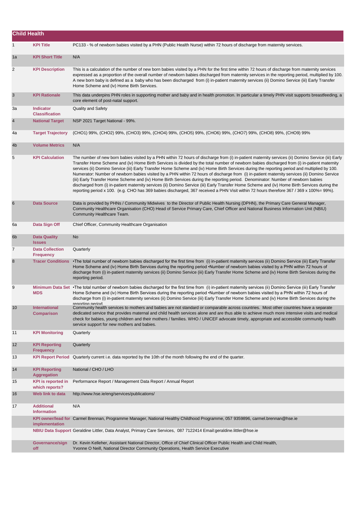| <b>Child Health</b> |                                             |                                                                                                                                                                                                                                                                                                                                                                                                                                                                                                                                                                                                                                                                                                                                                                                                                                                                                                                                                                                                                                     |
|---------------------|---------------------------------------------|-------------------------------------------------------------------------------------------------------------------------------------------------------------------------------------------------------------------------------------------------------------------------------------------------------------------------------------------------------------------------------------------------------------------------------------------------------------------------------------------------------------------------------------------------------------------------------------------------------------------------------------------------------------------------------------------------------------------------------------------------------------------------------------------------------------------------------------------------------------------------------------------------------------------------------------------------------------------------------------------------------------------------------------|
| $\mathbf{1}$        | <b>KPI Title</b>                            | PC133 - % of newborn babies visited by a PHN (Public Health Nurse) within 72 hours of discharge from maternity services.                                                                                                                                                                                                                                                                                                                                                                                                                                                                                                                                                                                                                                                                                                                                                                                                                                                                                                            |
| 1a                  | <b>KPI Short Title</b>                      | N/A                                                                                                                                                                                                                                                                                                                                                                                                                                                                                                                                                                                                                                                                                                                                                                                                                                                                                                                                                                                                                                 |
| $\overline{2}$      | <b>KPI Description</b>                      | This is a calculation of the number of new born babies visited by a PHN for the first time within 72 hours of discharge from maternity services<br>expressed as a proportion of the overall number of newborn babies discharged from maternity services in the reporting period, multiplied by 100.<br>A new born baby is defined as a baby who has been discharged from (i) in-patient maternity services (ii) Domino Service (iii) Early Transfer<br>Home Scheme and (iv) Home Birth Services.                                                                                                                                                                                                                                                                                                                                                                                                                                                                                                                                    |
| 3                   | <b>KPI Rationale</b>                        | This data underpins PHN roles in supporting mother and baby and in health promotion. In particular a timely PHN visit supports breastfeeding, a<br>core element of post-natal support.                                                                                                                                                                                                                                                                                                                                                                                                                                                                                                                                                                                                                                                                                                                                                                                                                                              |
| За                  | <b>Indicator</b><br><b>Classification</b>   | <b>Quality and Safety</b>                                                                                                                                                                                                                                                                                                                                                                                                                                                                                                                                                                                                                                                                                                                                                                                                                                                                                                                                                                                                           |
| $\overline{4}$      | <b>National Target</b>                      | NSP 2021 Target National - 99%.                                                                                                                                                                                                                                                                                                                                                                                                                                                                                                                                                                                                                                                                                                                                                                                                                                                                                                                                                                                                     |
| 4a                  | <b>Target Trajectory</b>                    | (CHO1) 99%, (CHO2) 99%, (CHO3) 99%, (CHO4) 99%, (CHO5) 99%, (CHO6) 99%, (CHO7) 99%, (CHO8) 99%, (CHO9) 99%                                                                                                                                                                                                                                                                                                                                                                                                                                                                                                                                                                                                                                                                                                                                                                                                                                                                                                                          |
| 4 <sub>b</sub>      | <b>Volume Metrics</b>                       | N/A                                                                                                                                                                                                                                                                                                                                                                                                                                                                                                                                                                                                                                                                                                                                                                                                                                                                                                                                                                                                                                 |
| 5                   | <b>KPI Calculation</b>                      | The number of new born babies visited by a PHN within 72 hours of discharge from (i) in-patient maternity services (ii) Domino Service (iii) Early<br>Transfer Home Scheme and (iv) Home Birth Services is divided by the total number of newborn babies discharged from (i) in-patient maternity<br>services (ii) Domino Service (iii) Early Transfer Home Scheme and (iv) Home Birth Services during the reporting period and multiplied by 100.<br>Numerator: Number of newborn babies visited by a PHN within 72 hours of discharge from (i) in-patient maternity services (ii) Domino Service<br>(iii) Early Transfer Home Scheme and (iv) Home Birth Services during the reporting period. Denominator: Number of newborn babies<br>discharged from (i) in-patient maternity services (ii) Domino Service (iii) Early Transfer Home Scheme and (iv) Home Birth Services during the<br>reporting period x 100. (e.g. CHO has 369 babies discharged, 367 received a PHN Visit within 72 hours therefore 367 / 369 x 100%= 99%). |
| 6                   | <b>Data Source</b>                          | Data is provided by PHNs / Community Midwives to the Director of Public Health Nursing (DPHN), the Primary Care General Manager,<br>Community Healthcare Organisation (CHO) Head of Service Primary Care, Chief Officer and National Business Information Unit (NBIU)<br>Community Healthcare Team.                                                                                                                                                                                                                                                                                                                                                                                                                                                                                                                                                                                                                                                                                                                                 |
| 6a                  | Data Sign Off                               | Chief Officer, Community Healthcare Organisation                                                                                                                                                                                                                                                                                                                                                                                                                                                                                                                                                                                                                                                                                                                                                                                                                                                                                                                                                                                    |
| 6 <sub>b</sub>      | <b>Data Quality</b><br><b>Issues</b>        | No                                                                                                                                                                                                                                                                                                                                                                                                                                                                                                                                                                                                                                                                                                                                                                                                                                                                                                                                                                                                                                  |
| 7                   | <b>Data Collection</b><br><b>Frequency</b>  | Quarterly                                                                                                                                                                                                                                                                                                                                                                                                                                                                                                                                                                                                                                                                                                                                                                                                                                                                                                                                                                                                                           |
| 8                   | <b>Tracer Conditions</b>                    | •The total number of newborn babies discharged for the first time from (i) in-patient maternity services (ii) Domino Service (iii) Early Transfer<br>Home Scheme and (iv) Home Birth Services during the reporting period •Number of newborn babies visited by a PHN within 72 hours of<br>discharge from (i) in-patient maternity services (ii) Domino Service (iii) Early Transfer Home Scheme and (iv) Home Birth Services during the<br>reporting period.                                                                                                                                                                                                                                                                                                                                                                                                                                                                                                                                                                       |
| 9                   | <b>MDS</b>                                  | Minimum Data Set · The total number of newborn babies discharged for the first time from (i) in-patient maternity services (ii) Domino Service (iii) Early Transfer<br>Home Scheme and (iv) Home Birth Services during the reporting period •Number of newborn babies visited by a PHN within 72 hours of<br>discharge from (i) in-patient maternity services (ii) Domino Service (iii) Early Transfer Home Scheme and (iv) Home Birth Services during the                                                                                                                                                                                                                                                                                                                                                                                                                                                                                                                                                                          |
| 10                  | <b>International</b><br><b>Comparison</b>   | renorting neriod<br>Community health services to mothers and babies are not standard or comparable across countries. Most other countries have a separate<br>dedicated service that provides maternal and child health services alone and are thus able to achieve much more intensive visits and medical<br>check for babies, young children and their mothers / families. WHO / UNICEF advocate timely, appropriate and accessible community health<br>service support for new mothers and babies.                                                                                                                                                                                                                                                                                                                                                                                                                                                                                                                                |
| 11                  | <b>KPI Monitoring</b>                       | Quarterly                                                                                                                                                                                                                                                                                                                                                                                                                                                                                                                                                                                                                                                                                                                                                                                                                                                                                                                                                                                                                           |
| 12                  | <b>KPI Reporting</b><br><b>Frequency</b>    | Quarterly                                                                                                                                                                                                                                                                                                                                                                                                                                                                                                                                                                                                                                                                                                                                                                                                                                                                                                                                                                                                                           |
| 13                  | <b>KPI Report Period</b>                    | Quarterly current i.e. data reported by the 10th of the month following the end of the quarter.                                                                                                                                                                                                                                                                                                                                                                                                                                                                                                                                                                                                                                                                                                                                                                                                                                                                                                                                     |
| 14                  | <b>KPI Reporting</b><br><b>Aggregation</b>  | National / CHO / LHO                                                                                                                                                                                                                                                                                                                                                                                                                                                                                                                                                                                                                                                                                                                                                                                                                                                                                                                                                                                                                |
| 15                  | <b>KPI</b> is reported in<br>which reports? | Performance Report / Management Data Report / Annual Report                                                                                                                                                                                                                                                                                                                                                                                                                                                                                                                                                                                                                                                                                                                                                                                                                                                                                                                                                                         |
| 16                  | Web link to data                            | http://www.hse.ie/eng/services/publications/                                                                                                                                                                                                                                                                                                                                                                                                                                                                                                                                                                                                                                                                                                                                                                                                                                                                                                                                                                                        |
| 17                  | <b>Additional</b><br><b>Information</b>     | N/A                                                                                                                                                                                                                                                                                                                                                                                                                                                                                                                                                                                                                                                                                                                                                                                                                                                                                                                                                                                                                                 |
|                     | implementation                              | KPI owner/lead for Carmel Brennan, Programme Manager, National Healthy Childhood Programme, 057 9359896, carmel.brennan@hse.ie                                                                                                                                                                                                                                                                                                                                                                                                                                                                                                                                                                                                                                                                                                                                                                                                                                                                                                      |
|                     |                                             | NBIU Data Support Geraldine Littler, Data Analyst, Primary Care Services, 087 7122414 Email:geraldine.littler@hse.ie                                                                                                                                                                                                                                                                                                                                                                                                                                                                                                                                                                                                                                                                                                                                                                                                                                                                                                                |
|                     | Governance/sign<br>off                      | Dr. Kevin Kelleher, Assistant National Director, Office of Chief Clinical Officer Public Health and Child Health,<br>Yvonne O Neill, National Director Community Operations, Health Service Executive                                                                                                                                                                                                                                                                                                                                                                                                                                                                                                                                                                                                                                                                                                                                                                                                                               |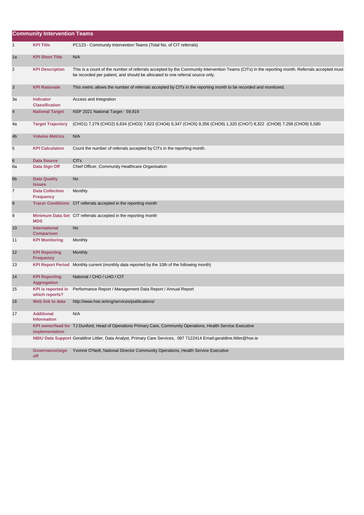|                 | <b>Community Intervention Teams</b>         |                                                                                                                                                                                                                                 |  |  |
|-----------------|---------------------------------------------|---------------------------------------------------------------------------------------------------------------------------------------------------------------------------------------------------------------------------------|--|--|
| $\mathbf{1}$    | <b>KPI Title</b>                            | PC123 - Community Intervention Teams (Total No. of CIT referrals)                                                                                                                                                               |  |  |
| 1a              | <b>KPI Short Title</b>                      | N/A                                                                                                                                                                                                                             |  |  |
| 2               | <b>KPI Description</b>                      | This is a count of the number of referrals accepted by the Community Intervention Teams (CITs) in the reporting month. Referrals accepted must<br>be recorded per patient, and should be allocated to one referral source only. |  |  |
| 3               | <b>KPI Rationale</b>                        | This metric allows the number of referrals accepted by CITs in the reporting month to be recorded and monitored.                                                                                                                |  |  |
| За              | <b>Indicator</b><br><b>Classification</b>   | Access and Integration                                                                                                                                                                                                          |  |  |
| 4               | <b>National Target</b>                      | NSP 2021 National Target - 59,919                                                                                                                                                                                               |  |  |
| 4a              | <b>Target Trajectory</b>                    | (CHO1) 7,279 (CHO2) 6,634 (CHO3) 7,823 (CHO4) 6,347 (CHO5) 9,356 (CHO6) 1,320 (CHO7) 8,322 (CHO8) 7,258 (CHO9) 5,580                                                                                                            |  |  |
| 4b              | <b>Volume Metrics</b>                       | N/A                                                                                                                                                                                                                             |  |  |
| 5               | <b>KPI Calculation</b>                      | Count the number of referrals accepted by CITs in the reporting month.                                                                                                                                                          |  |  |
| 6               | <b>Data Source</b>                          | <b>CIT<sub>s</sub></b>                                                                                                                                                                                                          |  |  |
| 6а              | Data Sign Off                               | Chief Officer, Community Healthcare Organisation                                                                                                                                                                                |  |  |
| 6 <sub>b</sub>  | <b>Data Quality</b><br><b>Issues</b>        | <b>No</b>                                                                                                                                                                                                                       |  |  |
| 7               | <b>Data Collection</b><br><b>Frequency</b>  | Monthly                                                                                                                                                                                                                         |  |  |
| 8               |                                             | Tracer Conditions CIT referrals accepted in the reporting month                                                                                                                                                                 |  |  |
| 9               | <b>MDS</b>                                  | Minimum Data Set CIT referrals accepted in the reporting month                                                                                                                                                                  |  |  |
| 10 <sup>°</sup> | <b>International</b><br><b>Comparison</b>   | <b>No</b>                                                                                                                                                                                                                       |  |  |
| 11              | <b>KPI Monitoring</b>                       | Monthly                                                                                                                                                                                                                         |  |  |
| 12              | <b>KPI Reporting</b><br><b>Frequency</b>    | Monthly                                                                                                                                                                                                                         |  |  |
| 13              | <b>KPI Report Period</b>                    | Monthly current (monthly data reported by the 10th of the following month)                                                                                                                                                      |  |  |
| 14              | <b>KPI Reporting</b><br><b>Aggregation</b>  | National / CHO / LHO / CIT                                                                                                                                                                                                      |  |  |
| 15              | <b>KPI</b> is reported in<br>which reports? | Performance Report / Management Data Report / Annual Report                                                                                                                                                                     |  |  |
| 16              | Web link to data                            | http://www.hse.ie/eng/services/publications/                                                                                                                                                                                    |  |  |
| 17              | <b>Additional</b><br><b>Information</b>     | N/A                                                                                                                                                                                                                             |  |  |
|                 | implementation                              | KPI owner/lead for TJ Dunford, Head of Operations Primary Care, Community Operations, Health Service Executive                                                                                                                  |  |  |
|                 |                                             | NBIU Data Support Geraldine Littler, Data Analyst, Primary Care Services, 087 7122414 Email:geraldine.littler@hse.ie                                                                                                            |  |  |
|                 | Governance/sign<br>off                      | Yvonne O'Neill, National Director Community Operations, Health Service Executive                                                                                                                                                |  |  |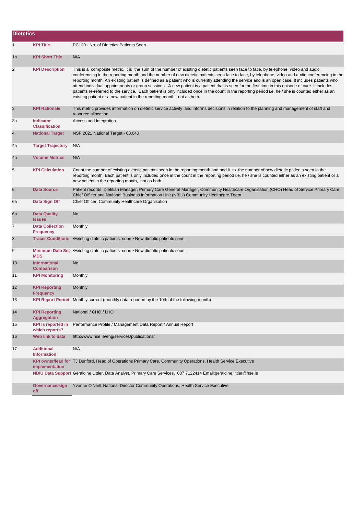| <b>Dietetics</b> |                                             |                                                                                                                                                                                                                                                                                                                                                                                                                                                                                                                                                                                                                                                                                                                                                                                                                                      |
|------------------|---------------------------------------------|--------------------------------------------------------------------------------------------------------------------------------------------------------------------------------------------------------------------------------------------------------------------------------------------------------------------------------------------------------------------------------------------------------------------------------------------------------------------------------------------------------------------------------------------------------------------------------------------------------------------------------------------------------------------------------------------------------------------------------------------------------------------------------------------------------------------------------------|
| $\mathbf{1}$     | <b>KPI Title</b>                            | PC130 - No. of Dietetics Patients Seen                                                                                                                                                                                                                                                                                                                                                                                                                                                                                                                                                                                                                                                                                                                                                                                               |
| 1a               | <b>KPI Short Title</b>                      | N/A                                                                                                                                                                                                                                                                                                                                                                                                                                                                                                                                                                                                                                                                                                                                                                                                                                  |
| 2                | <b>KPI Description</b>                      | This is a composite metric. It is the sum of the number of existing dietetic patients seen face to face, by telephone, video and audio<br>conferencing in the reporting month and the number of new dietetic patients seen face to face, by telephone, video and audio conferencing in the<br>reporting month. An existing patient is defined as a patient who is currently attending the service and is an open case. It includes patients who<br>attend individual appointments or group sessions. A new patient is a patient that is seen for the first time in this episode of care. It includes<br>patients re-referred to the service. Each patient is only included once in the count in the reporting period i.e. he / she is counted either as an<br>existing patient or a new patient in the reporting month, not as both. |
| 3                | <b>KPI Rationale</b>                        | This metric provides information on dietetic service activity and informs decisions in relation to the planning and management of staff and<br>resource allocation.                                                                                                                                                                                                                                                                                                                                                                                                                                                                                                                                                                                                                                                                  |
| За               | <b>Indicator</b><br><b>Classification</b>   | Access and Integration                                                                                                                                                                                                                                                                                                                                                                                                                                                                                                                                                                                                                                                                                                                                                                                                               |
| 4                | <b>National Target</b>                      | NSP 2021 National Target - 68,640                                                                                                                                                                                                                                                                                                                                                                                                                                                                                                                                                                                                                                                                                                                                                                                                    |
| 4a               | <b>Target Trajectory</b>                    | N/A                                                                                                                                                                                                                                                                                                                                                                                                                                                                                                                                                                                                                                                                                                                                                                                                                                  |
| 4b               | <b>Volume Metrics</b>                       | N/A                                                                                                                                                                                                                                                                                                                                                                                                                                                                                                                                                                                                                                                                                                                                                                                                                                  |
| 5                | <b>KPI Calculation</b>                      | Count the number of existing dietetic patients seen in the reporting month and add it to the number of new dietetic patients seen in the<br>reporting month. Each patient is only included once in the count in the reporting period i.e. he / she is counted either as an existing patient or a<br>new patient in the reporting month, not as both.                                                                                                                                                                                                                                                                                                                                                                                                                                                                                 |
| 6                | <b>Data Source</b>                          | Patient records, Dietitian Manager, Primary Care General Manager, Community Healthcare Organisation (CHO) Head of Service Primary Care,<br>Chief Officer and National Business Information Unit (NBIU) Community Healthcare Team.                                                                                                                                                                                                                                                                                                                                                                                                                                                                                                                                                                                                    |
| 6а               | Data Sign Off                               | Chief Officer, Community Healthcare Organisation                                                                                                                                                                                                                                                                                                                                                                                                                                                                                                                                                                                                                                                                                                                                                                                     |
| 6 <sub>b</sub>   | <b>Data Quality</b><br><b>Issues</b>        | <b>No</b>                                                                                                                                                                                                                                                                                                                                                                                                                                                                                                                                                                                                                                                                                                                                                                                                                            |
| 7                | <b>Data Collection</b><br><b>Frequency</b>  | Monthly                                                                                                                                                                                                                                                                                                                                                                                                                                                                                                                                                                                                                                                                                                                                                                                                                              |
| 8                | <b>Tracer Conditions</b>                    | • Existing dietetic patients seen • New dietetic patients seen                                                                                                                                                                                                                                                                                                                                                                                                                                                                                                                                                                                                                                                                                                                                                                       |
| 9                | <b>MDS</b>                                  | Minimum Data Set • Existing dietetic patients seen • New dietetic patients seen                                                                                                                                                                                                                                                                                                                                                                                                                                                                                                                                                                                                                                                                                                                                                      |
| 10               | <b>International</b><br><b>Comparison</b>   | No                                                                                                                                                                                                                                                                                                                                                                                                                                                                                                                                                                                                                                                                                                                                                                                                                                   |
| 11               | <b>KPI Monitoring</b>                       | Monthly                                                                                                                                                                                                                                                                                                                                                                                                                                                                                                                                                                                                                                                                                                                                                                                                                              |
| 12               | <b>KPI Reporting</b><br><b>Frequency</b>    | Monthly                                                                                                                                                                                                                                                                                                                                                                                                                                                                                                                                                                                                                                                                                                                                                                                                                              |
| 13               |                                             | KPI Report Period Monthly current (monthly data reported by the 10th of the following month)                                                                                                                                                                                                                                                                                                                                                                                                                                                                                                                                                                                                                                                                                                                                         |
| 14               | <b>KPI Reporting</b><br><b>Aggregation</b>  | National / CHO / LHO                                                                                                                                                                                                                                                                                                                                                                                                                                                                                                                                                                                                                                                                                                                                                                                                                 |
| 15               | <b>KPI</b> is reported in<br>which reports? | Performance Profile / Management Data Report / Annual Report                                                                                                                                                                                                                                                                                                                                                                                                                                                                                                                                                                                                                                                                                                                                                                         |
| 16               | Web link to data                            | http://www.hse.ie/eng/services/publications/                                                                                                                                                                                                                                                                                                                                                                                                                                                                                                                                                                                                                                                                                                                                                                                         |
| 17               | <b>Additional</b><br><b>Information</b>     | N/A                                                                                                                                                                                                                                                                                                                                                                                                                                                                                                                                                                                                                                                                                                                                                                                                                                  |
|                  | implementation                              | KPI owner/lead for TJ Dunford, Head of Operations Primary Care, Community Operations, Health Service Executive                                                                                                                                                                                                                                                                                                                                                                                                                                                                                                                                                                                                                                                                                                                       |
|                  |                                             | NBIU Data Support Geraldine Littler, Data Analyst, Primary Care Services, 087 7122414 Email:geraldine.littler@hse.ie                                                                                                                                                                                                                                                                                                                                                                                                                                                                                                                                                                                                                                                                                                                 |
|                  | Governance/sign<br>off                      | Yvonne O'Neill, National Director Community Operations, Health Service Executive                                                                                                                                                                                                                                                                                                                                                                                                                                                                                                                                                                                                                                                                                                                                                     |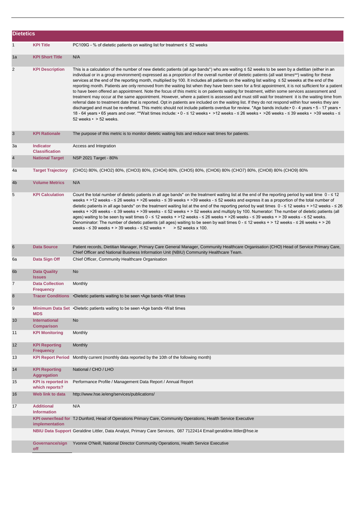| <b>Dietetics</b> |                                             |                                                                                                                                                                                                                                                                                                                                                                                                                                                                                                                                                                                                                                                                                                                                                                                                                                                                                                                                                                                                                                                                                                                                                                                                                                                                                                                                                                                                                                     |
|------------------|---------------------------------------------|-------------------------------------------------------------------------------------------------------------------------------------------------------------------------------------------------------------------------------------------------------------------------------------------------------------------------------------------------------------------------------------------------------------------------------------------------------------------------------------------------------------------------------------------------------------------------------------------------------------------------------------------------------------------------------------------------------------------------------------------------------------------------------------------------------------------------------------------------------------------------------------------------------------------------------------------------------------------------------------------------------------------------------------------------------------------------------------------------------------------------------------------------------------------------------------------------------------------------------------------------------------------------------------------------------------------------------------------------------------------------------------------------------------------------------------|
| $\mathbf{1}$     | <b>KPI Title</b>                            | PC109G - % of dietetic patients on waiting list for treatment $\leq 52$ weeks                                                                                                                                                                                                                                                                                                                                                                                                                                                                                                                                                                                                                                                                                                                                                                                                                                                                                                                                                                                                                                                                                                                                                                                                                                                                                                                                                       |
| 1a               | <b>KPI Short Title</b>                      | N/A                                                                                                                                                                                                                                                                                                                                                                                                                                                                                                                                                                                                                                                                                                                                                                                                                                                                                                                                                                                                                                                                                                                                                                                                                                                                                                                                                                                                                                 |
| 2                | <b>KPI Description</b>                      | This is a calculation of the number of new dietetic patients (all age bands*) who are waiting $\leq$ 52 weeks to be seen by a dietitian (either in an<br>individual or in a group environment) expressed as a proportion of the overall number of dietetic patients (all wait times**) waiting for these<br>services at the end of the reporting month, multiplied by 100. It includes all patients on the waiting list waiting ≤ 52 weeeks at the end of the<br>reporting month. Patients are only removed from the waiting list when they have been seen for a first appointment, it is not sufficient for a patient<br>to have been offered an appointment. Note the focus of this metric is on patients waiting for treatment, within some services assessment and<br>treatment may occur at the same appointment. However, where a patient is assessed and must still wait for treatment it is the waiting time from<br>referral date to treatment date that is reported. Opt in patients are included on the waiting list. If they do not respond within four weeks they are<br>discharged and must be re-referred. This metric should not include patients overdue for review. *Age bands include: • 0 - 4 years • 5 - 17 years •<br>18 - 64 years • 65 years and over. **Wait times include: • 0 - ≤ 12 weeks • >12 weeks - ≤ 26 weeks • >26 weeks - ≤ 39 weeks • >39 weeks • >39 weeks - ≤<br>52 weeks $\cdot$ > 52 weeks. |
| $\sqrt{3}$       | <b>KPI Rationale</b>                        | The purpose of this metric is to monitor dietetic waiting lists and reduce wait times for patients.                                                                                                                                                                                                                                                                                                                                                                                                                                                                                                                                                                                                                                                                                                                                                                                                                                                                                                                                                                                                                                                                                                                                                                                                                                                                                                                                 |
| 3a               | <b>Indicator</b><br><b>Classification</b>   | Access and Integration                                                                                                                                                                                                                                                                                                                                                                                                                                                                                                                                                                                                                                                                                                                                                                                                                                                                                                                                                                                                                                                                                                                                                                                                                                                                                                                                                                                                              |
| 4                | <b>National Target</b>                      | NSP 2021 Target - 80%                                                                                                                                                                                                                                                                                                                                                                                                                                                                                                                                                                                                                                                                                                                                                                                                                                                                                                                                                                                                                                                                                                                                                                                                                                                                                                                                                                                                               |
| 4a               | <b>Target Trajectory</b>                    | (CHO1) 80%, (CHO2) 80%, (CHO3) 80%, (CHO4) 80%, (CHO5) 80%, (CHO6) 80% (CHO7) 80%, (CHO8) 80% (CHO9) 80%                                                                                                                                                                                                                                                                                                                                                                                                                                                                                                                                                                                                                                                                                                                                                                                                                                                                                                                                                                                                                                                                                                                                                                                                                                                                                                                            |
| 4 <sub>b</sub>   | <b>Volume Metrics</b>                       | N/A                                                                                                                                                                                                                                                                                                                                                                                                                                                                                                                                                                                                                                                                                                                                                                                                                                                                                                                                                                                                                                                                                                                                                                                                                                                                                                                                                                                                                                 |
| 5                | <b>KPI Calculation</b>                      | Count the total number of dietetic patients in all age bands* on the treatment waiting list at the end of the reporting period by wait time $0 - \le 12$<br>weeks + >12 weeks - ≤ 26 weeks + >26 weeks - ≤ 39 weeks + >39 weeks - ≤ 52 weeks and express it as a proportion of the total number of<br>dietetic patients in all age bands* on the treatment waiting list at the end of the reporting period by wait times 0 - ≤ 12 weeks + >12 weeks - ≤ 26<br>weeks + >26 weeks - ≤ 39 weeks + >39 weeks - ≤ 52 weeks + > 52 weeks and multiply by 100. Numerator: The number of dietetic patients (all<br>ages) waiting to be seen by wait times 0 - ≤ 12 weeks + >12 weeks - ≤ 26 weeks + >26 weeks - ≤ 39 weeks + > 39 weeks - ≤ 52 weeks.<br>Denominator: The number of dietetic patients (all ages) waiting to be seen by wait times $0 - 12$ weeks + > 12 weeks - $\leq 26$ weeks + > 26<br>weeks - $\leq$ 39 weeks + $>$ 39 weeks - $\leq$ 52 weeks +<br>> 52 weeks x 100.                                                                                                                                                                                                                                                                                                                                                                                                                                                   |
| 6                | <b>Data Source</b>                          | Patient records, Dietitian Manager, Primary Care General Manager, Community Healthcare Organisation (CHO) Head of Service Primary Care,<br>Chief Officer and National Business Information Unit (NBIU) Community Healthcare Team.                                                                                                                                                                                                                                                                                                                                                                                                                                                                                                                                                                                                                                                                                                                                                                                                                                                                                                                                                                                                                                                                                                                                                                                                   |
| 6а               | Data Sign Off                               | Chief Officer, Community Healthcare Organisation                                                                                                                                                                                                                                                                                                                                                                                                                                                                                                                                                                                                                                                                                                                                                                                                                                                                                                                                                                                                                                                                                                                                                                                                                                                                                                                                                                                    |
| 6 <sub>b</sub>   | <b>Data Quality</b><br><b>Issues</b>        | No                                                                                                                                                                                                                                                                                                                                                                                                                                                                                                                                                                                                                                                                                                                                                                                                                                                                                                                                                                                                                                                                                                                                                                                                                                                                                                                                                                                                                                  |
| $\overline{7}$   | <b>Data Collection</b><br><b>Frequency</b>  | Monthly                                                                                                                                                                                                                                                                                                                                                                                                                                                                                                                                                                                                                                                                                                                                                                                                                                                                                                                                                                                                                                                                                                                                                                                                                                                                                                                                                                                                                             |
| 8                |                                             | Tracer Conditions •Dietetic patients waiting to be seen •Age bands •Wait times                                                                                                                                                                                                                                                                                                                                                                                                                                                                                                                                                                                                                                                                                                                                                                                                                                                                                                                                                                                                                                                                                                                                                                                                                                                                                                                                                      |
| 9                | <b>MDS</b>                                  | Minimum Data Set •Dietetic patients waiting to be seen •Age bands •Wait times                                                                                                                                                                                                                                                                                                                                                                                                                                                                                                                                                                                                                                                                                                                                                                                                                                                                                                                                                                                                                                                                                                                                                                                                                                                                                                                                                       |
| 10               | <b>International</b><br><b>Comparison</b>   | No                                                                                                                                                                                                                                                                                                                                                                                                                                                                                                                                                                                                                                                                                                                                                                                                                                                                                                                                                                                                                                                                                                                                                                                                                                                                                                                                                                                                                                  |
| 11               | <b>KPI Monitoring</b>                       | Monthly                                                                                                                                                                                                                                                                                                                                                                                                                                                                                                                                                                                                                                                                                                                                                                                                                                                                                                                                                                                                                                                                                                                                                                                                                                                                                                                                                                                                                             |
| 12               | <b>KPI Reporting</b><br><b>Frequency</b>    | Monthly                                                                                                                                                                                                                                                                                                                                                                                                                                                                                                                                                                                                                                                                                                                                                                                                                                                                                                                                                                                                                                                                                                                                                                                                                                                                                                                                                                                                                             |
| 13               | <b>KPI Report Period</b>                    | Monthly current (monthly data reported by the 10th of the following month)                                                                                                                                                                                                                                                                                                                                                                                                                                                                                                                                                                                                                                                                                                                                                                                                                                                                                                                                                                                                                                                                                                                                                                                                                                                                                                                                                          |
| 14               | <b>KPI Reporting</b><br><b>Aggregation</b>  | National / CHO / LHO                                                                                                                                                                                                                                                                                                                                                                                                                                                                                                                                                                                                                                                                                                                                                                                                                                                                                                                                                                                                                                                                                                                                                                                                                                                                                                                                                                                                                |
| 15               | <b>KPI</b> is reported in<br>which reports? | Performance Profile / Management Data Report / Annual Report                                                                                                                                                                                                                                                                                                                                                                                                                                                                                                                                                                                                                                                                                                                                                                                                                                                                                                                                                                                                                                                                                                                                                                                                                                                                                                                                                                        |
| 16               | Web link to data                            | http://www.hse.ie/eng/services/publications/                                                                                                                                                                                                                                                                                                                                                                                                                                                                                                                                                                                                                                                                                                                                                                                                                                                                                                                                                                                                                                                                                                                                                                                                                                                                                                                                                                                        |
| 17               | <b>Additional</b><br><b>Information</b>     | N/A                                                                                                                                                                                                                                                                                                                                                                                                                                                                                                                                                                                                                                                                                                                                                                                                                                                                                                                                                                                                                                                                                                                                                                                                                                                                                                                                                                                                                                 |
|                  | implementation                              | KPI owner/lead for TJ Dunford, Head of Operations Primary Care, Community Operations, Health Service Executive                                                                                                                                                                                                                                                                                                                                                                                                                                                                                                                                                                                                                                                                                                                                                                                                                                                                                                                                                                                                                                                                                                                                                                                                                                                                                                                      |
|                  |                                             | NBIU Data Support Geraldine Littler, Data Analyst, Primary Care Services, 087 7122414 Email:geraldine.littler@hse.ie                                                                                                                                                                                                                                                                                                                                                                                                                                                                                                                                                                                                                                                                                                                                                                                                                                                                                                                                                                                                                                                                                                                                                                                                                                                                                                                |
|                  | Governance/sign<br>off                      | Yvonne O'Neill, National Director Community Operations, Health Service Executive                                                                                                                                                                                                                                                                                                                                                                                                                                                                                                                                                                                                                                                                                                                                                                                                                                                                                                                                                                                                                                                                                                                                                                                                                                                                                                                                                    |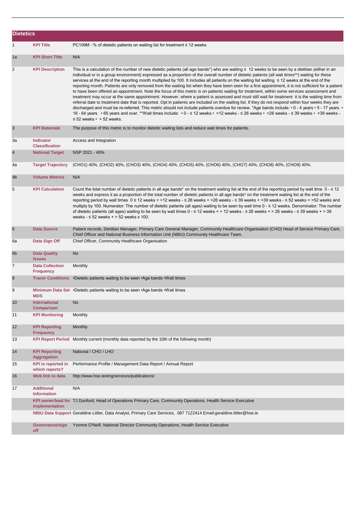| <b>Dietetics</b> |                                             |                                                                                                                                                                                                                                                                                                                                                                                                                                                                                                                                                                                                                                                                                                                                                                                                                                                                                                                                                                                                                                                                                                                                                                                                                                                                                                                                                                                                                 |
|------------------|---------------------------------------------|-----------------------------------------------------------------------------------------------------------------------------------------------------------------------------------------------------------------------------------------------------------------------------------------------------------------------------------------------------------------------------------------------------------------------------------------------------------------------------------------------------------------------------------------------------------------------------------------------------------------------------------------------------------------------------------------------------------------------------------------------------------------------------------------------------------------------------------------------------------------------------------------------------------------------------------------------------------------------------------------------------------------------------------------------------------------------------------------------------------------------------------------------------------------------------------------------------------------------------------------------------------------------------------------------------------------------------------------------------------------------------------------------------------------|
| $\mathbf{1}$     | <b>KPI Title</b>                            | PC109M - % of dietetic patients on waiting list for treatment $\leq$ 12 weeks                                                                                                                                                                                                                                                                                                                                                                                                                                                                                                                                                                                                                                                                                                                                                                                                                                                                                                                                                                                                                                                                                                                                                                                                                                                                                                                                   |
| 1a               | <b>KPI Short Title</b>                      | N/A                                                                                                                                                                                                                                                                                                                                                                                                                                                                                                                                                                                                                                                                                                                                                                                                                                                                                                                                                                                                                                                                                                                                                                                                                                                                                                                                                                                                             |
| 2                | <b>KPI Description</b>                      | This is a calculation of the number of new dietetic patients (all age bands*) who are waiting ≤ 12 weeks to be seen by a dietitian (either in an<br>individual or in a group environment) expressed as a proportion of the overall number of dietetic patients (all wait times**) waiting for these<br>services at the end of the reporting month multiplied by 100. It includes all patients on the waiting list waiting ≤ 12 weeks at the end of the<br>reporting month. Patients are only removed from the waiting list when they have been seen for a first appointment, it is not sufficient for a patient<br>to have been offered an appointment. Note the focus of this metric is on patients waiting for treatment, within some services assessment and<br>treatment may occur at the same appointment. However, where a patient is assessed and must still wait for treatment it is the waiting time from<br>referral date to treatment date that is reported. Opt in patients are included on the waiting list. If they do not respond within four weeks they are<br>discharged and must be re-referred. This metric should not include patients overdue for review. *Age bands include: • 0 - 4 years • 5 - 17 years •<br>18 - 64 years • 65 years and over. **Wait times include: • 0 - ≤ 12 weeks • >12 weeks - ≤ 26 weeks • >26 weeks - ≤ 39 weeks • >39 weeks -<br>$\leq$ 52 weeks • > 52 weeks. |
| 3                | <b>KPI Rationale</b>                        | The purpose of this metric is to monitor dietetic waiting lists and reduce wait times for patients.                                                                                                                                                                                                                                                                                                                                                                                                                                                                                                                                                                                                                                                                                                                                                                                                                                                                                                                                                                                                                                                                                                                                                                                                                                                                                                             |
| За               | <b>Indicator</b><br><b>Classification</b>   | Access and Integration                                                                                                                                                                                                                                                                                                                                                                                                                                                                                                                                                                                                                                                                                                                                                                                                                                                                                                                                                                                                                                                                                                                                                                                                                                                                                                                                                                                          |
| $\overline{4}$   | <b>National Target</b>                      | NSP 2021 - 40%                                                                                                                                                                                                                                                                                                                                                                                                                                                                                                                                                                                                                                                                                                                                                                                                                                                                                                                                                                                                                                                                                                                                                                                                                                                                                                                                                                                                  |
| 4a               | <b>Target Trajectory</b>                    | (CHO1) 40%, (CHO2) 40%, (CHO3) 40%, (CHO4) 40%, (CHO5) 40%, (CHO6) 40%, (CHO7) 40%, (CHO8) 40%, (CHO9) 40%.                                                                                                                                                                                                                                                                                                                                                                                                                                                                                                                                                                                                                                                                                                                                                                                                                                                                                                                                                                                                                                                                                                                                                                                                                                                                                                     |
| 4 <sub>b</sub>   | <b>Volume Metrics</b>                       | N/A                                                                                                                                                                                                                                                                                                                                                                                                                                                                                                                                                                                                                                                                                                                                                                                                                                                                                                                                                                                                                                                                                                                                                                                                                                                                                                                                                                                                             |
| 5                | <b>KPI Calculation</b>                      | Count the total number of dietetic patients in all age bands* on the treatment waiting list at the end of the reporting period by wait time $0 \cdot \le 12$<br>weeks and express it as a proportion of the total number of dietetic patients in all age bands* on the treatment waiting list at the end of the<br>reporting period by wait times 0 ≤ 12 weeks + >12 weeks - ≤ 26 weeks + >26 weeks - ≤ 39 weeks + >39 weeks - ≤ 52 weeks + >52 weeks and<br>multiply by 100. Numerator: The number of dietetic patients (all ages) waiting to be seen by wait time 0 - ≤ 12 weeks. Denominator: The number<br>of dietetic patients (all ages) waiting to be seen by wait times 0 - ≤ 12 weeks + > 12 weeks - ≤ 26 weeks + > 26 weeks - ≤ 39 weeks + > 39<br>weeks - $\leq$ 52 weeks + $>$ 52 weeks x 100.                                                                                                                                                                                                                                                                                                                                                                                                                                                                                                                                                                                                      |
| 6                | <b>Data Source</b>                          | Patient records, Dietitian Manager, Primary Care General Manager, Community Healthcare Organisation (CHO) Head of Service Primary Care,<br>Chief Officer and National Business Information Unit (NBIU) Community Healthcare Team.                                                                                                                                                                                                                                                                                                                                                                                                                                                                                                                                                                                                                                                                                                                                                                                                                                                                                                                                                                                                                                                                                                                                                                               |
| 6а               | Data Sign Off                               | Chief Officer, Community Healthcare Organisation                                                                                                                                                                                                                                                                                                                                                                                                                                                                                                                                                                                                                                                                                                                                                                                                                                                                                                                                                                                                                                                                                                                                                                                                                                                                                                                                                                |
| 6 <sub>b</sub>   | <b>Data Quality</b><br><b>Issues</b>        | No                                                                                                                                                                                                                                                                                                                                                                                                                                                                                                                                                                                                                                                                                                                                                                                                                                                                                                                                                                                                                                                                                                                                                                                                                                                                                                                                                                                                              |
| 7                | <b>Data Collection</b><br><b>Frequency</b>  | Monthly                                                                                                                                                                                                                                                                                                                                                                                                                                                                                                                                                                                                                                                                                                                                                                                                                                                                                                                                                                                                                                                                                                                                                                                                                                                                                                                                                                                                         |
| 8                |                                             | Tracer Conditions •Dietetic patients waiting to be seen •Age bands •Wait times                                                                                                                                                                                                                                                                                                                                                                                                                                                                                                                                                                                                                                                                                                                                                                                                                                                                                                                                                                                                                                                                                                                                                                                                                                                                                                                                  |
| 9                | <b>MDS</b>                                  | Minimum Data Set •Dietetic patients waiting to be seen •Age bands •Wait times                                                                                                                                                                                                                                                                                                                                                                                                                                                                                                                                                                                                                                                                                                                                                                                                                                                                                                                                                                                                                                                                                                                                                                                                                                                                                                                                   |
| 10               | <b>International</b><br><b>Comparison</b>   | No                                                                                                                                                                                                                                                                                                                                                                                                                                                                                                                                                                                                                                                                                                                                                                                                                                                                                                                                                                                                                                                                                                                                                                                                                                                                                                                                                                                                              |
| 11               | <b>KPI Monitoring</b>                       | Monthly                                                                                                                                                                                                                                                                                                                                                                                                                                                                                                                                                                                                                                                                                                                                                                                                                                                                                                                                                                                                                                                                                                                                                                                                                                                                                                                                                                                                         |
| 12               | <b>KPI Reporting</b><br><b>Frequency</b>    | Monthly                                                                                                                                                                                                                                                                                                                                                                                                                                                                                                                                                                                                                                                                                                                                                                                                                                                                                                                                                                                                                                                                                                                                                                                                                                                                                                                                                                                                         |
| 13               | <b>KPI Report Period</b>                    | Monthly current (monthly data reported by the 10th of the following month)                                                                                                                                                                                                                                                                                                                                                                                                                                                                                                                                                                                                                                                                                                                                                                                                                                                                                                                                                                                                                                                                                                                                                                                                                                                                                                                                      |
| 14               | <b>KPI Reporting</b><br><b>Aggregation</b>  | National / CHO / LHO                                                                                                                                                                                                                                                                                                                                                                                                                                                                                                                                                                                                                                                                                                                                                                                                                                                                                                                                                                                                                                                                                                                                                                                                                                                                                                                                                                                            |
| 15               | <b>KPI</b> is reported in<br>which reports? | Performance Profile / Management Data Report / Annual Report                                                                                                                                                                                                                                                                                                                                                                                                                                                                                                                                                                                                                                                                                                                                                                                                                                                                                                                                                                                                                                                                                                                                                                                                                                                                                                                                                    |
| 16               | Web link to data                            | http://www.hse.ie/eng/services/publications/                                                                                                                                                                                                                                                                                                                                                                                                                                                                                                                                                                                                                                                                                                                                                                                                                                                                                                                                                                                                                                                                                                                                                                                                                                                                                                                                                                    |
| 17               | <b>Additional</b><br><b>Information</b>     | N/A                                                                                                                                                                                                                                                                                                                                                                                                                                                                                                                                                                                                                                                                                                                                                                                                                                                                                                                                                                                                                                                                                                                                                                                                                                                                                                                                                                                                             |
|                  | implementation                              | KPI owner/lead for TJ Dunford, Head of Operations Primary Care, Community Operations, Health Service Executive                                                                                                                                                                                                                                                                                                                                                                                                                                                                                                                                                                                                                                                                                                                                                                                                                                                                                                                                                                                                                                                                                                                                                                                                                                                                                                  |
|                  |                                             | NBIU Data Support Geraldine Littler, Data Analyst, Primary Care Services, 087 7122414 Email:geraldine.littler@hse.ie                                                                                                                                                                                                                                                                                                                                                                                                                                                                                                                                                                                                                                                                                                                                                                                                                                                                                                                                                                                                                                                                                                                                                                                                                                                                                            |
|                  | Governance/sign<br>off                      | Yvonne O'Neill, National Director Community Operations, Health Service Executive                                                                                                                                                                                                                                                                                                                                                                                                                                                                                                                                                                                                                                                                                                                                                                                                                                                                                                                                                                                                                                                                                                                                                                                                                                                                                                                                |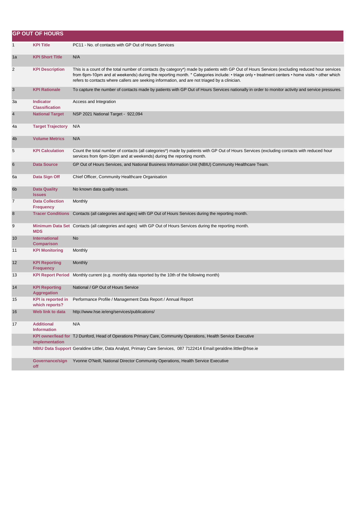|                | <b>GP OUT OF HOURS</b>                      |                                                                                                                                                                                                                                                                                                                                                                                                   |
|----------------|---------------------------------------------|---------------------------------------------------------------------------------------------------------------------------------------------------------------------------------------------------------------------------------------------------------------------------------------------------------------------------------------------------------------------------------------------------|
| 1              | <b>KPI Title</b>                            | PC11 - No. of contacts with GP Out of Hours Services                                                                                                                                                                                                                                                                                                                                              |
| 1a             | <b>KPI Short Title</b>                      | N/A                                                                                                                                                                                                                                                                                                                                                                                               |
| $\overline{c}$ | <b>KPI Description</b>                      | This is a count of the total number of contacts (by category*) made by patients with GP Out of Hours Services (excluding reduced hour services<br>from 6pm-10pm and at weekends) during the reporting month. * Categories include: • triage only • treatment centers • home visits • other which<br>refers to contacts where callers are seeking information, and are not triaged by a clinician. |
| 3              | <b>KPI Rationale</b>                        | To capture the number of contacts made by patients with GP Out of Hours Services nationally in order to monitor activity and service pressures.                                                                                                                                                                                                                                                   |
| За             | <b>Indicator</b><br><b>Classification</b>   | Access and Integration                                                                                                                                                                                                                                                                                                                                                                            |
| 4              | <b>National Target</b>                      | NSP 2021 National Target - 922,094                                                                                                                                                                                                                                                                                                                                                                |
| 4a             | <b>Target Trajectory</b>                    | N/A                                                                                                                                                                                                                                                                                                                                                                                               |
| 4b             | <b>Volume Metrics</b>                       | N/A                                                                                                                                                                                                                                                                                                                                                                                               |
| 5              | <b>KPI Calculation</b>                      | Count the total number of contacts (all categories*) made by patients with GP Out of Hours Services (excluding contacts with reduced hour<br>services from 6pm-10pm and at weekends) during the reporting month.                                                                                                                                                                                  |
| 6              | <b>Data Source</b>                          | GP Out of Hours Services, and National Business Information Unit (NBIU) Community Healthcare Team.                                                                                                                                                                                                                                                                                                |
| 6а             | Data Sign Off                               | Chief Officer, Community Healthcare Organisation                                                                                                                                                                                                                                                                                                                                                  |
| 6b             | <b>Data Quality</b><br><b>Issues</b>        | No known data quality issues.                                                                                                                                                                                                                                                                                                                                                                     |
| $\overline{7}$ | <b>Data Collection</b><br><b>Frequency</b>  | Monthly                                                                                                                                                                                                                                                                                                                                                                                           |
| $\bf8$         |                                             | Tracer Conditions Contacts (all categories and ages) with GP Out of Hours Services during the reporting month.                                                                                                                                                                                                                                                                                    |
| 9              | <b>MDS</b>                                  | Minimum Data Set Contacts (all categories and ages) with GP Out of Hours Services during the reporting month.                                                                                                                                                                                                                                                                                     |
| 10             | <b>International</b><br><b>Comparison</b>   | No                                                                                                                                                                                                                                                                                                                                                                                                |
| 11             | <b>KPI Monitoring</b>                       | Monthly                                                                                                                                                                                                                                                                                                                                                                                           |
| 12             | <b>KPI Reporting</b><br><b>Frequency</b>    | Monthly                                                                                                                                                                                                                                                                                                                                                                                           |
| 13             | <b>KPI Report Period</b>                    | Monthly current (e.g. monthly data reported by the 10th of the following month)                                                                                                                                                                                                                                                                                                                   |
| 14             | <b>KPI Reporting</b><br><b>Aggregation</b>  | National / GP Out of Hours Service                                                                                                                                                                                                                                                                                                                                                                |
| 15             | <b>KPI</b> is reported in<br>which reports? | Performance Profile / Management Data Report / Annual Report                                                                                                                                                                                                                                                                                                                                      |
| 16             | Web link to data                            | http://www.hse.ie/eng/services/publications/                                                                                                                                                                                                                                                                                                                                                      |
| 17             | <b>Additional</b><br><b>Information</b>     | N/A                                                                                                                                                                                                                                                                                                                                                                                               |
|                | implementation                              | KPI owner/lead for TJ Dunford, Head of Operations Primary Care, Community Operations, Health Service Executive                                                                                                                                                                                                                                                                                    |
|                |                                             | NBIU Data Support Geraldine Littler, Data Analyst, Primary Care Services, 087 7122414 Email:geraldine.littler@hse.ie                                                                                                                                                                                                                                                                              |
|                | Governance/sign<br>off                      | Yvonne O'Neill, National Director Community Operations, Health Service Executive                                                                                                                                                                                                                                                                                                                  |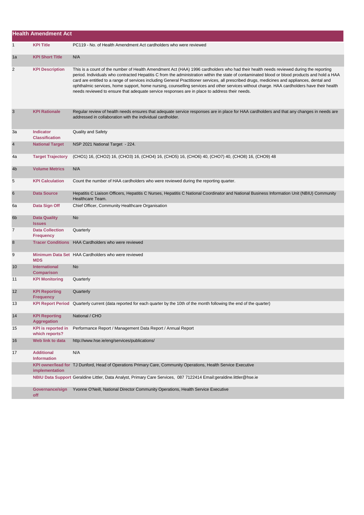|              | <b>Health Amendment Act</b>                 |                                                                                                                                                                                                                                                                                                                                                                                                                                                                                                                                                                                                                                                                                        |
|--------------|---------------------------------------------|----------------------------------------------------------------------------------------------------------------------------------------------------------------------------------------------------------------------------------------------------------------------------------------------------------------------------------------------------------------------------------------------------------------------------------------------------------------------------------------------------------------------------------------------------------------------------------------------------------------------------------------------------------------------------------------|
| $\mathbf{1}$ | <b>KPI Title</b>                            | PC119 - No. of Health Amendment Act cardholders who were reviewed                                                                                                                                                                                                                                                                                                                                                                                                                                                                                                                                                                                                                      |
| 1a           | <b>KPI Short Title</b>                      | N/A                                                                                                                                                                                                                                                                                                                                                                                                                                                                                                                                                                                                                                                                                    |
| 2            | <b>KPI Description</b>                      | This is a count of the number of Health Amendment Act (HAA) 1996 cardholders who had their health needs reviewed during the reporting<br>period. Individuals who contracted Hepatitis C from the administration within the state of contaminated blood or blood products and hold a HAA<br>card are entitled to a range of services including General Practitioner services, all prescribed drugs, medicines and appliances, dental and<br>ophthalmic services, home support, home nursing, counselling services and other services without charge. HAA cardholders have their health<br>needs reviewed to ensure that adequate service responses are in place to address their needs. |
| 3            | <b>KPI Rationale</b>                        | Regular review of health needs ensures that adequate service responses are in place for HAA cardholders and that any changes in needs are<br>addressed in collaboration with the individual cardholder.                                                                                                                                                                                                                                                                                                                                                                                                                                                                                |
| 3a           | <b>Indicator</b><br><b>Classification</b>   | <b>Quality and Safety</b>                                                                                                                                                                                                                                                                                                                                                                                                                                                                                                                                                                                                                                                              |
| 4            | <b>National Target</b>                      | NSP 2021 National Target - 224.                                                                                                                                                                                                                                                                                                                                                                                                                                                                                                                                                                                                                                                        |
| 4a           | <b>Target Trajectory</b>                    | (CHO1) 16, (CHO2) 16, (CHO3) 16, (CHO4) 16, (CHO5) 16, (CHO6) 40, (CHO7) 40, (CHO8) 16, (CHO9) 48                                                                                                                                                                                                                                                                                                                                                                                                                                                                                                                                                                                      |
| 4b           | <b>Volume Metrics</b>                       | N/A                                                                                                                                                                                                                                                                                                                                                                                                                                                                                                                                                                                                                                                                                    |
| 5            | <b>KPI Calculation</b>                      | Count the number of HAA cardholders who were reviewed during the reporting quarter.                                                                                                                                                                                                                                                                                                                                                                                                                                                                                                                                                                                                    |
| 6            | <b>Data Source</b>                          | Hepatitis C Liaison Officers, Hepatitis C Nurses, Hepatitis C National Coordinator and National Business Information Unit (NBIU) Community<br>Healthcare Team.                                                                                                                                                                                                                                                                                                                                                                                                                                                                                                                         |
| 6а           | Data Sign Off                               | Chief Officer, Community Healthcare Organisation                                                                                                                                                                                                                                                                                                                                                                                                                                                                                                                                                                                                                                       |
| 6b           | <b>Data Quality</b><br><b>Issues</b>        | <b>No</b>                                                                                                                                                                                                                                                                                                                                                                                                                                                                                                                                                                                                                                                                              |
| 7            | <b>Data Collection</b><br><b>Frequency</b>  | Quarterly                                                                                                                                                                                                                                                                                                                                                                                                                                                                                                                                                                                                                                                                              |
| 8            | <b>Tracer Conditions</b>                    | HAA Cardholders who were reviewed                                                                                                                                                                                                                                                                                                                                                                                                                                                                                                                                                                                                                                                      |
| 9            | <b>MDS</b>                                  | Minimum Data Set HAA Cardholders who were reviewed                                                                                                                                                                                                                                                                                                                                                                                                                                                                                                                                                                                                                                     |
| 10           | <b>International</b><br><b>Comparison</b>   | <b>No</b>                                                                                                                                                                                                                                                                                                                                                                                                                                                                                                                                                                                                                                                                              |
| 11           | <b>KPI Monitoring</b>                       | Quarterly                                                                                                                                                                                                                                                                                                                                                                                                                                                                                                                                                                                                                                                                              |
| 12           | <b>KPI Reporting</b><br><b>Frequency</b>    | Quarterly                                                                                                                                                                                                                                                                                                                                                                                                                                                                                                                                                                                                                                                                              |
| 13           |                                             | KPI Report Period Quarterly current (data reported for each quarter by the 10th of the month following the end of the quarter)                                                                                                                                                                                                                                                                                                                                                                                                                                                                                                                                                         |
| 14           | <b>KPI Reporting</b><br><b>Aggregation</b>  | National / CHO                                                                                                                                                                                                                                                                                                                                                                                                                                                                                                                                                                                                                                                                         |
| 15           | <b>KPI</b> is reported in<br>which reports? | Performance Report / Management Data Report / Annual Report                                                                                                                                                                                                                                                                                                                                                                                                                                                                                                                                                                                                                            |
| 16           | Web link to data                            | http://www.hse.ie/eng/services/publications/                                                                                                                                                                                                                                                                                                                                                                                                                                                                                                                                                                                                                                           |
| 17           | <b>Additional</b><br><b>Information</b>     | N/A                                                                                                                                                                                                                                                                                                                                                                                                                                                                                                                                                                                                                                                                                    |
|              | implementation                              | KPI owner/lead for TJ Dunford, Head of Operations Primary Care, Community Operations, Health Service Executive                                                                                                                                                                                                                                                                                                                                                                                                                                                                                                                                                                         |
|              |                                             | NBIU Data Support Geraldine Littler, Data Analyst, Primary Care Services, 087 7122414 Email:geraldine.littler@hse.ie                                                                                                                                                                                                                                                                                                                                                                                                                                                                                                                                                                   |
|              | Governance/sign<br>off                      | Yvonne O'Neill, National Director Community Operations, Health Service Executive                                                                                                                                                                                                                                                                                                                                                                                                                                                                                                                                                                                                       |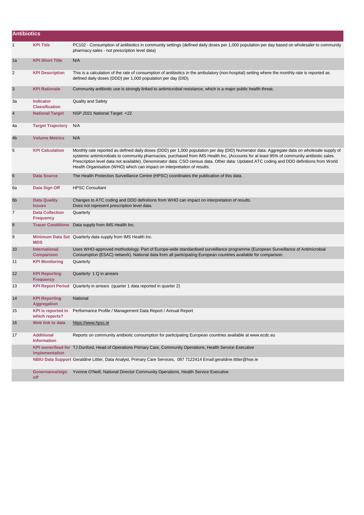| <b>Antibiotics</b> |                                             |                                                                                                                                                                                                                                                                                                                                                                                                                                                                                                                  |
|--------------------|---------------------------------------------|------------------------------------------------------------------------------------------------------------------------------------------------------------------------------------------------------------------------------------------------------------------------------------------------------------------------------------------------------------------------------------------------------------------------------------------------------------------------------------------------------------------|
| 1                  | <b>KPI Title</b>                            | PC102 - Consumption of antibiotics in community settings (defined daily doses per 1,000 population per day based on wholesaler to community<br>pharmacy sales - not prescription level data)                                                                                                                                                                                                                                                                                                                     |
| 1a                 | <b>KPI Short Title</b>                      | N/A                                                                                                                                                                                                                                                                                                                                                                                                                                                                                                              |
| 2                  | <b>KPI Description</b>                      | This is a calculation of the rate of consumption of antibiotics in the ambulatory (non-hospital) setting where the monthly rate is reported as<br>defined daily doses (DDD) per 1,000 population per day (DID).                                                                                                                                                                                                                                                                                                  |
| 3                  | <b>KPI Rationale</b>                        | Community antibiotic use is strongly linked to antimicrobial resistance, which is a major public health threat.                                                                                                                                                                                                                                                                                                                                                                                                  |
| За                 | <b>Indicator</b><br><b>Classification</b>   | Quality and Safety                                                                                                                                                                                                                                                                                                                                                                                                                                                                                               |
| $\overline{4}$     | <b>National Target</b>                      | NSP 2021 National Target <22                                                                                                                                                                                                                                                                                                                                                                                                                                                                                     |
| 4a                 | <b>Target Trajectory</b>                    | N/A                                                                                                                                                                                                                                                                                                                                                                                                                                                                                                              |
| 4b                 | <b>Volume Metrics</b>                       | N/A                                                                                                                                                                                                                                                                                                                                                                                                                                                                                                              |
| 5                  | <b>KPI Calculation</b>                      | Monthly rate reported as defined daily doses (DDD) per 1,000 population per day (DID) Numerator data: Aggregate data on wholesale supply of<br>systemic antimicrobials to community pharmacies, purchased from IMS Health Inc. (Accounts for at least 95% of community antibiotic sales.<br>Prescription level data not available). Denominator data: CSO census data. Other data: Updated ATC coding and DDD definitions from World<br>Health Organisation (WHO) which can impact on interpretation of results. |
| 6                  | <b>Data Source</b>                          | The Health Protection Surveillance Centre (HPSC) coordinates the publication of this data.                                                                                                                                                                                                                                                                                                                                                                                                                       |
| 6а                 | Data Sign Off                               | <b>HPSC Consultant</b>                                                                                                                                                                                                                                                                                                                                                                                                                                                                                           |
| 6b                 | Data Quality<br><b>Issues</b>               | Changes to ATC coding and DDD definitions from WHO can impact on interpretation of results.<br>Does not represent prescription level data.                                                                                                                                                                                                                                                                                                                                                                       |
| 7                  | <b>Data Collection</b><br><b>Frequency</b>  | Quarterly                                                                                                                                                                                                                                                                                                                                                                                                                                                                                                        |
| 8                  | <b>Tracer Conditions</b>                    | Data supply from IMS Health Inc.                                                                                                                                                                                                                                                                                                                                                                                                                                                                                 |
| 9                  | <b>MDS</b>                                  | Minimum Data Set Quarterly data supply from IMS Health Inc.                                                                                                                                                                                                                                                                                                                                                                                                                                                      |
| 10                 | <b>International</b><br><b>Comparison</b>   | Uses WHO-approved methodology. Part of Europe-wide standardised surveillance programme (European Surveillance of Antimicrobial<br>Consumption (ESAC) network). National data from all participating European countries available for comparison.                                                                                                                                                                                                                                                                 |
| 11                 | <b>KPI Monitoring</b>                       | Quarterly                                                                                                                                                                                                                                                                                                                                                                                                                                                                                                        |
| 12                 | <b>KPI Reporting</b><br><b>Frequency</b>    | Quarterly 1 Q in arrears                                                                                                                                                                                                                                                                                                                                                                                                                                                                                         |
| 13                 |                                             | KPI Report Period Quarterly in arrears (quarter 1 data reported in quarter 2)                                                                                                                                                                                                                                                                                                                                                                                                                                    |
| 14                 | <b>KPI Reporting</b><br><b>Aggregation</b>  | National                                                                                                                                                                                                                                                                                                                                                                                                                                                                                                         |
| 15                 | <b>KPI</b> is reported in<br>which reports? | Performance Profile / Management Data Report / Annual Report                                                                                                                                                                                                                                                                                                                                                                                                                                                     |
| 16                 | Web link to data                            | https://www.hpsc.ie                                                                                                                                                                                                                                                                                                                                                                                                                                                                                              |
| 17                 | <b>Additional</b><br><b>Information</b>     | Reports on community antibiotic consumption for participating European countries available at www.ecdc.eu                                                                                                                                                                                                                                                                                                                                                                                                        |
|                    | implementation                              | KPI owner/lead for TJ Dunford, Head of Operations Primary Care, Community Operations, Health Service Executive                                                                                                                                                                                                                                                                                                                                                                                                   |
|                    |                                             | NBIU Data Support Geraldine Littler, Data Analyst, Primary Care Services, 087 7122414 Email:geraldine.littler@hse.ie                                                                                                                                                                                                                                                                                                                                                                                             |
|                    | Governance/sign<br>off                      | Yvonne O'Neill, National Director Community Operations, Health Service Executive                                                                                                                                                                                                                                                                                                                                                                                                                                 |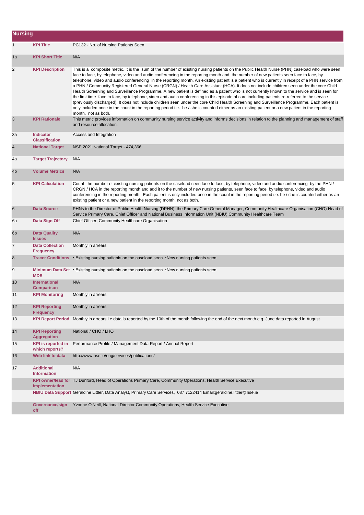| <b>Nursing</b> |                                             |                                                                                                                                                                                                                                                                                                                                                                                                                                                                                                                                                                                                                                                                                                                                                                                                                                                                                                                                                                                                                                                                                                                                                                                                                   |
|----------------|---------------------------------------------|-------------------------------------------------------------------------------------------------------------------------------------------------------------------------------------------------------------------------------------------------------------------------------------------------------------------------------------------------------------------------------------------------------------------------------------------------------------------------------------------------------------------------------------------------------------------------------------------------------------------------------------------------------------------------------------------------------------------------------------------------------------------------------------------------------------------------------------------------------------------------------------------------------------------------------------------------------------------------------------------------------------------------------------------------------------------------------------------------------------------------------------------------------------------------------------------------------------------|
| $\mathbf{1}$   | <b>KPI Title</b>                            | PC132 - No. of Nursing Patients Seen                                                                                                                                                                                                                                                                                                                                                                                                                                                                                                                                                                                                                                                                                                                                                                                                                                                                                                                                                                                                                                                                                                                                                                              |
| 1a             | <b>KPI Short Title</b>                      | N/A                                                                                                                                                                                                                                                                                                                                                                                                                                                                                                                                                                                                                                                                                                                                                                                                                                                                                                                                                                                                                                                                                                                                                                                                               |
| $\overline{c}$ | <b>KPI Description</b>                      | This is a composite metric. It is the sum of the number of existing nursing patients on the Public Health Nurse (PHN) caseload who were seen<br>face to face, by telephone, video and audio conferencing in the reporting month and the number of new patients seen face to face, by<br>telephone, video and audio conferencing in the reporting month. An existing patient is a patient who is currently in receipt of a PHN service from<br>a PHN / Community Registered General Nurse (CRGN) / Health Care Assistant (HCA). It does not include children seen under the core Child<br>Health Screening and Surveillance Programme. A new patient is defined as a patient who is not currently known to the service and is seen for<br>the first time face to face, by telephone, video and audio conferencing in this episode of care including patients re-referred to the service<br>(previously discharged). It does not include children seen under the core Child Health Screening and Surveillance Programme. Each patient is<br>only included once in the count in the reporting period i.e. he / she is counted either as an existing patient or a new patient in the reporting<br>month, not as both. |
| 3              | <b>KPI Rationale</b>                        | This metric provides information on community nursing service activity and informs decisions in relation to the planning and management of staff<br>and resource allocation.                                                                                                                                                                                                                                                                                                                                                                                                                                                                                                                                                                                                                                                                                                                                                                                                                                                                                                                                                                                                                                      |
| За             | <b>Indicator</b><br><b>Classification</b>   | Access and Integration                                                                                                                                                                                                                                                                                                                                                                                                                                                                                                                                                                                                                                                                                                                                                                                                                                                                                                                                                                                                                                                                                                                                                                                            |
| $\overline{4}$ | <b>National Target</b>                      | NSP 2021 National Target - 474,366.                                                                                                                                                                                                                                                                                                                                                                                                                                                                                                                                                                                                                                                                                                                                                                                                                                                                                                                                                                                                                                                                                                                                                                               |
| 4a             | <b>Target Trajectory</b>                    | N/A                                                                                                                                                                                                                                                                                                                                                                                                                                                                                                                                                                                                                                                                                                                                                                                                                                                                                                                                                                                                                                                                                                                                                                                                               |
| 4 <sub>b</sub> | <b>Volume Metrics</b>                       | N/A                                                                                                                                                                                                                                                                                                                                                                                                                                                                                                                                                                                                                                                                                                                                                                                                                                                                                                                                                                                                                                                                                                                                                                                                               |
| 5              | <b>KPI Calculation</b>                      | Count the number of existing nursing patients on the caseload seen face to face, by telephone, video and audio conferencing by the PHN /<br>CRGN / HCA in the reporting month and add it to the number of new nursing patients, seen face to face, by telephone, video and audio<br>conferencing in the reporting month. Each patient is only included once in the count in the reporting period i.e. he / she is counted either as an<br>existing patient or a new patient in the reporting month, not as both.                                                                                                                                                                                                                                                                                                                                                                                                                                                                                                                                                                                                                                                                                                  |
| 6              | <b>Data Source</b>                          | PHNs to the Director of Public Health Nursing (DPHN), the Primary Care General Manager, Community Healthcare Organisation (CHO) Head of<br>Service Primary Care, Chief Officer and National Business Information Unit (NBIU) Community Healthcare Team                                                                                                                                                                                                                                                                                                                                                                                                                                                                                                                                                                                                                                                                                                                                                                                                                                                                                                                                                            |
| 6а             | Data Sign Off                               | Chief Officer, Community Healthcare Organisation                                                                                                                                                                                                                                                                                                                                                                                                                                                                                                                                                                                                                                                                                                                                                                                                                                                                                                                                                                                                                                                                                                                                                                  |
| 6b             | <b>Data Quality</b><br><b>Issues</b>        | N/A                                                                                                                                                                                                                                                                                                                                                                                                                                                                                                                                                                                                                                                                                                                                                                                                                                                                                                                                                                                                                                                                                                                                                                                                               |
| $\overline{7}$ | <b>Data Collection</b><br><b>Frequency</b>  | Monthly in arrears                                                                                                                                                                                                                                                                                                                                                                                                                                                                                                                                                                                                                                                                                                                                                                                                                                                                                                                                                                                                                                                                                                                                                                                                |
| 8              |                                             | Tracer Conditions • Existing nursing patients on the caseload seen • New nursing patients seen                                                                                                                                                                                                                                                                                                                                                                                                                                                                                                                                                                                                                                                                                                                                                                                                                                                                                                                                                                                                                                                                                                                    |
| 9              | <b>MDS</b>                                  | Minimum Data Set • Existing nursing patients on the caseload seen • New nursing patients seen                                                                                                                                                                                                                                                                                                                                                                                                                                                                                                                                                                                                                                                                                                                                                                                                                                                                                                                                                                                                                                                                                                                     |
| 10             | <b>International</b><br>Comparison          | N/A                                                                                                                                                                                                                                                                                                                                                                                                                                                                                                                                                                                                                                                                                                                                                                                                                                                                                                                                                                                                                                                                                                                                                                                                               |
| 11             | <b>KPI Monitoring</b>                       | Monthly in arrears                                                                                                                                                                                                                                                                                                                                                                                                                                                                                                                                                                                                                                                                                                                                                                                                                                                                                                                                                                                                                                                                                                                                                                                                |
| 12             | <b>KPI Reporting</b><br><b>Frequency</b>    | Monthly in arrears                                                                                                                                                                                                                                                                                                                                                                                                                                                                                                                                                                                                                                                                                                                                                                                                                                                                                                                                                                                                                                                                                                                                                                                                |
| 13             |                                             | KPI Report Period Monthly in arrears i.e data is reported by the 10th of the month following the end of the next month e.g. June data reported in August.                                                                                                                                                                                                                                                                                                                                                                                                                                                                                                                                                                                                                                                                                                                                                                                                                                                                                                                                                                                                                                                         |
| 14             | <b>KPI Reporting</b><br><b>Aggregation</b>  | National / CHO / LHO                                                                                                                                                                                                                                                                                                                                                                                                                                                                                                                                                                                                                                                                                                                                                                                                                                                                                                                                                                                                                                                                                                                                                                                              |
| 15             | <b>KPI is reported in</b><br>which reports? | Performance Profile / Management Data Report / Annual Report                                                                                                                                                                                                                                                                                                                                                                                                                                                                                                                                                                                                                                                                                                                                                                                                                                                                                                                                                                                                                                                                                                                                                      |
| 16             | Web link to data                            | http://www.hse.ie/eng/services/publications/                                                                                                                                                                                                                                                                                                                                                                                                                                                                                                                                                                                                                                                                                                                                                                                                                                                                                                                                                                                                                                                                                                                                                                      |
| 17             | <b>Additional</b><br><b>Information</b>     | N/A                                                                                                                                                                                                                                                                                                                                                                                                                                                                                                                                                                                                                                                                                                                                                                                                                                                                                                                                                                                                                                                                                                                                                                                                               |
|                | implementation                              | KPI owner/lead for TJ Dunford, Head of Operations Primary Care, Community Operations, Health Service Executive                                                                                                                                                                                                                                                                                                                                                                                                                                                                                                                                                                                                                                                                                                                                                                                                                                                                                                                                                                                                                                                                                                    |
|                |                                             | NBIU Data Support Geraldine Littler, Data Analyst, Primary Care Services, 087 7122414 Email:geraldine.littler@hse.ie                                                                                                                                                                                                                                                                                                                                                                                                                                                                                                                                                                                                                                                                                                                                                                                                                                                                                                                                                                                                                                                                                              |
|                | Governance/sign<br>off                      | Yvonne O'Neill, National Director Community Operations, Health Service Executive                                                                                                                                                                                                                                                                                                                                                                                                                                                                                                                                                                                                                                                                                                                                                                                                                                                                                                                                                                                                                                                                                                                                  |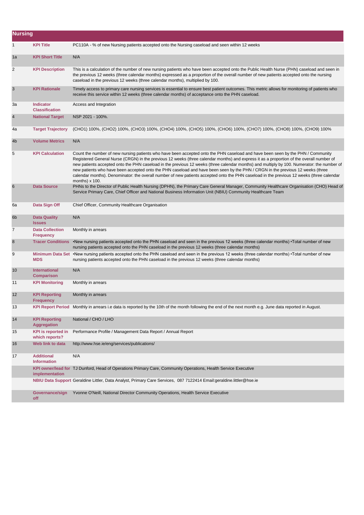| <b>Nursing</b> |                                             |                                                                                                                                                                                                                                                                                                                                                                                                                                                                                                                                                                                                                                                                                                                              |
|----------------|---------------------------------------------|------------------------------------------------------------------------------------------------------------------------------------------------------------------------------------------------------------------------------------------------------------------------------------------------------------------------------------------------------------------------------------------------------------------------------------------------------------------------------------------------------------------------------------------------------------------------------------------------------------------------------------------------------------------------------------------------------------------------------|
| 1              | <b>KPI Title</b>                            | PC110A - % of new Nursing patients accepted onto the Nursing caseload and seen within 12 weeks                                                                                                                                                                                                                                                                                                                                                                                                                                                                                                                                                                                                                               |
| 1a             | <b>KPI Short Title</b>                      | N/A                                                                                                                                                                                                                                                                                                                                                                                                                                                                                                                                                                                                                                                                                                                          |
| 2              | <b>KPI Description</b>                      | This is a calculation of the number of new nursing patients who have been accepted onto the Public Health Nurse (PHN) caseload and seen in<br>the previous 12 weeks (three calendar months) expressed as a proportion of the overall number of new patients accepted onto the nursing<br>caseload in the previous 12 weeks (three calendar months), multiplied by 100.                                                                                                                                                                                                                                                                                                                                                       |
| 3              | <b>KPI Rationale</b>                        | Timely access to primary care nursing services is essential to ensure best patient outcomes. This metric allows for monitoring of patients who<br>receive this service within 12 weeks (three calendar months) of acceptance onto the PHN caseload.                                                                                                                                                                                                                                                                                                                                                                                                                                                                          |
| За             | Indicator<br><b>Classification</b>          | Access and Integration                                                                                                                                                                                                                                                                                                                                                                                                                                                                                                                                                                                                                                                                                                       |
| $\overline{4}$ | <b>National Target</b>                      | NSP 2021 - 100%.                                                                                                                                                                                                                                                                                                                                                                                                                                                                                                                                                                                                                                                                                                             |
| 4a             | <b>Target Trajectory</b>                    | (CHO1) 100%, (CHO2) 100%, (CHO3) 100%, (CHO4) 100%, (CHO5) 100%, (CHO6) 100%, (CHO7) 100%, (CHO8) 100%, (CHO9) 100%                                                                                                                                                                                                                                                                                                                                                                                                                                                                                                                                                                                                          |
| 4b             | <b>Volume Metrics</b>                       | N/A                                                                                                                                                                                                                                                                                                                                                                                                                                                                                                                                                                                                                                                                                                                          |
| 5              | <b>KPI Calculation</b>                      | Count the number of new nursing patients who have been accepted onto the PHN caseload and have been seen by the PHN / Community<br>Registered General Nurse (CRGN) in the previous 12 weeks (three calendar months) and express it as a proportion of the overall number of<br>new patients accepted onto the PHN caseload in the previous 12 weeks (three calendar months) and multiply by 100. Numerator: the number of<br>new patients who have been accepted onto the PHN caseload and have been seen by the PHN / CRGN in the previous 12 weeks (three<br>calendar months). Denominator: the overall number of new patients accepted onto the PHN caseload in the previous 12 weeks (three calendar<br>months) $x$ 100. |
| 6              | <b>Data Source</b>                          | PHNs to the Director of Public Health Nursing (DPHN), the Primary Care General Manager, Community Healthcare Organisation (CHO) Head of<br>Service Primary Care, Chief Officer and National Business Information Unit (NBIU) Community Healthcare Team                                                                                                                                                                                                                                                                                                                                                                                                                                                                       |
| 6а             | Data Sign Off                               | Chief Officer, Community Healthcare Organisation                                                                                                                                                                                                                                                                                                                                                                                                                                                                                                                                                                                                                                                                             |
| 6 <sub>b</sub> | <b>Data Quality</b><br><b>Issues</b>        | N/A                                                                                                                                                                                                                                                                                                                                                                                                                                                                                                                                                                                                                                                                                                                          |
| $\overline{7}$ | <b>Data Collection</b><br><b>Frequency</b>  | Monthly in arrears                                                                                                                                                                                                                                                                                                                                                                                                                                                                                                                                                                                                                                                                                                           |
| 8              | <b>Tracer Conditions</b>                    | •New nursing patients accepted onto the PHN caseload and seen in the previous 12 weeks (three calendar months) •Total number of new<br>nursing patients accepted onto the PHN caseload in the previous 12 weeks (three calendar months)                                                                                                                                                                                                                                                                                                                                                                                                                                                                                      |
| 9              | <b>MDS</b>                                  | Minimum Data Set •New nursing patients accepted onto the PHN caseload and seen in the previous 12 weeks (three calendar months) •Total number of new<br>nursing patients accepted onto the PHN caseload in the previous 12 weeks (three calendar months)                                                                                                                                                                                                                                                                                                                                                                                                                                                                     |
| 10             | <b>International</b><br><b>Comparison</b>   | N/A                                                                                                                                                                                                                                                                                                                                                                                                                                                                                                                                                                                                                                                                                                                          |
| 11             | <b>KPI Monitoring</b>                       | Monthly in arrears                                                                                                                                                                                                                                                                                                                                                                                                                                                                                                                                                                                                                                                                                                           |
| 12             | <b>KPI Reporting</b><br><b>Frequency</b>    | Monthly in arrears                                                                                                                                                                                                                                                                                                                                                                                                                                                                                                                                                                                                                                                                                                           |
| 13             |                                             | KPI Report Period Monthly in arrears i.e data is reported by the 10th of the month following the end of the next month e.g. June data reported in August.                                                                                                                                                                                                                                                                                                                                                                                                                                                                                                                                                                    |
| 14             | <b>KPI Reporting</b><br><b>Aggregation</b>  | National / CHO / LHO                                                                                                                                                                                                                                                                                                                                                                                                                                                                                                                                                                                                                                                                                                         |
| 15             | <b>KPI</b> is reported in<br>which reports? | Performance Profile / Management Data Report / Annual Report                                                                                                                                                                                                                                                                                                                                                                                                                                                                                                                                                                                                                                                                 |
| 16             | Web link to data                            | http://www.hse.ie/eng/services/publications/                                                                                                                                                                                                                                                                                                                                                                                                                                                                                                                                                                                                                                                                                 |
| 17             | <b>Additional</b><br><b>Information</b>     | N/A                                                                                                                                                                                                                                                                                                                                                                                                                                                                                                                                                                                                                                                                                                                          |
|                | implementation                              | KPI owner/lead for TJ Dunford, Head of Operations Primary Care, Community Operations, Health Service Executive                                                                                                                                                                                                                                                                                                                                                                                                                                                                                                                                                                                                               |
|                |                                             | NBIU Data Support Geraldine Littler, Data Analyst, Primary Care Services, 087 7122414 Email:geraldine.littler@hse.ie                                                                                                                                                                                                                                                                                                                                                                                                                                                                                                                                                                                                         |
|                | Governance/sign<br>off                      | Yvonne O'Neill, National Director Community Operations, Health Service Executive                                                                                                                                                                                                                                                                                                                                                                                                                                                                                                                                                                                                                                             |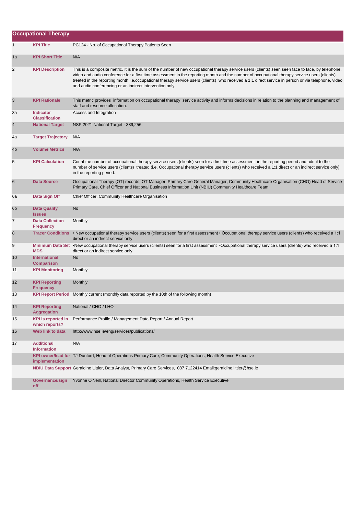|    | <b>Occupational Therapy</b>                 |                                                                                                                                                                                                                                                                                                                                                                                                                                                                                                                      |
|----|---------------------------------------------|----------------------------------------------------------------------------------------------------------------------------------------------------------------------------------------------------------------------------------------------------------------------------------------------------------------------------------------------------------------------------------------------------------------------------------------------------------------------------------------------------------------------|
| 1  | <b>KPI Title</b>                            | PC124 - No. of Occupational Therapy Patients Seen                                                                                                                                                                                                                                                                                                                                                                                                                                                                    |
| 1a | <b>KPI Short Title</b>                      | N/A                                                                                                                                                                                                                                                                                                                                                                                                                                                                                                                  |
| 2  | <b>KPI Description</b>                      | This is a composite metric. It is the sum of the number of new occupational therapy service users (clients) seen seen face to face, by telephone,<br>video and audio conference for a first time assessment in the reporting month and the number of occupational therapy service users (clients)<br>treated in the reporting month i.e.occupational therapy service users (clients) who received a 1:1 direct service in person or via telephone, video<br>and audio conferencing or an indirect intervention only. |
| 3  | <b>KPI Rationale</b>                        | This metric provides information on occupational therapy service activity and informs decisions in relation to the planning and management of<br>staff and resource allocation.                                                                                                                                                                                                                                                                                                                                      |
| За | <b>Indicator</b><br><b>Classification</b>   | Access and Integration                                                                                                                                                                                                                                                                                                                                                                                                                                                                                               |
| 4  | <b>National Target</b>                      | NSP 2021 National Target - 389,256.                                                                                                                                                                                                                                                                                                                                                                                                                                                                                  |
| 4a | <b>Target Trajectory</b>                    | N/A                                                                                                                                                                                                                                                                                                                                                                                                                                                                                                                  |
| 4b | <b>Volume Metrics</b>                       | N/A                                                                                                                                                                                                                                                                                                                                                                                                                                                                                                                  |
| 5  | <b>KPI Calculation</b>                      | Count the number of occupational therapy service users (clients) seen for a first time assessment in the reporting period and add it to the<br>number of service users (clients) treated (i.e. Occupational therapy service users (clients) who received a 1:1 direct or an indirect service only)<br>in the reporting period.                                                                                                                                                                                       |
| 6  | <b>Data Source</b>                          | Occupational Therapy (OT) records, OT Manager, Primary Care General Manager, Community Healthcare Organisation (CHO) Head of Service<br>Primary Care, Chief Officer and National Business Information Unit (NBIU) Community Healthcare Team.                                                                                                                                                                                                                                                                         |
| 6а | Data Sign Off                               | Chief Officer, Community Healthcare Organisation                                                                                                                                                                                                                                                                                                                                                                                                                                                                     |
| 6b | <b>Data Quality</b><br><b>Issues</b>        | No                                                                                                                                                                                                                                                                                                                                                                                                                                                                                                                   |
| 7  | <b>Data Collection</b><br><b>Frequency</b>  | Monthly                                                                                                                                                                                                                                                                                                                                                                                                                                                                                                              |
| 8  |                                             | Tracer Conditions • New occupational therapy service users (clients) seen for a first assessment • Occupational therapy service users (clients) who received a 1:1<br>direct or an indirect service only                                                                                                                                                                                                                                                                                                             |
| 9  | <b>MDS</b>                                  | Minimum Data Set •New occupational therapy service users (clients) seen for a first assessment •Occupational therapy service users (clients) who received a 1:1<br>direct or an indirect service only                                                                                                                                                                                                                                                                                                                |
| 10 | <b>International</b><br><b>Comparison</b>   | No                                                                                                                                                                                                                                                                                                                                                                                                                                                                                                                   |
| 11 | <b>KPI Monitoring</b>                       | Monthly                                                                                                                                                                                                                                                                                                                                                                                                                                                                                                              |
| 12 | <b>KPI Reporting</b><br><b>Frequency</b>    | Monthly                                                                                                                                                                                                                                                                                                                                                                                                                                                                                                              |
| 13 |                                             | KPI Report Period Monthly current (monthly data reported by the 10th of the following month)                                                                                                                                                                                                                                                                                                                                                                                                                         |
| 14 | <b>KPI Reporting</b><br><b>Aggregation</b>  | National / CHO / LHO                                                                                                                                                                                                                                                                                                                                                                                                                                                                                                 |
| 15 | <b>KPI</b> is reported in<br>which reports? | Performance Profile / Management Data Report / Annual Report                                                                                                                                                                                                                                                                                                                                                                                                                                                         |
| 16 | Web link to data                            | http://www.hse.ie/eng/services/publications/                                                                                                                                                                                                                                                                                                                                                                                                                                                                         |
| 17 | <b>Additional</b><br><b>Information</b>     | N/A                                                                                                                                                                                                                                                                                                                                                                                                                                                                                                                  |
|    | implementation                              | KPI owner/lead for TJ Dunford, Head of Operations Primary Care, Community Operations, Health Service Executive                                                                                                                                                                                                                                                                                                                                                                                                       |
|    |                                             | NBIU Data Support Geraldine Littler, Data Analyst, Primary Care Services, 087 7122414 Email:geraldine.littler@hse.ie                                                                                                                                                                                                                                                                                                                                                                                                 |
|    | Governance/sign<br>off                      | Yvonne O'Neill, National Director Community Operations, Health Service Executive                                                                                                                                                                                                                                                                                                                                                                                                                                     |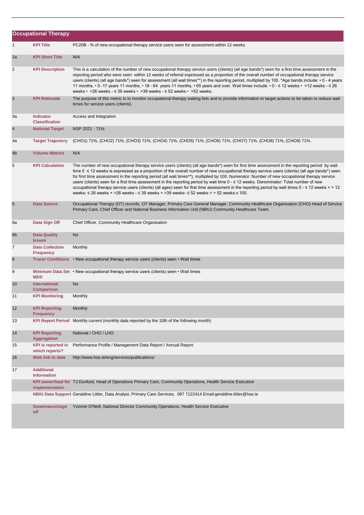|                | <b>Occupational Therapy</b>                 |                                                                                                                                                                                                                                                                                                                                                                                                                                                                                                                                                                                                                                                                                                                                                                                                                                                             |
|----------------|---------------------------------------------|-------------------------------------------------------------------------------------------------------------------------------------------------------------------------------------------------------------------------------------------------------------------------------------------------------------------------------------------------------------------------------------------------------------------------------------------------------------------------------------------------------------------------------------------------------------------------------------------------------------------------------------------------------------------------------------------------------------------------------------------------------------------------------------------------------------------------------------------------------------|
| $\mathbf{1}$   | <b>KPI Title</b>                            | PC20B - % of new occupational therapy service users seen for assessment within 12 weeks                                                                                                                                                                                                                                                                                                                                                                                                                                                                                                                                                                                                                                                                                                                                                                     |
| 1a             | <b>KPI Short Title</b>                      | N/A                                                                                                                                                                                                                                                                                                                                                                                                                                                                                                                                                                                                                                                                                                                                                                                                                                                         |
| 2              | <b>KPI Description</b>                      | This is a calculation of the number of new occupational therapy service users (clients) (all age bands*) seen for a first time assessment in the<br>reporting period who were seen within 12 weeks of referral expressed as a proportion of the overall number of occupational therapy service<br>users (clients) (all age bands*) seen for assessment (all wait times**) in the reporting period, multiplied by 100. *Age bands include: • 0 - 4 years<br>11 months, • 5 -17 years 11 months, • 18 - 64 years 11 months, • 65 years and over. Wait times include: • 0 - ≤ 12 weeks • >12 weeks - ≤ 26<br>weeks • $>26$ weeks - $\leq$ 39 weeks • $>39$ weeks - $\leq$ 52 weeks • $>52$ weeks.                                                                                                                                                              |
| 3              | <b>KPI Rationale</b>                        | The purpose of this metric is to monitor occupational therapy waiting lists and to provide information to target actions to be taken to reduce wait<br>times for service users (clients).                                                                                                                                                                                                                                                                                                                                                                                                                                                                                                                                                                                                                                                                   |
| За             | <b>Indicator</b><br><b>Classification</b>   | Access and Integration                                                                                                                                                                                                                                                                                                                                                                                                                                                                                                                                                                                                                                                                                                                                                                                                                                      |
| $\overline{4}$ | <b>National Target</b>                      | NSP 2021 - 71%.                                                                                                                                                                                                                                                                                                                                                                                                                                                                                                                                                                                                                                                                                                                                                                                                                                             |
| 4a             | <b>Target Trajectory</b>                    | (CHO1) 71%, (CHO2) 71%, (CHO3) 71%, (CHO4) 71%, (CHO5) 71%, (CHO6) 71%, (CHO7) 71%, (CHO8) 71%, (CHO9) 71%.                                                                                                                                                                                                                                                                                                                                                                                                                                                                                                                                                                                                                                                                                                                                                 |
| 4 <sub>b</sub> | <b>Volume Metrics</b>                       | N/A                                                                                                                                                                                                                                                                                                                                                                                                                                                                                                                                                                                                                                                                                                                                                                                                                                                         |
| 5              | <b>KPI Calculation</b>                      | The number of new occupational therapy service users (clients) (all age bands*) seen for first time assessment in the reporting period by wait<br>time 0 ≤ 12 weeks is expressed as a proportion of the overall number of new occupational therapy service users (clients) (all age bands*) seen<br>for first time assessment in the reporting period (all wait times**), multiplied by 100. Numerator: Number of new occupational therapy service<br>users (clients) seen for a first time assessment in the reporting period by wait time 0 - ≤ 12 weeks. Denominator: Total number of new<br>occupational therapy service users (clients) (all ages) seen for first time assessment in the reporting period by wait times 0 - ≤ 12 weeks + > 12<br>weeks- $\leq$ 26 weeks + >26 weeks - $\leq$ 39 weeks + >39 weeks- $\leq$ 52 weeks + > 52 weeks x 100. |
| 6              | <b>Data Source</b>                          | Occupational Therapy (OT) records, OT Manager, Primary Care General Manager, Community Healthcare Organisation (CHO) Head of Service<br>Primary Care, Chief Officer and National Business Information Unit (NBIU) Community Healthcare Team.                                                                                                                                                                                                                                                                                                                                                                                                                                                                                                                                                                                                                |
| 6a             | Data Sign Off                               | Chief Officer, Community Healthcare Organisation                                                                                                                                                                                                                                                                                                                                                                                                                                                                                                                                                                                                                                                                                                                                                                                                            |
| 6 <sub>b</sub> | <b>Data Quality</b><br><b>Issues</b>        | No                                                                                                                                                                                                                                                                                                                                                                                                                                                                                                                                                                                                                                                                                                                                                                                                                                                          |
| $\overline{7}$ | <b>Data Collection</b><br><b>Frequency</b>  | Monthly                                                                                                                                                                                                                                                                                                                                                                                                                                                                                                                                                                                                                                                                                                                                                                                                                                                     |
| 8              |                                             | Tracer Conditions • New occupational therapy service users (clients) seen • Wait times                                                                                                                                                                                                                                                                                                                                                                                                                                                                                                                                                                                                                                                                                                                                                                      |
| 9              | <b>MDS</b>                                  | Minimum Data Set • New occupational therapy service users (clients) seen • Wait times                                                                                                                                                                                                                                                                                                                                                                                                                                                                                                                                                                                                                                                                                                                                                                       |
| 10             | <b>International</b><br><b>Comparison</b>   | <b>No</b>                                                                                                                                                                                                                                                                                                                                                                                                                                                                                                                                                                                                                                                                                                                                                                                                                                                   |
| 11             | <b>KPI Monitoring</b>                       | Monthly                                                                                                                                                                                                                                                                                                                                                                                                                                                                                                                                                                                                                                                                                                                                                                                                                                                     |
| 12             | <b>KPI Reporting</b><br><b>Frequency</b>    | Monthly                                                                                                                                                                                                                                                                                                                                                                                                                                                                                                                                                                                                                                                                                                                                                                                                                                                     |
| 13             | <b>KPI Report Period</b>                    | Monthly current (monthly data reported by the 10th of the following month)                                                                                                                                                                                                                                                                                                                                                                                                                                                                                                                                                                                                                                                                                                                                                                                  |
| 14             | <b>KPI Reporting</b><br><b>Aggregation</b>  | National / CHO / LHO                                                                                                                                                                                                                                                                                                                                                                                                                                                                                                                                                                                                                                                                                                                                                                                                                                        |
| 15             | <b>KPI</b> is reported in<br>which reports? | Performance Profile / Management Data Report / Annual Report                                                                                                                                                                                                                                                                                                                                                                                                                                                                                                                                                                                                                                                                                                                                                                                                |
| 16             | Web link to data                            | http://www.hse.ie/eng/services/publications/                                                                                                                                                                                                                                                                                                                                                                                                                                                                                                                                                                                                                                                                                                                                                                                                                |
| 17             | <b>Additional</b><br><b>Information</b>     |                                                                                                                                                                                                                                                                                                                                                                                                                                                                                                                                                                                                                                                                                                                                                                                                                                                             |
|                | implementation                              | KPI owner/lead for TJ Dunford, Head of Operations Primary Care, Community Operations, Health Service Executive                                                                                                                                                                                                                                                                                                                                                                                                                                                                                                                                                                                                                                                                                                                                              |
|                |                                             | NBIU Data Support Geraldine Littler, Data Analyst, Primary Care Services, 087 7122414 Email:geraldine.littler@hse.ie                                                                                                                                                                                                                                                                                                                                                                                                                                                                                                                                                                                                                                                                                                                                        |
|                | Governance/sign<br>off                      | Yvonne O'Neill, National Director Community Operations, Health Service Executive                                                                                                                                                                                                                                                                                                                                                                                                                                                                                                                                                                                                                                                                                                                                                                            |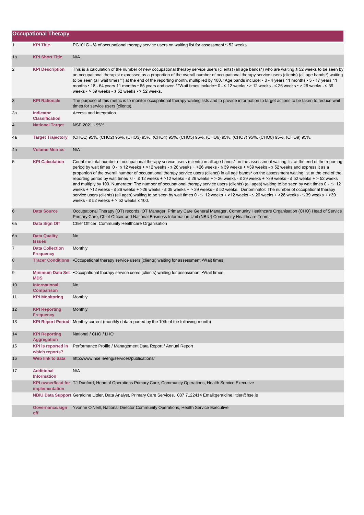|                | <b>Occupational Therapy</b>                 |                                                                                                                                                                                                                                                                                                                                                                                                                                                                                                                                                                                                                                                                                                                                                                                                                                                                                                                                                                                                                                                                                           |
|----------------|---------------------------------------------|-------------------------------------------------------------------------------------------------------------------------------------------------------------------------------------------------------------------------------------------------------------------------------------------------------------------------------------------------------------------------------------------------------------------------------------------------------------------------------------------------------------------------------------------------------------------------------------------------------------------------------------------------------------------------------------------------------------------------------------------------------------------------------------------------------------------------------------------------------------------------------------------------------------------------------------------------------------------------------------------------------------------------------------------------------------------------------------------|
| 1              | <b>KPI Title</b>                            | PC101G - % of occupational therapy service users on waiting list for assessment $\leq 52$ weeks                                                                                                                                                                                                                                                                                                                                                                                                                                                                                                                                                                                                                                                                                                                                                                                                                                                                                                                                                                                           |
| 1a             | <b>KPI Short Title</b>                      | N/A                                                                                                                                                                                                                                                                                                                                                                                                                                                                                                                                                                                                                                                                                                                                                                                                                                                                                                                                                                                                                                                                                       |
| 2              | <b>KPI Description</b>                      | This is a calculation of the number of new occupational therapy service users (clients) (all age bands*) who are waiting ≤ 52 weeks to be seen by<br>an occupational therapist expressed as a proportion of the overall number of occupational therapy service users (clients) (all age bands*) waiting<br>to be seen (all wait times**) at the end of the reporting month, multiplied by 100. *Age bands include: • 0 - 4 years 11 months • 5 - 17 years 11<br>months • 18 - 64 years 11 months • 65 years and over. **Wait times include:• 0 - ≤ 12 weeks • > 12 weeks - ≤ 26 weeks • > 26 weeks - ≤ 39<br>weeks $\cdot$ > 39 weeks - $\le$ 52 weeks $\cdot$ > 52 weeks.                                                                                                                                                                                                                                                                                                                                                                                                                |
| 3              | <b>KPI Rationale</b>                        | The purpose of this metric is to monitor occupational therapy waiting lists and to provide information to target actions to be taken to reduce wait<br>times for service users (clients).                                                                                                                                                                                                                                                                                                                                                                                                                                                                                                                                                                                                                                                                                                                                                                                                                                                                                                 |
| За             | <b>Indicator</b><br><b>Classification</b>   | Access and Integration                                                                                                                                                                                                                                                                                                                                                                                                                                                                                                                                                                                                                                                                                                                                                                                                                                                                                                                                                                                                                                                                    |
| $\overline{4}$ | <b>National Target</b>                      | NSP 2021 - 95%.                                                                                                                                                                                                                                                                                                                                                                                                                                                                                                                                                                                                                                                                                                                                                                                                                                                                                                                                                                                                                                                                           |
| 4a             | <b>Target Trajectory</b>                    | (CHO1) 95%, (CHO2) 95%, (CHO3) 95%, (CHO4) 95%, (CHO5) 95%, (CHO6) 95%, (CHO7) 95%, (CHO8) 95%, (CHO9) 95%.                                                                                                                                                                                                                                                                                                                                                                                                                                                                                                                                                                                                                                                                                                                                                                                                                                                                                                                                                                               |
| 4 <sub>b</sub> | <b>Volume Metrics</b>                       | N/A                                                                                                                                                                                                                                                                                                                                                                                                                                                                                                                                                                                                                                                                                                                                                                                                                                                                                                                                                                                                                                                                                       |
| 5              | <b>KPI Calculation</b>                      | Count the total number of occupational therapy service users (clients) in all age bands* on the assessment waiting list at the end of the reporting<br>period by wait times 0 - ≤ 12 weeks + >12 weeks - ≤ 26 weeks + >26 weeks - ≤ 39 weeks + >39 weeks - ≤ 52 weeks and express it as a<br>proportion of the overall number of occupational therapy service users (clients) in all age bands* on the assessment waiting list at the end of the<br>reporting period by wait times 0 - ≤ 12 weeks + >12 weeks - ≤ 26 weeks + > 26 weeks - ≤ 39 weeks + > 39 weeks - ≤ 52 weeks + > 52 weeks<br>and multiply by 100. Numerator: The number of occupational therapy service users (clients) (all ages) waiting to be seen by wait times 0 - ≤ 12<br>weeks + >12 weeks - $\leq$ 26 weeks + >26 weeks - $\leq$ 39 weeks + > 39 weeks - $\leq$ 52 weeks. Denominator: The number of occupational therapy<br>service users (clients) (all ages) waiting to be seen by wait times 0 - ≤ 12 weeks + >12 weeks - ≤ 26 weeks + >26 weeks - ≤ 39 weeks + >39<br>weeks $-52$ weeks $+52$ weeks x 100. |
| $\,$ 6         | <b>Data Source</b>                          | Occupational Therapy (OT) records, OT Manager, Primary Care General Manager, Community Healthcare Organisation (CHO) Head of Service<br>Primary Care, Chief Officer and National Business Information Unit (NBIU) Community Healthcare Team.                                                                                                                                                                                                                                                                                                                                                                                                                                                                                                                                                                                                                                                                                                                                                                                                                                              |
| 6а             | Data Sign Off                               | Chief Officer, Community Healthcare Organisation                                                                                                                                                                                                                                                                                                                                                                                                                                                                                                                                                                                                                                                                                                                                                                                                                                                                                                                                                                                                                                          |
| 6 <sub>b</sub> | <b>Data Quality</b><br><b>Issues</b>        | No                                                                                                                                                                                                                                                                                                                                                                                                                                                                                                                                                                                                                                                                                                                                                                                                                                                                                                                                                                                                                                                                                        |
| $\overline{7}$ | <b>Data Collection</b><br><b>Frequency</b>  | Monthly                                                                                                                                                                                                                                                                                                                                                                                                                                                                                                                                                                                                                                                                                                                                                                                                                                                                                                                                                                                                                                                                                   |
| 8              |                                             | Tracer Conditions • Occupational therapy service users (clients) waiting for assessment • Wait times                                                                                                                                                                                                                                                                                                                                                                                                                                                                                                                                                                                                                                                                                                                                                                                                                                                                                                                                                                                      |
| 9              | <b>MDS</b>                                  | Minimum Data Set • Occupational therapy service users (clients) waiting for assessment • Wait times                                                                                                                                                                                                                                                                                                                                                                                                                                                                                                                                                                                                                                                                                                                                                                                                                                                                                                                                                                                       |
| 10             | <b>International</b><br><b>Comparison</b>   | <b>No</b>                                                                                                                                                                                                                                                                                                                                                                                                                                                                                                                                                                                                                                                                                                                                                                                                                                                                                                                                                                                                                                                                                 |
| 11             | <b>KPI Monitoring</b>                       | Monthly                                                                                                                                                                                                                                                                                                                                                                                                                                                                                                                                                                                                                                                                                                                                                                                                                                                                                                                                                                                                                                                                                   |
| 12             | <b>KPI Reporting</b><br><b>Frequency</b>    | Monthly                                                                                                                                                                                                                                                                                                                                                                                                                                                                                                                                                                                                                                                                                                                                                                                                                                                                                                                                                                                                                                                                                   |
| 13             | <b>KPI Report Period</b>                    | Monthly current (monthly data reported by the 10th of the following month)                                                                                                                                                                                                                                                                                                                                                                                                                                                                                                                                                                                                                                                                                                                                                                                                                                                                                                                                                                                                                |
| 14             | <b>KPI Reporting</b><br><b>Aggregation</b>  | National / CHO / LHO                                                                                                                                                                                                                                                                                                                                                                                                                                                                                                                                                                                                                                                                                                                                                                                                                                                                                                                                                                                                                                                                      |
| 15             | <b>KPI</b> is reported in<br>which reports? | Performance Profile / Management Data Report / Annual Report                                                                                                                                                                                                                                                                                                                                                                                                                                                                                                                                                                                                                                                                                                                                                                                                                                                                                                                                                                                                                              |
| 16             | Web link to data                            | http://www.hse.ie/eng/services/publications/                                                                                                                                                                                                                                                                                                                                                                                                                                                                                                                                                                                                                                                                                                                                                                                                                                                                                                                                                                                                                                              |
| 17             | <b>Additional</b><br><b>Information</b>     | N/A                                                                                                                                                                                                                                                                                                                                                                                                                                                                                                                                                                                                                                                                                                                                                                                                                                                                                                                                                                                                                                                                                       |
|                | implementation                              | KPI owner/lead for TJ Dunford, Head of Operations Primary Care, Community Operations, Health Service Executive                                                                                                                                                                                                                                                                                                                                                                                                                                                                                                                                                                                                                                                                                                                                                                                                                                                                                                                                                                            |
|                |                                             | NBIU Data Support Geraldine Littler, Data Analyst, Primary Care Services, 087 7122414 Email:geraldine.littler@hse.ie                                                                                                                                                                                                                                                                                                                                                                                                                                                                                                                                                                                                                                                                                                                                                                                                                                                                                                                                                                      |
|                | Governance/sign<br>off                      | Yvonne O'Neill, National Director Community Operations, Health Service Executive                                                                                                                                                                                                                                                                                                                                                                                                                                                                                                                                                                                                                                                                                                                                                                                                                                                                                                                                                                                                          |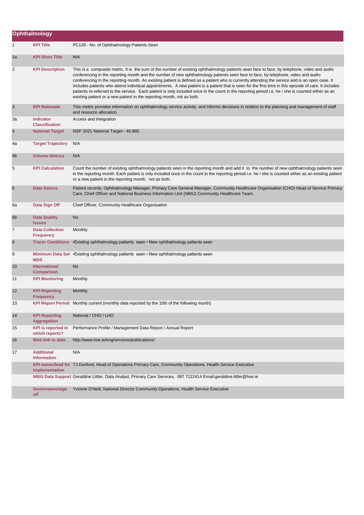|                | Ophthalmology                               |                                                                                                                                                                                                                                                                                                                                                                                                                                                                                                                                                                                                                                                                                                                                                                                                                              |
|----------------|---------------------------------------------|------------------------------------------------------------------------------------------------------------------------------------------------------------------------------------------------------------------------------------------------------------------------------------------------------------------------------------------------------------------------------------------------------------------------------------------------------------------------------------------------------------------------------------------------------------------------------------------------------------------------------------------------------------------------------------------------------------------------------------------------------------------------------------------------------------------------------|
| 1              | <b>KPI Title</b>                            | PC128 - No. of Ophthalmology Patients Seen                                                                                                                                                                                                                                                                                                                                                                                                                                                                                                                                                                                                                                                                                                                                                                                   |
| 1a             | <b>KPI Short Title</b>                      | N/A                                                                                                                                                                                                                                                                                                                                                                                                                                                                                                                                                                                                                                                                                                                                                                                                                          |
| 2              | <b>KPI Description</b>                      | This is a composite metric. It is the sum of the number of existing ophthalmology patients seen face to face, by telephone, video and audio<br>conferencing in the reporting month and the number of new ophthalmology patients seen face to face, by telephone, video and audio<br>conferencing in the reporting month. An existing patient is defined as a patient who is currently attending the service and is an open case. It<br>includes patients who attend individual appointments. A new patient is a patient that is seen for the first time in this episode of care. It includes<br>patients re-referred to the service. Each patient is only included once in the count in the reporting period i.e. he / she is counted either as an<br>existing patient or a new patient in the reporting month, not as both. |
| 3              | <b>KPI Rationale</b>                        | This metric provides information on ophthalmology service activity and informs decisions in relation to the planning and management of staff<br>and resource allocation.                                                                                                                                                                                                                                                                                                                                                                                                                                                                                                                                                                                                                                                     |
| За             | <b>Indicator</b><br><b>Classification</b>   | Access and Integration                                                                                                                                                                                                                                                                                                                                                                                                                                                                                                                                                                                                                                                                                                                                                                                                       |
| 4              | <b>National Target</b>                      | NSP 2021 National Target - 46,980.                                                                                                                                                                                                                                                                                                                                                                                                                                                                                                                                                                                                                                                                                                                                                                                           |
| 4a             | <b>Target Trajectory</b>                    | N/A                                                                                                                                                                                                                                                                                                                                                                                                                                                                                                                                                                                                                                                                                                                                                                                                                          |
| 4b             | <b>Volume Metrics</b>                       | N/A                                                                                                                                                                                                                                                                                                                                                                                                                                                                                                                                                                                                                                                                                                                                                                                                                          |
| 5              | <b>KPI Calculation</b>                      | Count the number of existing ophthalmology patients seen in the reporting month and add it to the number of new ophthalmology patients seen<br>in the reporting month. Each patient is only included once in the count in the reporting period i.e. he / she is counted either as an existing patient<br>or a new patient in the reporting month, not as both.                                                                                                                                                                                                                                                                                                                                                                                                                                                               |
| 6              | <b>Data Source</b>                          | Patient records, Ophthalmology Manager, Primary Care General Manager, Community Healthcare Organisation (CHO) Head of Service Primary<br>Care, Chief Officer and National Business Information Unit (NBIU) Community Healthcare Team.                                                                                                                                                                                                                                                                                                                                                                                                                                                                                                                                                                                        |
| 6а             | Data Sign Off                               | Chief Officer, Community Healthcare Organisation                                                                                                                                                                                                                                                                                                                                                                                                                                                                                                                                                                                                                                                                                                                                                                             |
| 6 <sub>b</sub> | <b>Data Quality</b><br><b>Issues</b>        | No                                                                                                                                                                                                                                                                                                                                                                                                                                                                                                                                                                                                                                                                                                                                                                                                                           |
| 7              | <b>Data Collection</b><br><b>Frequency</b>  | Monthly                                                                                                                                                                                                                                                                                                                                                                                                                                                                                                                                                                                                                                                                                                                                                                                                                      |
| 8              | <b>Tracer Conditions</b>                    | • Existing ophthalmology patients seen • New ophthalmology patients seen                                                                                                                                                                                                                                                                                                                                                                                                                                                                                                                                                                                                                                                                                                                                                     |
| 9              | <b>MDS</b>                                  | Minimum Data Set • Existing ophthalmology patients seen • New ophthalmology patients seen                                                                                                                                                                                                                                                                                                                                                                                                                                                                                                                                                                                                                                                                                                                                    |
| 10             | <b>International</b><br><b>Comparison</b>   | No                                                                                                                                                                                                                                                                                                                                                                                                                                                                                                                                                                                                                                                                                                                                                                                                                           |
| 11             | <b>KPI Monitoring</b>                       | Monthly                                                                                                                                                                                                                                                                                                                                                                                                                                                                                                                                                                                                                                                                                                                                                                                                                      |
| 12             | <b>KPI Reporting</b><br><b>Frequency</b>    | Monthly                                                                                                                                                                                                                                                                                                                                                                                                                                                                                                                                                                                                                                                                                                                                                                                                                      |
| 13             |                                             | KPI Report Period Monthly current (monthly data reported by the 10th of the following month)                                                                                                                                                                                                                                                                                                                                                                                                                                                                                                                                                                                                                                                                                                                                 |
| 14             | <b>KPI Reporting</b><br><b>Aggregation</b>  | National / CHO / LHO                                                                                                                                                                                                                                                                                                                                                                                                                                                                                                                                                                                                                                                                                                                                                                                                         |
| 15             | <b>KPI</b> is reported in<br>which reports? | Performance Profile / Management Data Report / Annual Report                                                                                                                                                                                                                                                                                                                                                                                                                                                                                                                                                                                                                                                                                                                                                                 |
| 16             | Web link to data                            | http://www.hse.ie/eng/services/publications/                                                                                                                                                                                                                                                                                                                                                                                                                                                                                                                                                                                                                                                                                                                                                                                 |
| 17             | <b>Additional</b><br><b>Information</b>     | N/A                                                                                                                                                                                                                                                                                                                                                                                                                                                                                                                                                                                                                                                                                                                                                                                                                          |
|                | implementation                              | KPI owner/lead for TJ Dunford, Head of Operations Primary Care, Community Operations, Health Service Executive                                                                                                                                                                                                                                                                                                                                                                                                                                                                                                                                                                                                                                                                                                               |
|                |                                             | NBIU Data Support Geraldine Littler, Data Analyst, Primary Care Services, 087 7122414 Email:geraldine.littler@hse.ie                                                                                                                                                                                                                                                                                                                                                                                                                                                                                                                                                                                                                                                                                                         |
|                | Governance/sign<br>off                      | Yvonne O'Neill, National Director Community Operations, Health Service Executive                                                                                                                                                                                                                                                                                                                                                                                                                                                                                                                                                                                                                                                                                                                                             |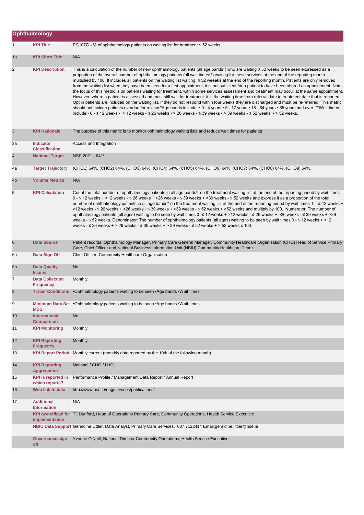|                  | Ophthalmology                               |                                                                                                                                                                                                                                                                                                                                                                                                                                                                                                                                                                                                                                                                                                                                                                                                                                                                                                                                                                                                                                                                                                                                                                                                                                                                                                                                                                      |  |
|------------------|---------------------------------------------|----------------------------------------------------------------------------------------------------------------------------------------------------------------------------------------------------------------------------------------------------------------------------------------------------------------------------------------------------------------------------------------------------------------------------------------------------------------------------------------------------------------------------------------------------------------------------------------------------------------------------------------------------------------------------------------------------------------------------------------------------------------------------------------------------------------------------------------------------------------------------------------------------------------------------------------------------------------------------------------------------------------------------------------------------------------------------------------------------------------------------------------------------------------------------------------------------------------------------------------------------------------------------------------------------------------------------------------------------------------------|--|
| $\mathbf{1}$     | <b>KPI Title</b>                            | PC107G - % of ophthalmology patients on waiting list for treatment $\leq 52$ weeks                                                                                                                                                                                                                                                                                                                                                                                                                                                                                                                                                                                                                                                                                                                                                                                                                                                                                                                                                                                                                                                                                                                                                                                                                                                                                   |  |
| 1a               | <b>KPI Short Title</b>                      | N/A                                                                                                                                                                                                                                                                                                                                                                                                                                                                                                                                                                                                                                                                                                                                                                                                                                                                                                                                                                                                                                                                                                                                                                                                                                                                                                                                                                  |  |
| $\overline{c}$   | <b>KPI Description</b>                      | This is a calculation of the number of new ophthalmology patients (all age bands*) who are waiting ≤ 52 weeks to be seen expressed as a<br>proportion of the overall number of ophthalmology patients (all wait times**) waiting for these services at the end of the reporting month<br>multiplied by 100. It includes all patients on the waiting list waiting ≤ 52 weeeks at the end of the reporting month. Patients are only removed<br>from the waiting list when they have been seen for a first appointment, it is not sufficient for a patient to have been offered an appointment. Note<br>the focus of this metric is on patients waiting for treatment, within some services assessment and treatment may occur at the same appointment.<br>However, where a patient is assessed and must still wait for treatment it is the waiting time from referral date to treatment date that is reported.<br>Opt in patients are included on the waiting list. If they do not respond within four weeks they are discharged and must be re-referred. This metric<br>should not include patients overdue for review.*Age bands include: • 0 - 4 years • 5 - 17 years • 18 - 64 years • 65 years and over. **Wait times<br>include:• 0 - $\leq$ 12 weeks • > 12 weeks - $\leq$ 26 weeks • > 26 weeks - $\leq$ 39 weeks • > 39 weeks - $\leq$ 52 weeks • > 52 weeks. |  |
| 3                | <b>KPI Rationale</b>                        | The purpose of this metric is to monitor ophthalmology waiting lists and reduce wait times for patients                                                                                                                                                                                                                                                                                                                                                                                                                                                                                                                                                                                                                                                                                                                                                                                                                                                                                                                                                                                                                                                                                                                                                                                                                                                              |  |
| За               | <b>Indicator</b><br><b>Classification</b>   | Access and Integration                                                                                                                                                                                                                                                                                                                                                                                                                                                                                                                                                                                                                                                                                                                                                                                                                                                                                                                                                                                                                                                                                                                                                                                                                                                                                                                                               |  |
| $\overline{4}$   | <b>National Target</b>                      | NSP 2021 - 64%.                                                                                                                                                                                                                                                                                                                                                                                                                                                                                                                                                                                                                                                                                                                                                                                                                                                                                                                                                                                                                                                                                                                                                                                                                                                                                                                                                      |  |
| 4a               | <b>Target Trajectory</b>                    | (CHO1) 64%, (CHO2) 64%, (CHO3) 64%, (CHO4) 64%, (CHO5) 64%, (CHO6) 64%, (CHO7) 64%, (CHO8) 64%, (CHO9) 64%.                                                                                                                                                                                                                                                                                                                                                                                                                                                                                                                                                                                                                                                                                                                                                                                                                                                                                                                                                                                                                                                                                                                                                                                                                                                          |  |
| 4 <sub>b</sub>   | <b>Volume Metrics</b>                       | N/A                                                                                                                                                                                                                                                                                                                                                                                                                                                                                                                                                                                                                                                                                                                                                                                                                                                                                                                                                                                                                                                                                                                                                                                                                                                                                                                                                                  |  |
| 5                | <b>KPI Calculation</b>                      | Count the total number of ophthalmology patients in all age bands* on the treatment waiting list at the end of the reporting period by wait times<br>$0 - 512$ weeks + >12 weeks - $\leq 26$ weeks + >26 weeks - $\leq 39$ weeks + >39 weeks - $\leq 52$ weeks and express it as a proportion of the total<br>number of ophthalmology patients in all age bands* on the treatment waiting list at the end of the reporting period by wait times 0 - ≤ 12 weeks +<br>>12 weeks - $\leq$ 26 weeks + >26 weeks - $\leq$ 39 weeks + >39 weeks - $\leq$ 52 weeks + >52 weeks and multiply by 100. Numerator: The number of<br>ophthalmology patients (all ages) waiting to be seen by wait times 0 -≤ 12 weeks + >12 weeks - ≤ 26 weeks + >26 weeks - ≤ 39 weeks + >39<br>weeks - ≤ 52 weeks. Denominator: The number of ophthalmology patients (all ages) waiting to be seen by wait times 0 - ≤ 12 weeks + >12<br>weeks - $\leq$ 26 weeks + > 26 weeks - $\leq$ 39 weeks + > 39 weeks - $\leq$ 52 weeks + > 52 weeks x 100.                                                                                                                                                                                                                                                                                                                                             |  |
| 6                | <b>Data Source</b>                          | Patient records, Ophthalmology Manager, Primary Care General Manager, Community Healthcare Organisation (CHO) Head of Service Primary<br>Care, Chief Officer and National Business Information Unit (NBIU) Community Healthcare Team.                                                                                                                                                                                                                                                                                                                                                                                                                                                                                                                                                                                                                                                                                                                                                                                                                                                                                                                                                                                                                                                                                                                                |  |
| 6а               | Data Sign Off                               | Chief Officer, Community Healthcare Organisation                                                                                                                                                                                                                                                                                                                                                                                                                                                                                                                                                                                                                                                                                                                                                                                                                                                                                                                                                                                                                                                                                                                                                                                                                                                                                                                     |  |
| 6 <sub>b</sub>   | <b>Data Quality</b><br><b>Issues</b>        | No                                                                                                                                                                                                                                                                                                                                                                                                                                                                                                                                                                                                                                                                                                                                                                                                                                                                                                                                                                                                                                                                                                                                                                                                                                                                                                                                                                   |  |
| 7                | <b>Data Collection</b><br><b>Frequency</b>  | Monthly                                                                                                                                                                                                                                                                                                                                                                                                                                                                                                                                                                                                                                                                                                                                                                                                                                                                                                                                                                                                                                                                                                                                                                                                                                                                                                                                                              |  |
| $\boldsymbol{8}$ |                                             | Tracer Conditions . Ophthalmology patients waiting to be seen . Age bands . Wait times                                                                                                                                                                                                                                                                                                                                                                                                                                                                                                                                                                                                                                                                                                                                                                                                                                                                                                                                                                                                                                                                                                                                                                                                                                                                               |  |
| 9                | <b>MDS</b>                                  | Minimum Data Set • Ophthalmology patients waiting to be seen • Age bands • Wait times                                                                                                                                                                                                                                                                                                                                                                                                                                                                                                                                                                                                                                                                                                                                                                                                                                                                                                                                                                                                                                                                                                                                                                                                                                                                                |  |
| 10               | <b>International</b><br><b>Comparison</b>   | No                                                                                                                                                                                                                                                                                                                                                                                                                                                                                                                                                                                                                                                                                                                                                                                                                                                                                                                                                                                                                                                                                                                                                                                                                                                                                                                                                                   |  |
| 11               | <b>KPI Monitoring</b>                       | Monthly                                                                                                                                                                                                                                                                                                                                                                                                                                                                                                                                                                                                                                                                                                                                                                                                                                                                                                                                                                                                                                                                                                                                                                                                                                                                                                                                                              |  |
| 12               | <b>KPI Reporting</b><br><b>Frequency</b>    | Monthly                                                                                                                                                                                                                                                                                                                                                                                                                                                                                                                                                                                                                                                                                                                                                                                                                                                                                                                                                                                                                                                                                                                                                                                                                                                                                                                                                              |  |
| 13               | <b>KPI Report Period</b>                    | Monthly current (monthly data reported by the 10th of the following month)                                                                                                                                                                                                                                                                                                                                                                                                                                                                                                                                                                                                                                                                                                                                                                                                                                                                                                                                                                                                                                                                                                                                                                                                                                                                                           |  |
| 14               | <b>KPI Reporting</b><br>Aggregation         | National / CHO / LHO                                                                                                                                                                                                                                                                                                                                                                                                                                                                                                                                                                                                                                                                                                                                                                                                                                                                                                                                                                                                                                                                                                                                                                                                                                                                                                                                                 |  |
| 15               | <b>KPI</b> is reported in<br>which reports? | Performance Profile / Management Data Report / Annual Report                                                                                                                                                                                                                                                                                                                                                                                                                                                                                                                                                                                                                                                                                                                                                                                                                                                                                                                                                                                                                                                                                                                                                                                                                                                                                                         |  |
| 16               | Web link to data                            | http://www.hse.ie/eng/services/publications/                                                                                                                                                                                                                                                                                                                                                                                                                                                                                                                                                                                                                                                                                                                                                                                                                                                                                                                                                                                                                                                                                                                                                                                                                                                                                                                         |  |
| 17               | <b>Additional</b><br><b>Information</b>     | N/A                                                                                                                                                                                                                                                                                                                                                                                                                                                                                                                                                                                                                                                                                                                                                                                                                                                                                                                                                                                                                                                                                                                                                                                                                                                                                                                                                                  |  |
|                  | implementation                              | KPI owner/lead for TJ Dunford, Head of Operations Primary Care, Community Operations, Health Service Executive                                                                                                                                                                                                                                                                                                                                                                                                                                                                                                                                                                                                                                                                                                                                                                                                                                                                                                                                                                                                                                                                                                                                                                                                                                                       |  |
|                  |                                             | NBIU Data Support Geraldine Littler, Data Analyst, Primary Care Services, 087 7122414 Email:geraldine.littler@hse.ie                                                                                                                                                                                                                                                                                                                                                                                                                                                                                                                                                                                                                                                                                                                                                                                                                                                                                                                                                                                                                                                                                                                                                                                                                                                 |  |
|                  | Governance/sign<br>off                      | Yvonne O'Neill, National Director Community Operations, Health Service Executive                                                                                                                                                                                                                                                                                                                                                                                                                                                                                                                                                                                                                                                                                                                                                                                                                                                                                                                                                                                                                                                                                                                                                                                                                                                                                     |  |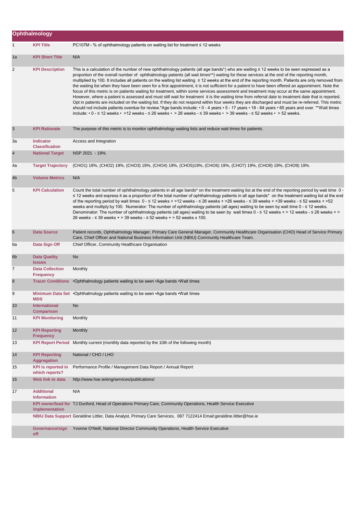|                 | Ophthalmology                               |                                                                                                                                                                                                                                                                                                                                                                                                                                                                                                                                                                                                                                                                                                                                                                                                                                                                                                                                                                                                                                                                                                                                                                                                                                                                                                                                                                                                     |
|-----------------|---------------------------------------------|-----------------------------------------------------------------------------------------------------------------------------------------------------------------------------------------------------------------------------------------------------------------------------------------------------------------------------------------------------------------------------------------------------------------------------------------------------------------------------------------------------------------------------------------------------------------------------------------------------------------------------------------------------------------------------------------------------------------------------------------------------------------------------------------------------------------------------------------------------------------------------------------------------------------------------------------------------------------------------------------------------------------------------------------------------------------------------------------------------------------------------------------------------------------------------------------------------------------------------------------------------------------------------------------------------------------------------------------------------------------------------------------------------|
| 1               | <b>KPI Title</b>                            | $PC107M - %$ of ophthalmology patients on waiting list for treatment $\leq 12$ weeks                                                                                                                                                                                                                                                                                                                                                                                                                                                                                                                                                                                                                                                                                                                                                                                                                                                                                                                                                                                                                                                                                                                                                                                                                                                                                                                |
| 1a              | <b>KPI Short Title</b>                      | N/A                                                                                                                                                                                                                                                                                                                                                                                                                                                                                                                                                                                                                                                                                                                                                                                                                                                                                                                                                                                                                                                                                                                                                                                                                                                                                                                                                                                                 |
| 2               | <b>KPI Description</b>                      | This is a calculation of the number of new ophthalmology patients (all age bands*) who are waiting ≤ 12 weeks to be seen expressed as a<br>proportion of the overall number of ophthalmology patients (all wait times**) waiting for these services at the end of the reporting month,<br>multiplied by 100. It includes all patients on the waiting list waiting ≤ 12 weeks at the end of the reporting month. Patients are only removed from<br>the waiting list when they have been seen for a first appointment, it is not sufficient for a patient to have been offered an appointment. Note the<br>focus of this metric is on patients waiting for treatment, within some services assessment and treatment may occur at the same appointment.<br>However, where a patient is assessed and must still wait for treatment it is the waiting time from referral date to treatment date that is reported.<br>Opt in patients are included on the waiting list. If they do not respond within four weeks they are discharged and must be re-referred. This metric<br>should not include patients overdue for review.*Age bands include: • 0 - 4 years • 5 - 17 years • 18 - 64 years • 65 years and over. **Wait times<br>include: $\cdot$ 0 - $\leq$ 12 weeks $\cdot$ > 12 weeks - $\leq$ 26 weeks $\cdot$ > 26 weeks - $\leq$ 39 weeks $\cdot$ > 39 weeks - $\leq$ 52 weeks $\cdot$ > 52 weeks. |
| 3               | <b>KPI Rationale</b>                        | The purpose of this metric is to monitor ophthalmology waiting lists and reduce wait times for patients.                                                                                                                                                                                                                                                                                                                                                                                                                                                                                                                                                                                                                                                                                                                                                                                                                                                                                                                                                                                                                                                                                                                                                                                                                                                                                            |
| За              | <b>Indicator</b><br><b>Classification</b>   | Access and Integration                                                                                                                                                                                                                                                                                                                                                                                                                                                                                                                                                                                                                                                                                                                                                                                                                                                                                                                                                                                                                                                                                                                                                                                                                                                                                                                                                                              |
| 4               | <b>National Target</b>                      | NSP 2021 - 19%.                                                                                                                                                                                                                                                                                                                                                                                                                                                                                                                                                                                                                                                                                                                                                                                                                                                                                                                                                                                                                                                                                                                                                                                                                                                                                                                                                                                     |
| 4a              | <b>Target Trajectory</b>                    | (CHO1) 19%, (CHO2) 19%, (CHO3) 19%, (CHO4) 19%, (CHO5)19%, (CHO6) 19%, (CHO7) 19%, (CHO8) 19%, (CHO9) 19%.                                                                                                                                                                                                                                                                                                                                                                                                                                                                                                                                                                                                                                                                                                                                                                                                                                                                                                                                                                                                                                                                                                                                                                                                                                                                                          |
| 4 <sub>b</sub>  | <b>Volume Metrics</b>                       | N/A                                                                                                                                                                                                                                                                                                                                                                                                                                                                                                                                                                                                                                                                                                                                                                                                                                                                                                                                                                                                                                                                                                                                                                                                                                                                                                                                                                                                 |
| 5               | <b>KPI Calculation</b>                      | Count the total number of ophthalmology patients in all age bands* on the treatment waiting list at the end of the reporting period by wait time 0 -<br>≤ 12 weeks and express it as a proportion of the total number of ophthalmology patients in all age bands* on the treatment waiting list at the end<br>of the reporting period by wait times $0 - 1 \le 12$ weeks + >12 weeks - $\le 26$ weeks + >26 weeks - $\le 39$ weeks + >39 weeks - $\le 52$ weeks + >52<br>weeks and multiply by 100. Numerator: The number of ophthalmology patients (all ages) waiting to be seen by wait time 0 - ≤ 12 weeks.<br>Denominator: The number of ophthalmology patients (all ages) waiting to be seen by wait times 0 - ≤ 12 weeks + > 12 weeks - ≤ 26 weeks + ><br>26 weeks - $\leq$ 39 weeks + > 39 weeks - $\leq$ 52 weeks + > 52 weeks x 100.                                                                                                                                                                                                                                                                                                                                                                                                                                                                                                                                                       |
| 6               | <b>Data Source</b>                          | Patient records, Ophthalmology Manager, Primary Care General Manager, Community Healthcare Organisation (CHO) Head of Service Primary<br>Care, Chief Officer and National Business Information Unit (NBIU) Community Healthcare Team.                                                                                                                                                                                                                                                                                                                                                                                                                                                                                                                                                                                                                                                                                                                                                                                                                                                                                                                                                                                                                                                                                                                                                               |
| 6а              | Data Sign Off                               | Chief Officer, Community Healthcare Organisation                                                                                                                                                                                                                                                                                                                                                                                                                                                                                                                                                                                                                                                                                                                                                                                                                                                                                                                                                                                                                                                                                                                                                                                                                                                                                                                                                    |
| 6 <sub>b</sub>  | <b>Data Quality</b><br><b>Issues</b>        | <b>No</b>                                                                                                                                                                                                                                                                                                                                                                                                                                                                                                                                                                                                                                                                                                                                                                                                                                                                                                                                                                                                                                                                                                                                                                                                                                                                                                                                                                                           |
| 7               | <b>Data Collection</b><br><b>Frequency</b>  | Monthly                                                                                                                                                                                                                                                                                                                                                                                                                                                                                                                                                                                                                                                                                                                                                                                                                                                                                                                                                                                                                                                                                                                                                                                                                                                                                                                                                                                             |
| 8               | <b>Tracer Conditions</b>                    | •Ophthalmology patients waiting to be seen • Age bands • Wait times                                                                                                                                                                                                                                                                                                                                                                                                                                                                                                                                                                                                                                                                                                                                                                                                                                                                                                                                                                                                                                                                                                                                                                                                                                                                                                                                 |
| 9               | <b>MDS</b>                                  | Minimum Data Set • Ophthalmology patients waiting to be seen • Age bands • Wait times                                                                                                                                                                                                                                                                                                                                                                                                                                                                                                                                                                                                                                                                                                                                                                                                                                                                                                                                                                                                                                                                                                                                                                                                                                                                                                               |
| 10 <sup>°</sup> | <b>International</b><br><b>Comparison</b>   | No                                                                                                                                                                                                                                                                                                                                                                                                                                                                                                                                                                                                                                                                                                                                                                                                                                                                                                                                                                                                                                                                                                                                                                                                                                                                                                                                                                                                  |
| 11              | <b>KPI Monitoring</b>                       | Monthly                                                                                                                                                                                                                                                                                                                                                                                                                                                                                                                                                                                                                                                                                                                                                                                                                                                                                                                                                                                                                                                                                                                                                                                                                                                                                                                                                                                             |
| 12              | <b>KPI Reporting</b><br><b>Frequency</b>    | Monthly                                                                                                                                                                                                                                                                                                                                                                                                                                                                                                                                                                                                                                                                                                                                                                                                                                                                                                                                                                                                                                                                                                                                                                                                                                                                                                                                                                                             |
| 13              | <b>KPI Report Period</b>                    | Monthly current (monthly data reported by the 10th of the following month)                                                                                                                                                                                                                                                                                                                                                                                                                                                                                                                                                                                                                                                                                                                                                                                                                                                                                                                                                                                                                                                                                                                                                                                                                                                                                                                          |
| 14              | <b>KPI Reporting</b><br><b>Aggregation</b>  | National / CHO / LHO                                                                                                                                                                                                                                                                                                                                                                                                                                                                                                                                                                                                                                                                                                                                                                                                                                                                                                                                                                                                                                                                                                                                                                                                                                                                                                                                                                                |
| 15              | <b>KPI</b> is reported in<br>which reports? | Performance Profile / Management Data Report / Annual Report                                                                                                                                                                                                                                                                                                                                                                                                                                                                                                                                                                                                                                                                                                                                                                                                                                                                                                                                                                                                                                                                                                                                                                                                                                                                                                                                        |
| 16              | Web link to data                            | http://www.hse.ie/eng/services/publications/                                                                                                                                                                                                                                                                                                                                                                                                                                                                                                                                                                                                                                                                                                                                                                                                                                                                                                                                                                                                                                                                                                                                                                                                                                                                                                                                                        |
| 17              | <b>Additional</b><br><b>Information</b>     | N/A                                                                                                                                                                                                                                                                                                                                                                                                                                                                                                                                                                                                                                                                                                                                                                                                                                                                                                                                                                                                                                                                                                                                                                                                                                                                                                                                                                                                 |
|                 | implementation                              | KPI owner/lead for TJ Dunford, Head of Operations Primary Care, Community Operations, Health Service Executive                                                                                                                                                                                                                                                                                                                                                                                                                                                                                                                                                                                                                                                                                                                                                                                                                                                                                                                                                                                                                                                                                                                                                                                                                                                                                      |
|                 |                                             | NBIU Data Support Geraldine Littler, Data Analyst, Primary Care Services, 087 7122414 Email:geraldine.littler@hse.ie                                                                                                                                                                                                                                                                                                                                                                                                                                                                                                                                                                                                                                                                                                                                                                                                                                                                                                                                                                                                                                                                                                                                                                                                                                                                                |
|                 | Governance/sign<br>off                      | Yvonne O'Neill, National Director Community Operations, Health Service Executive                                                                                                                                                                                                                                                                                                                                                                                                                                                                                                                                                                                                                                                                                                                                                                                                                                                                                                                                                                                                                                                                                                                                                                                                                                                                                                                    |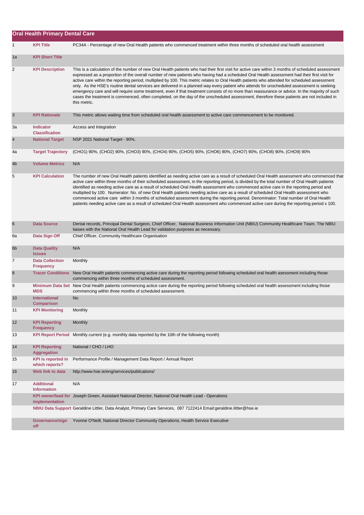|                | <b>Oral Health Primary Dental Care</b>      |                                                                                                                                                                                                                                                                                                                                                                                                                                                                                                                                                                                                                                                                                                                                                                                                                                                                                                               |
|----------------|---------------------------------------------|---------------------------------------------------------------------------------------------------------------------------------------------------------------------------------------------------------------------------------------------------------------------------------------------------------------------------------------------------------------------------------------------------------------------------------------------------------------------------------------------------------------------------------------------------------------------------------------------------------------------------------------------------------------------------------------------------------------------------------------------------------------------------------------------------------------------------------------------------------------------------------------------------------------|
| $\mathbf{1}$   | <b>KPI Title</b>                            | PC34A - Percentage of new Oral Health patients who commenced treatment within three months of scheduled oral health assessment                                                                                                                                                                                                                                                                                                                                                                                                                                                                                                                                                                                                                                                                                                                                                                                |
| 1a             | <b>KPI Short Title</b>                      |                                                                                                                                                                                                                                                                                                                                                                                                                                                                                                                                                                                                                                                                                                                                                                                                                                                                                                               |
| 2              | <b>KPI Description</b>                      | This is a calculation of the number of new Oral Health patients who had their first visit for active care within 3 months of scheduled assessment<br>expressed as a proportion of the overall number of new patients who having had a scheduled Oral Health assessment had their first visit for<br>active care within the reporting period, multiplied by 100. This metric relates to Oral Health patients who attended for scheduled assessment<br>only. As the HSE's routine dental services are delivered in a planned way every patient who attends for unscheduled assessment is seeking<br>emergency care and will require some treatment, even if that treatment consists of no more than reassurance or advice. In the majority of such<br>cases the treatment is commenced, often completed, on the day of the unscheduled assessment, therefore these patients are not included in<br>this metric. |
| 3              | <b>KPI Rationale</b>                        | This metric allows waiting time from scheduled oral health assessment to active care commencement to be monitored.                                                                                                                                                                                                                                                                                                                                                                                                                                                                                                                                                                                                                                                                                                                                                                                            |
| За             | <b>Indicator</b><br><b>Classification</b>   | Access and Integration                                                                                                                                                                                                                                                                                                                                                                                                                                                                                                                                                                                                                                                                                                                                                                                                                                                                                        |
| $\overline{4}$ | <b>National Target</b>                      | NSP 2021 National Target - 90%.                                                                                                                                                                                                                                                                                                                                                                                                                                                                                                                                                                                                                                                                                                                                                                                                                                                                               |
| 4a             | <b>Target Trajectory</b>                    | (CHO1) 90%, (CHO2) 90%, (CHO3) 90%, (CHO4) 90%, (CHO5) 90%, (CHO6) 90%, (CHO7) 90%, (CHO8) 90%, (CHO9) 90%                                                                                                                                                                                                                                                                                                                                                                                                                                                                                                                                                                                                                                                                                                                                                                                                    |
| 4 <sub>b</sub> | <b>Volume Metrics</b>                       | N/A                                                                                                                                                                                                                                                                                                                                                                                                                                                                                                                                                                                                                                                                                                                                                                                                                                                                                                           |
| 5              | <b>KPI Calculation</b>                      | The number of new Oral Health patients identified as needing active care as a result of scheduled Oral Health assessment who commenced that<br>active care within three months of their scheduled assessment, in the reporting period, is divided by the total number of Oral Health patients<br>identified as needing active care as a result of scheduled Oral Health assessment who commenced active care in the reporting period and<br>multiplied by 100. Numerator: No. of new Oral Health patients needing active care as a result of scheduled Oral Health assessment who<br>commenced active care within 3 months of scheduled assessment during the reporting period. Denominator: Total number of Oral Health<br>patients needing active care as a result of scheduled Oral Health assessment who commenced active care during the reporting period x 100.                                         |
| 6              | <b>Data Source</b>                          | Dental records, Principal Dental Surgeon, Chief Officer, National Business Information Unit (NBIU) Community Healthcare Team. The NBIU<br>liaises with the National Oral Health Lead for validation purposes as necessary.                                                                                                                                                                                                                                                                                                                                                                                                                                                                                                                                                                                                                                                                                    |
| 6а             | Data Sign Off                               | Chief Officer, Community Healthcare Organisation                                                                                                                                                                                                                                                                                                                                                                                                                                                                                                                                                                                                                                                                                                                                                                                                                                                              |
| 6 <sub>b</sub> | <b>Data Quality</b><br><b>Issues</b>        | N/A                                                                                                                                                                                                                                                                                                                                                                                                                                                                                                                                                                                                                                                                                                                                                                                                                                                                                                           |
| $\overline{7}$ | <b>Data Collection</b><br><b>Frequency</b>  | Monthly                                                                                                                                                                                                                                                                                                                                                                                                                                                                                                                                                                                                                                                                                                                                                                                                                                                                                                       |
| 8              | <b>Tracer Conditions</b>                    | New Oral Health patients commencing active care during the reporting period following scheduled oral health asessment including those<br>commencing within three months of scheduled assessment.                                                                                                                                                                                                                                                                                                                                                                                                                                                                                                                                                                                                                                                                                                              |
| 9              | <b>MDS</b>                                  | Minimum Data Set New Oral Health patients commencing actice care during the reporting period following scheduled oral health assessment including those<br>commencing within three months of scheduled assessment.                                                                                                                                                                                                                                                                                                                                                                                                                                                                                                                                                                                                                                                                                            |
| 10             | <b>International</b><br><b>Comparison</b>   | No                                                                                                                                                                                                                                                                                                                                                                                                                                                                                                                                                                                                                                                                                                                                                                                                                                                                                                            |
| 11             | <b>KPI Monitoring</b>                       | Monthly                                                                                                                                                                                                                                                                                                                                                                                                                                                                                                                                                                                                                                                                                                                                                                                                                                                                                                       |
| 12             | <b>KPI Reporting</b><br><b>Frequency</b>    | Monthly                                                                                                                                                                                                                                                                                                                                                                                                                                                                                                                                                                                                                                                                                                                                                                                                                                                                                                       |
| 13             | <b>KPI Report Period</b>                    | Monthly current (e.g. monthly data reported by the 10th of the following month)                                                                                                                                                                                                                                                                                                                                                                                                                                                                                                                                                                                                                                                                                                                                                                                                                               |
| 14             | <b>KPI Reporting</b><br>Aggregation         | National / CHO / LHO                                                                                                                                                                                                                                                                                                                                                                                                                                                                                                                                                                                                                                                                                                                                                                                                                                                                                          |
| 15             | <b>KPI</b> is reported in<br>which reports? | Performance Profile / Management Data Report / Annual Report                                                                                                                                                                                                                                                                                                                                                                                                                                                                                                                                                                                                                                                                                                                                                                                                                                                  |
| 16             | Web link to data                            | http://www.hse.ie/eng/services/publications/                                                                                                                                                                                                                                                                                                                                                                                                                                                                                                                                                                                                                                                                                                                                                                                                                                                                  |
| 17             | <b>Additional</b><br><b>Information</b>     | N/A                                                                                                                                                                                                                                                                                                                                                                                                                                                                                                                                                                                                                                                                                                                                                                                                                                                                                                           |
|                | implementation                              | KPI owner/lead for Joseph Green, Assistant National Director, National Oral Health Lead - Operations                                                                                                                                                                                                                                                                                                                                                                                                                                                                                                                                                                                                                                                                                                                                                                                                          |
|                |                                             | NBIU Data Support Geraldine Littler, Data Analyst, Primary Care Services, 087 7122414 Email:geraldine.littler@hse.ie                                                                                                                                                                                                                                                                                                                                                                                                                                                                                                                                                                                                                                                                                                                                                                                          |
|                | Governance/sign<br>off                      | Yvonne O'Neill, National Director Community Operations, Health Service Executive                                                                                                                                                                                                                                                                                                                                                                                                                                                                                                                                                                                                                                                                                                                                                                                                                              |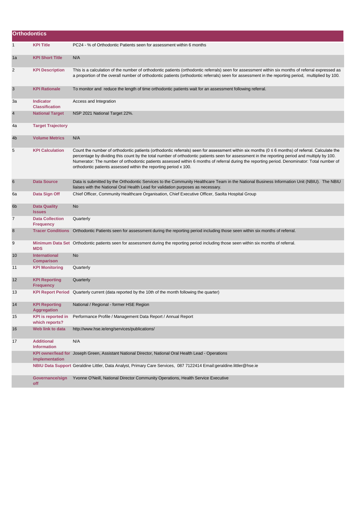| <b>Orthodontics</b> |                                             |                                                                                                                                                                                                                                                                                                                                                                                                                                                                                                                             |
|---------------------|---------------------------------------------|-----------------------------------------------------------------------------------------------------------------------------------------------------------------------------------------------------------------------------------------------------------------------------------------------------------------------------------------------------------------------------------------------------------------------------------------------------------------------------------------------------------------------------|
| 1                   | <b>KPI Title</b>                            | PC24 - % of Orthodontic Patients seen for assessment within 6 months                                                                                                                                                                                                                                                                                                                                                                                                                                                        |
| 1a                  | <b>KPI Short Title</b>                      | N/A                                                                                                                                                                                                                                                                                                                                                                                                                                                                                                                         |
| 2                   | <b>KPI Description</b>                      | This is a calculation of the number of orthodontic patients (orthodontic referrals) seen for assessment within six months of referral expressed as<br>a proportion of the overall number of orthodontic patients (orthodontic referrals) seen for assessment in the reporting period, multiplied by 100.                                                                                                                                                                                                                    |
| 3                   | <b>KPI Rationale</b>                        | To monitor and reduce the length of time orthodontic patients wait for an assessment following referral.                                                                                                                                                                                                                                                                                                                                                                                                                    |
| За                  | <b>Indicator</b><br><b>Classification</b>   | Access and Integration                                                                                                                                                                                                                                                                                                                                                                                                                                                                                                      |
| $\overline{4}$      | <b>National Target</b>                      | NSP 2021 National Target 22%.                                                                                                                                                                                                                                                                                                                                                                                                                                                                                               |
| 4a                  | <b>Target Trajectory</b>                    |                                                                                                                                                                                                                                                                                                                                                                                                                                                                                                                             |
| 4b                  | <b>Volume Metrics</b>                       | N/A                                                                                                                                                                                                                                                                                                                                                                                                                                                                                                                         |
| 5                   | <b>KPI Calculation</b>                      | Count the number of orthodontic patients (orthodontic referrals) seen for assessment within six months ( $0 \le 6$ months) of referral. Calculate the<br>percentage by dividing this count by the total number of orthodontic patients seen for assessment in the reporting period and multiply by 100.<br>Numerator: The number of orthodontic patients assessed within 6 months of referral during the reporting period. Denominator: Total number of<br>orthodontic patients assessed within the reporting period x 100. |
| 6                   | <b>Data Source</b>                          | Data is submitted by the Orthodontic Services to the Community Healthcare Team in the National Business Information Unit (NBIU). The NBIU<br>liaises with the National Oral Health Lead for validation purposes as necessary.                                                                                                                                                                                                                                                                                               |
| 6а                  | Data Sign Off                               | Chief Officer, Community Healthcare Organisation, Chief Executive Officer, Saolta Hospital Group                                                                                                                                                                                                                                                                                                                                                                                                                            |
| 6 <sub>b</sub>      | <b>Data Quality</b><br><b>Issues</b>        | <b>No</b>                                                                                                                                                                                                                                                                                                                                                                                                                                                                                                                   |
| 7                   | <b>Data Collection</b><br><b>Frequency</b>  | Quarterly                                                                                                                                                                                                                                                                                                                                                                                                                                                                                                                   |
| 8                   | <b>Tracer Conditions</b>                    | Orthodontic Patients seen for assessment during the reporting period including those seen within six months of referral.                                                                                                                                                                                                                                                                                                                                                                                                    |
| 9                   | <b>MDS</b>                                  | Minimum Data Set Orthodontic patients seen for assessment during the reporting period including those seen within six months of referral.                                                                                                                                                                                                                                                                                                                                                                                   |
| 10                  | <b>International</b><br><b>Comparison</b>   | No                                                                                                                                                                                                                                                                                                                                                                                                                                                                                                                          |
| 11                  | <b>KPI Monitoring</b>                       | Quarterly                                                                                                                                                                                                                                                                                                                                                                                                                                                                                                                   |
| 12                  | <b>KPI Reporting</b><br><b>Frequency</b>    | Quarterly                                                                                                                                                                                                                                                                                                                                                                                                                                                                                                                   |
| 13                  |                                             | KPI Report Period Quarterly current (data reported by the 10th of the month following the quarter)                                                                                                                                                                                                                                                                                                                                                                                                                          |
| 14                  | <b>KPI Reporting</b><br>Aggregation         | National / Regional - former HSE Region                                                                                                                                                                                                                                                                                                                                                                                                                                                                                     |
| 15                  | <b>KPI</b> is reported in<br>which reports? | Performance Profile / Management Data Report / Annual Report                                                                                                                                                                                                                                                                                                                                                                                                                                                                |
| 16                  | Web link to data                            | http://www.hse.ie/eng/services/publications/                                                                                                                                                                                                                                                                                                                                                                                                                                                                                |
| 17                  | <b>Additional</b><br><b>Information</b>     | N/A                                                                                                                                                                                                                                                                                                                                                                                                                                                                                                                         |
|                     | implementation                              | KPI owner/lead for Joseph Green, Assistant National Director, National Oral Health Lead - Operations                                                                                                                                                                                                                                                                                                                                                                                                                        |
|                     |                                             | NBIU Data Support Geraldine Littler, Data Analyst, Primary Care Services, 087 7122414 Email:geraldine.littler@hse.ie                                                                                                                                                                                                                                                                                                                                                                                                        |
|                     | Governance/sign<br>off                      | Yvonne O'Neill, National Director Community Operations, Health Service Executive                                                                                                                                                                                                                                                                                                                                                                                                                                            |
|                     |                                             |                                                                                                                                                                                                                                                                                                                                                                                                                                                                                                                             |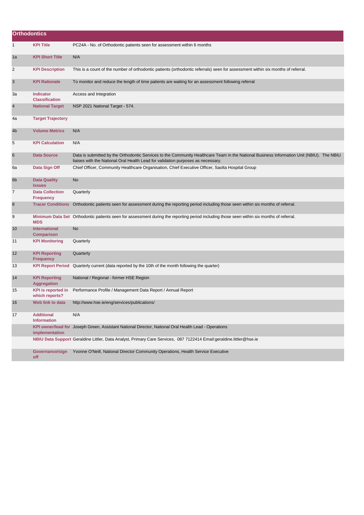| <b>Orthodontics</b> |                                             |                                                                                                                                                                                                                               |
|---------------------|---------------------------------------------|-------------------------------------------------------------------------------------------------------------------------------------------------------------------------------------------------------------------------------|
| $\mathbf{1}$        | <b>KPI Title</b>                            | PC24A - No. of Orthodontic patients seen for assessment within 6 months                                                                                                                                                       |
| 1a                  | <b>KPI Short Title</b>                      | N/A                                                                                                                                                                                                                           |
| 2                   | <b>KPI Description</b>                      | This is a count of the number of orthodontic patients (orthodontic referrals) seen for assessment within six months of referral.                                                                                              |
| 3                   | <b>KPI Rationale</b>                        | To monitor and reduce the length of time patients are waiting for an assessment following referral                                                                                                                            |
| За                  | Indicator<br><b>Classification</b>          | Access and Integration                                                                                                                                                                                                        |
| $\overline{4}$      | <b>National Target</b>                      | NSP 2021 National Target - 574.                                                                                                                                                                                               |
| 4a                  | <b>Target Trajectory</b>                    |                                                                                                                                                                                                                               |
| 4b                  | <b>Volume Metrics</b>                       | N/A                                                                                                                                                                                                                           |
| 5                   | <b>KPI Calculation</b>                      | N/A                                                                                                                                                                                                                           |
| 6                   | <b>Data Source</b>                          | Data is submitted by the Orthodontic Services to the Community Healthcare Team in the National Business Information Unit (NBIU). The NBIU<br>liaises with the National Oral Health Lead for validation purposes as necessary. |
| 6а                  | Data Sign Off                               | Chief Officer, Community Healthcare Organisation, Chief Executive Officer, Saolta Hospital Group                                                                                                                              |
| 6b                  | <b>Data Quality</b><br><b>Issues</b>        | No                                                                                                                                                                                                                            |
| $\overline{7}$      | <b>Data Collection</b><br><b>Frequency</b>  | Quarterly                                                                                                                                                                                                                     |
| 8                   |                                             | Tracer Conditions Orthodontic patients seen for assessment during the reporting period including those seen within six months of referral.                                                                                    |
| 9                   | <b>MDS</b>                                  | Minimum Data Set Orthodontic patients seen for assessment during the reporting period including those seen within six months of referral.                                                                                     |
| 10                  | International<br><b>Comparison</b>          | No                                                                                                                                                                                                                            |
| 11                  | <b>KPI Monitoring</b>                       | Quarterly                                                                                                                                                                                                                     |
| 12                  | <b>KPI Reporting</b><br><b>Frequency</b>    | Quarterly                                                                                                                                                                                                                     |
| 13                  |                                             | KPI Report Period Quarterly current (data reported by the 10th of the month following the quarter)                                                                                                                            |
| 14                  | <b>KPI Reporting</b><br><b>Aggregation</b>  | National / Regional - former HSE Region                                                                                                                                                                                       |
| 15                  | <b>KPI</b> is reported in<br>which reports? | Performance Profile / Management Data Report / Annual Report                                                                                                                                                                  |
| 16                  | Web link to data                            | http://www.hse.ie/eng/services/publications/                                                                                                                                                                                  |
| 17                  | <b>Additional</b><br><b>Information</b>     | N/A                                                                                                                                                                                                                           |
|                     | implementation                              | KPI owner/lead for Joseph Green, Assistant National Director, National Oral Health Lead - Operations                                                                                                                          |
|                     |                                             | NBIU Data Support Geraldine Littler, Data Analyst, Primary Care Services, 087 7122414 Email:geraldine.littler@hse.ie                                                                                                          |
|                     | Governance/sign<br>off                      | Yvonne O'Neill, National Director Community Operations, Health Service Executive                                                                                                                                              |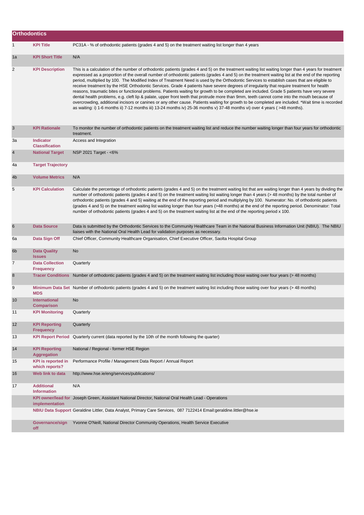| <b>Orthodontics</b> |                                             |                                                                                                                                                                                                                                                                                                                                                                                                                                                                                                                                                                                                                                                                                                                                                                                                                                                                                                                                                                                                                                                                                                                                                                                           |
|---------------------|---------------------------------------------|-------------------------------------------------------------------------------------------------------------------------------------------------------------------------------------------------------------------------------------------------------------------------------------------------------------------------------------------------------------------------------------------------------------------------------------------------------------------------------------------------------------------------------------------------------------------------------------------------------------------------------------------------------------------------------------------------------------------------------------------------------------------------------------------------------------------------------------------------------------------------------------------------------------------------------------------------------------------------------------------------------------------------------------------------------------------------------------------------------------------------------------------------------------------------------------------|
| $\mathbf{1}$        | <b>KPI Title</b>                            | PC31A - % of orthodontic patients (grades 4 and 5) on the treatment waiting list longer than 4 years                                                                                                                                                                                                                                                                                                                                                                                                                                                                                                                                                                                                                                                                                                                                                                                                                                                                                                                                                                                                                                                                                      |
| 1a                  | <b>KPI Short Title</b>                      | N/A                                                                                                                                                                                                                                                                                                                                                                                                                                                                                                                                                                                                                                                                                                                                                                                                                                                                                                                                                                                                                                                                                                                                                                                       |
| 2                   | <b>KPI Description</b>                      | This is a calculation of the number of orthodontic patients (grades 4 and 5) on the treatment waiting list waiting longer than 4 years for treatment<br>expressed as a proportion of the overall number of orthodontic patients (grades 4 and 5) on the treatment waiting list at the end of the reporting<br>period, multiplied by 100. The Modified Index of Treatment Need is used by the Orthodontic Services to establish cases that are eligible to<br>receive treatment by the HSE Orthodontic Services. Grade 4 patients have severe degrees of irregularity that require treatment for health<br>reasons, traumatic bites or functional problems. Patients waiting for growth to be completed are included. Grade 5 patients have very severe<br>dental health problems, e.g. cleft lip & palate, upper front teeth that protrude more than 9mm, teeth cannot come into the mouth because of<br>overcrowding, additional incisors or canines or any other cause. Patients waiting for growth to be completed are included. *Wait time is recorded<br>as waiting: i) 1-6 months ii) 7-12 months iii) 13-24 months iv) 25-36 months v) 37-48 months vi) over 4 years (>48 months). |
| 3                   | <b>KPI Rationale</b>                        | To monitor the number of orthodontic patients on the treatment waiting list and reduce the number waiting longer than four years for orthodontic<br>treatment.                                                                                                                                                                                                                                                                                                                                                                                                                                                                                                                                                                                                                                                                                                                                                                                                                                                                                                                                                                                                                            |
| За                  | <b>Indicator</b><br><b>Classification</b>   | Access and Integration                                                                                                                                                                                                                                                                                                                                                                                                                                                                                                                                                                                                                                                                                                                                                                                                                                                                                                                                                                                                                                                                                                                                                                    |
| $\overline{4}$      | <b>National Target</b>                      | NSP 2021 Target - <6%                                                                                                                                                                                                                                                                                                                                                                                                                                                                                                                                                                                                                                                                                                                                                                                                                                                                                                                                                                                                                                                                                                                                                                     |
| 4a                  | <b>Target Trajectory</b>                    |                                                                                                                                                                                                                                                                                                                                                                                                                                                                                                                                                                                                                                                                                                                                                                                                                                                                                                                                                                                                                                                                                                                                                                                           |
| 4 <sub>b</sub>      | <b>Volume Metrics</b>                       | N/A                                                                                                                                                                                                                                                                                                                                                                                                                                                                                                                                                                                                                                                                                                                                                                                                                                                                                                                                                                                                                                                                                                                                                                                       |
| 5                   | <b>KPI Calculation</b>                      | Calculate the percentage of orthodontic patients (grades 4 and 5) on the treatment waiting list that are waiting longer than 4 years by dividing the<br>number of orthodontic patients (grades 4 and 5) on the treatment waiting list waiting longer than 4 years (>48 months) by the total number of<br>orthodontic patients (grades 4 and 5) waiting at the end of the reporting period and multiplying by 100. Numerator: No. of orthodontic patients<br>(grades 4 and 5) on the treatment waiting list waiting longer than four years (>48 months) at the end of the reporting period. Denominator: Total<br>number of orthodontic patients (grades 4 and 5) on the treatment waiting list at the end of the reporting period x 100.                                                                                                                                                                                                                                                                                                                                                                                                                                                  |
| 6                   | <b>Data Source</b>                          | Data is submitted by the Orthodontic Services to the Community Healthcare Team in the National Business Information Unit (NBIU). The NBIU<br>liaises with the National Oral Health Lead for validation purposes as necessary.                                                                                                                                                                                                                                                                                                                                                                                                                                                                                                                                                                                                                                                                                                                                                                                                                                                                                                                                                             |
| 6a                  | Data Sign Off                               | Chief Officer, Community Healthcare Organisation, Chief Executive Officer, Saolta Hospital Group                                                                                                                                                                                                                                                                                                                                                                                                                                                                                                                                                                                                                                                                                                                                                                                                                                                                                                                                                                                                                                                                                          |
| 6b                  | <b>Data Quality</b><br><b>Issues</b>        | <b>No</b>                                                                                                                                                                                                                                                                                                                                                                                                                                                                                                                                                                                                                                                                                                                                                                                                                                                                                                                                                                                                                                                                                                                                                                                 |
| $\overline{7}$      | <b>Data Collection</b><br><b>Frequency</b>  | Quarterly                                                                                                                                                                                                                                                                                                                                                                                                                                                                                                                                                                                                                                                                                                                                                                                                                                                                                                                                                                                                                                                                                                                                                                                 |
| 8                   |                                             | Tracer Conditions Number of orthodontic patients (grades 4 and 5) on the treatment waiting list including those waiting over four years (>48 months)                                                                                                                                                                                                                                                                                                                                                                                                                                                                                                                                                                                                                                                                                                                                                                                                                                                                                                                                                                                                                                      |
| 9                   | <b>MDS</b>                                  | Minimum Data Set Number of orthodontic patients (grades 4 and 5) on the treatment waiting list including those waiting over four years (>48 months)                                                                                                                                                                                                                                                                                                                                                                                                                                                                                                                                                                                                                                                                                                                                                                                                                                                                                                                                                                                                                                       |
| 10                  | <b>International</b><br>Comparison          | <b>No</b>                                                                                                                                                                                                                                                                                                                                                                                                                                                                                                                                                                                                                                                                                                                                                                                                                                                                                                                                                                                                                                                                                                                                                                                 |
| 11                  | <b>KPI Monitoring</b>                       | Quarterly                                                                                                                                                                                                                                                                                                                                                                                                                                                                                                                                                                                                                                                                                                                                                                                                                                                                                                                                                                                                                                                                                                                                                                                 |
| 12                  | <b>KPI Reporting</b><br><b>Frequency</b>    | Quarterly                                                                                                                                                                                                                                                                                                                                                                                                                                                                                                                                                                                                                                                                                                                                                                                                                                                                                                                                                                                                                                                                                                                                                                                 |
| 13                  | <b>KPI Report Period</b>                    | Quarterly current (data reported by the 10th of the month following the quarter)                                                                                                                                                                                                                                                                                                                                                                                                                                                                                                                                                                                                                                                                                                                                                                                                                                                                                                                                                                                                                                                                                                          |
| 14                  | <b>KPI Reporting</b><br>Aggregation         | National / Regional - former HSE Region                                                                                                                                                                                                                                                                                                                                                                                                                                                                                                                                                                                                                                                                                                                                                                                                                                                                                                                                                                                                                                                                                                                                                   |
| 15                  | <b>KPI is reported in</b><br>which reports? | Performance Profile / Management Data Report / Annual Report                                                                                                                                                                                                                                                                                                                                                                                                                                                                                                                                                                                                                                                                                                                                                                                                                                                                                                                                                                                                                                                                                                                              |
| 16                  | Web link to data                            | http://www.hse.ie/eng/services/publications/                                                                                                                                                                                                                                                                                                                                                                                                                                                                                                                                                                                                                                                                                                                                                                                                                                                                                                                                                                                                                                                                                                                                              |
| 17                  | <b>Additional</b><br><b>Information</b>     | N/A                                                                                                                                                                                                                                                                                                                                                                                                                                                                                                                                                                                                                                                                                                                                                                                                                                                                                                                                                                                                                                                                                                                                                                                       |
|                     | implementation                              | KPI owner/lead for Joseph Green, Assistant National Director, National Oral Health Lead - Operations                                                                                                                                                                                                                                                                                                                                                                                                                                                                                                                                                                                                                                                                                                                                                                                                                                                                                                                                                                                                                                                                                      |
|                     |                                             | NBIU Data Support Geraldine Littler, Data Analyst, Primary Care Services, 087 7122414 Email:geraldine.littler@hse.ie                                                                                                                                                                                                                                                                                                                                                                                                                                                                                                                                                                                                                                                                                                                                                                                                                                                                                                                                                                                                                                                                      |
|                     | Governance/sign<br>off                      | Yvonne O'Neill, National Director Community Operations, Health Service Executive                                                                                                                                                                                                                                                                                                                                                                                                                                                                                                                                                                                                                                                                                                                                                                                                                                                                                                                                                                                                                                                                                                          |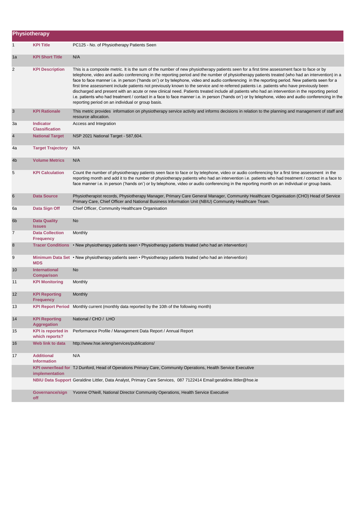|                | Physiotherapy                               |                                                                                                                                                                                                                                                                                                                                                                                                                                                                                                                                                                                                                                                                                                                                                                                                                                                                                                                                                              |
|----------------|---------------------------------------------|--------------------------------------------------------------------------------------------------------------------------------------------------------------------------------------------------------------------------------------------------------------------------------------------------------------------------------------------------------------------------------------------------------------------------------------------------------------------------------------------------------------------------------------------------------------------------------------------------------------------------------------------------------------------------------------------------------------------------------------------------------------------------------------------------------------------------------------------------------------------------------------------------------------------------------------------------------------|
| 1              | <b>KPI Title</b>                            | PC125 - No. of Physiotherapy Patients Seen                                                                                                                                                                                                                                                                                                                                                                                                                                                                                                                                                                                                                                                                                                                                                                                                                                                                                                                   |
| 1a             | <b>KPI Short Title</b>                      | N/A                                                                                                                                                                                                                                                                                                                                                                                                                                                                                                                                                                                                                                                                                                                                                                                                                                                                                                                                                          |
| 2              | <b>KPI Description</b>                      | This is a composite metric. It is the sum of the number of new physiotherapy patients seen for a first time assessment face to face or by<br>telephone, video and audio conferencing in the reporting period and the number of physiotherapy patients treated (who had an intervention) in a<br>face to face manner i.e. in person ('hands on') or by telephone, video and audio conferencing in the reporting period. New patients seen for a<br>first time assessment include patients not previously known to the service and re-referred patients i.e. patients who have previously been<br>discharged and present with an acute or new clinical need. Patients treated include all patients who had an intervention in the reporting period<br>i.e. patients who had treatment / contact in a face to face manner i.e. in person ('hands on') or by telephone, video and audio conferencing in the<br>reporting period on an individual or group basis. |
| $\sqrt{3}$     | <b>KPI Rationale</b>                        | This metric provides information on physiotherapy service activity and informs decisions in relation to the planning and management of staff and<br>resource allocation.                                                                                                                                                                                                                                                                                                                                                                                                                                                                                                                                                                                                                                                                                                                                                                                     |
| За             | <b>Indicator</b><br><b>Classification</b>   | Access and Integration                                                                                                                                                                                                                                                                                                                                                                                                                                                                                                                                                                                                                                                                                                                                                                                                                                                                                                                                       |
| 4              | <b>National Target</b>                      | NSP 2021 National Target - 587,604.                                                                                                                                                                                                                                                                                                                                                                                                                                                                                                                                                                                                                                                                                                                                                                                                                                                                                                                          |
| 4a             | <b>Target Trajectory</b>                    | N/A                                                                                                                                                                                                                                                                                                                                                                                                                                                                                                                                                                                                                                                                                                                                                                                                                                                                                                                                                          |
| 4 <sub>b</sub> | <b>Volume Metrics</b>                       | N/A                                                                                                                                                                                                                                                                                                                                                                                                                                                                                                                                                                                                                                                                                                                                                                                                                                                                                                                                                          |
| 5              | <b>KPI Calculation</b>                      | Count the number of physiotherapy patients seen face to face or by telephone, video or audio conferencing for a first time assessment in the<br>reporting month and add it to the number of physiotherapy patients who had an intervention i.e. patients who had treatment / contact in a face to<br>face manner i.e. in person ('hands on') or by telephone, video or audio conferencing in the reporting month on an individual or group basis.                                                                                                                                                                                                                                                                                                                                                                                                                                                                                                            |
| 6              | <b>Data Source</b>                          | Physiotherapist records, Physiotherapy Manager, Primary Care General Manager, Community Healthcare Organisation (CHO) Head of Service<br>Primary Care, Chief Officer and National Business Information Unit (NBIU) Community Healthcare Team.                                                                                                                                                                                                                                                                                                                                                                                                                                                                                                                                                                                                                                                                                                                |
| 6а             | Data Sign Off                               | Chief Officer, Community Healthcare Organisation                                                                                                                                                                                                                                                                                                                                                                                                                                                                                                                                                                                                                                                                                                                                                                                                                                                                                                             |
| 6 <sub>b</sub> | <b>Data Quality</b><br><b>Issues</b>        | No                                                                                                                                                                                                                                                                                                                                                                                                                                                                                                                                                                                                                                                                                                                                                                                                                                                                                                                                                           |
| 7              | <b>Data Collection</b><br><b>Frequency</b>  | Monthly                                                                                                                                                                                                                                                                                                                                                                                                                                                                                                                                                                                                                                                                                                                                                                                                                                                                                                                                                      |
| 8              | <b>Tracer Conditions</b>                    | • New physiotherapy patients seen • Physiotherapy patients treated (who had an intervention)                                                                                                                                                                                                                                                                                                                                                                                                                                                                                                                                                                                                                                                                                                                                                                                                                                                                 |
| 9              | <b>MDS</b>                                  | Minimum Data Set • New physiotherapy patients seen • Physiotherapy patients treated (who had an intervention)                                                                                                                                                                                                                                                                                                                                                                                                                                                                                                                                                                                                                                                                                                                                                                                                                                                |
| 10             | <b>International</b><br><b>Comparison</b>   | No                                                                                                                                                                                                                                                                                                                                                                                                                                                                                                                                                                                                                                                                                                                                                                                                                                                                                                                                                           |
| 11             | <b>KPI Monitoring</b>                       | Monthly                                                                                                                                                                                                                                                                                                                                                                                                                                                                                                                                                                                                                                                                                                                                                                                                                                                                                                                                                      |
| 12             | <b>KPI Reporting</b><br><b>Frequency</b>    | Monthly                                                                                                                                                                                                                                                                                                                                                                                                                                                                                                                                                                                                                                                                                                                                                                                                                                                                                                                                                      |
| 13             |                                             | KPI Report Period Monthly current (monthly data reported by the 10th of the following month)                                                                                                                                                                                                                                                                                                                                                                                                                                                                                                                                                                                                                                                                                                                                                                                                                                                                 |
| 14             | <b>KPI Reporting</b><br><b>Aggregation</b>  | National / CHO / LHO                                                                                                                                                                                                                                                                                                                                                                                                                                                                                                                                                                                                                                                                                                                                                                                                                                                                                                                                         |
| 15             | <b>KPI</b> is reported in<br>which reports? | Performance Profile / Management Data Report / Annual Report                                                                                                                                                                                                                                                                                                                                                                                                                                                                                                                                                                                                                                                                                                                                                                                                                                                                                                 |
| 16             | Web link to data                            | http://www.hse.ie/eng/services/publications/                                                                                                                                                                                                                                                                                                                                                                                                                                                                                                                                                                                                                                                                                                                                                                                                                                                                                                                 |
| 17             | <b>Additional</b><br><b>Information</b>     | N/A                                                                                                                                                                                                                                                                                                                                                                                                                                                                                                                                                                                                                                                                                                                                                                                                                                                                                                                                                          |
|                | implementation                              | KPI owner/lead for TJ Dunford, Head of Operations Primary Care, Community Operations, Health Service Executive                                                                                                                                                                                                                                                                                                                                                                                                                                                                                                                                                                                                                                                                                                                                                                                                                                               |
|                |                                             | NBIU Data Support Geraldine Littler, Data Analyst, Primary Care Services, 087 7122414 Email:geraldine.littler@hse.ie                                                                                                                                                                                                                                                                                                                                                                                                                                                                                                                                                                                                                                                                                                                                                                                                                                         |
|                | Governance/sign<br>off                      | Yvonne O'Neill, National Director Community Operations, Health Service Executive                                                                                                                                                                                                                                                                                                                                                                                                                                                                                                                                                                                                                                                                                                                                                                                                                                                                             |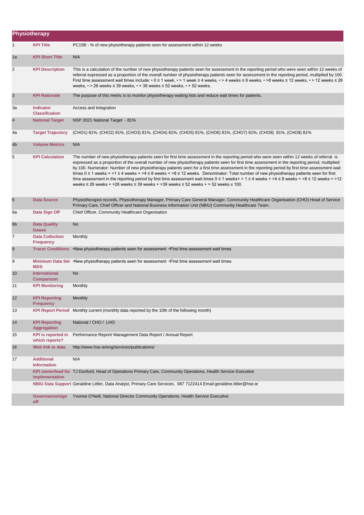|                | Physiotherapy                               |                                                                                                                                                                                                                                                                                                                                                                                                                                                                                                                                                                                                                                                                                                                                                                                                                                                                                   |
|----------------|---------------------------------------------|-----------------------------------------------------------------------------------------------------------------------------------------------------------------------------------------------------------------------------------------------------------------------------------------------------------------------------------------------------------------------------------------------------------------------------------------------------------------------------------------------------------------------------------------------------------------------------------------------------------------------------------------------------------------------------------------------------------------------------------------------------------------------------------------------------------------------------------------------------------------------------------|
| 1              | <b>KPI Title</b>                            | PC15B - % of new physiotherapy patients seen for assessment within 12 weeks                                                                                                                                                                                                                                                                                                                                                                                                                                                                                                                                                                                                                                                                                                                                                                                                       |
| 1a             | <b>KPI Short Title</b>                      | N/A                                                                                                                                                                                                                                                                                                                                                                                                                                                                                                                                                                                                                                                                                                                                                                                                                                                                               |
| 2              | <b>KPI Description</b>                      | This is a calculation of the number of new physiotherapy patients seen for assessment in the reporting period who were seen within 12 weeks of<br>referral expressed as a proportion of the overall number of physiotherapy patients seen for assessment in the reporting period, multiplied by 100.<br>First time assessment wait times include: • 0 ≤ 1 week, • > 1 week ≤ 4 weeks, • > 4 weeks ≤ 8 weeks, • >8 weeks ≤ 12 weeks, • > 12 weeks ≤ 26<br>weeks, $\cdot$ > 26 weeks $\leq$ 39 weeks, $\cdot$ > 39 weeks $\leq$ 52 weeks, $\cdot$ > 52 weeks.                                                                                                                                                                                                                                                                                                                       |
| $\mathbf{3}$   | <b>KPI Rationale</b>                        | The purpose of this metric is to monitor physiotherapy waiting lists and reduce wait times for patients.                                                                                                                                                                                                                                                                                                                                                                                                                                                                                                                                                                                                                                                                                                                                                                          |
| За             | <b>Indicator</b><br><b>Classification</b>   | Access and Integration                                                                                                                                                                                                                                                                                                                                                                                                                                                                                                                                                                                                                                                                                                                                                                                                                                                            |
| $\overline{4}$ | <b>National Target</b>                      | NSP 2021 National Target - 81%                                                                                                                                                                                                                                                                                                                                                                                                                                                                                                                                                                                                                                                                                                                                                                                                                                                    |
| 4a             | <b>Target Trajectory</b>                    | (CHO1) 81%, (CHO2) 81%, (CHO3) 81%, (CHO4) 81%, (CHO5) 81%, (CHO6) 81%, (CHO7) 81%, (CHO8) 81%, (CHO9) 81%                                                                                                                                                                                                                                                                                                                                                                                                                                                                                                                                                                                                                                                                                                                                                                        |
| 4b             | <b>Volume Metrics</b>                       | N/A                                                                                                                                                                                                                                                                                                                                                                                                                                                                                                                                                                                                                                                                                                                                                                                                                                                                               |
| 5              | <b>KPI Calculation</b>                      | The number of new physiotherapy patients seen for first time assessment in the reporting period who were seen within 12 weeks of referral is<br>expressed as a proportion of the overall number of new physiotherapy patients seen for first time assessment in the reporting period, multiplied<br>by 100. Numerator: Number of new physiotherapy patients seen for a first time assessment in the reporting period by first time assessment wait<br>times $0 \le 1$ weeks + >1 $\le 4$ weeks + >4 $\le 8$ weeks + >8 $\le 12$ weeks. Denominator: Total number of new physiotherapy patients seen for first<br>time assessment in the reporting period by first time assessment wait times $0 \le 1$ weeks+ > 1 $\le 4$ weeks + >4 $\le 8$ weeks + >8 $\le 12$ weeks + >12<br>weeks $\leq$ 26 weeks + >26 weeks $\leq$ 39 weeks + >39 weeks $\leq$ 52 weeks + > 52 weeks x 100. |
| 6              | <b>Data Source</b>                          | Physiotherapist records, Physiotherapy Manager, Primary Care General Manager, Community Healthcare Organisation (CHO) Head of Service<br>Primary Care, Chief Officer and National Business Information Unit (NBIU) Community Healthcare Team.                                                                                                                                                                                                                                                                                                                                                                                                                                                                                                                                                                                                                                     |
| 6а             | Data Sign Off                               | Chief Officer, Community Healthcare Organisation                                                                                                                                                                                                                                                                                                                                                                                                                                                                                                                                                                                                                                                                                                                                                                                                                                  |
| 6 <sub>b</sub> | <b>Data Quality</b><br><b>Issues</b>        | No                                                                                                                                                                                                                                                                                                                                                                                                                                                                                                                                                                                                                                                                                                                                                                                                                                                                                |
| 7              | <b>Data Collection</b><br><b>Frequency</b>  | Monthly                                                                                                                                                                                                                                                                                                                                                                                                                                                                                                                                                                                                                                                                                                                                                                                                                                                                           |
| 8              | <b>Tracer Conditions</b>                    | •New physiotherapy patients seen for assessment •First time assessment wait times                                                                                                                                                                                                                                                                                                                                                                                                                                                                                                                                                                                                                                                                                                                                                                                                 |
| 9              | <b>MDS</b>                                  | Minimum Data Set •New physiotherapy patients seen for assessment •First time assessment wait times                                                                                                                                                                                                                                                                                                                                                                                                                                                                                                                                                                                                                                                                                                                                                                                |
| 10             | International<br><b>Comparison</b>          | No                                                                                                                                                                                                                                                                                                                                                                                                                                                                                                                                                                                                                                                                                                                                                                                                                                                                                |
| 11             | <b>KPI Monitoring</b>                       | Monthly                                                                                                                                                                                                                                                                                                                                                                                                                                                                                                                                                                                                                                                                                                                                                                                                                                                                           |
| 12             | <b>KPI Reporting</b><br><b>Frequency</b>    | Monthly                                                                                                                                                                                                                                                                                                                                                                                                                                                                                                                                                                                                                                                                                                                                                                                                                                                                           |
| 13             |                                             | KPI Report Period Monthly current (monthly data reported by the 10th of the following month)                                                                                                                                                                                                                                                                                                                                                                                                                                                                                                                                                                                                                                                                                                                                                                                      |
| 14             | <b>KPI Reporting</b><br><b>Aggregation</b>  | National / CHO / LHO                                                                                                                                                                                                                                                                                                                                                                                                                                                                                                                                                                                                                                                                                                                                                                                                                                                              |
| 15             | <b>KPI</b> is reported in<br>which reports? | Performance Report/ Management Data Report / Annual Report                                                                                                                                                                                                                                                                                                                                                                                                                                                                                                                                                                                                                                                                                                                                                                                                                        |
| 16             | Web link to data                            | http://www.hse.ie/eng/services/publications/                                                                                                                                                                                                                                                                                                                                                                                                                                                                                                                                                                                                                                                                                                                                                                                                                                      |
| 17             | <b>Additional</b><br><b>Information</b>     | N/A                                                                                                                                                                                                                                                                                                                                                                                                                                                                                                                                                                                                                                                                                                                                                                                                                                                                               |
|                | implementation                              | KPI owner/lead for TJ Dunford, Head of Operations Primary Care, Community Operations, Health Service Executive                                                                                                                                                                                                                                                                                                                                                                                                                                                                                                                                                                                                                                                                                                                                                                    |
|                |                                             | NBIU Data Support Geraldine Littler, Data Analyst, Primary Care Services, 087 7122414 Email:geraldine.littler@hse.ie                                                                                                                                                                                                                                                                                                                                                                                                                                                                                                                                                                                                                                                                                                                                                              |
|                | Governance/sign<br>off                      | Yvonne O'Neill, National Director Community Operations, Health Service Executive                                                                                                                                                                                                                                                                                                                                                                                                                                                                                                                                                                                                                                                                                                                                                                                                  |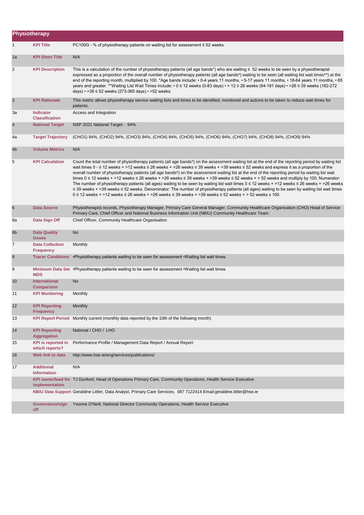|                | Physiotherapy                               |                                                                                                                                                                                                                                                                                                                                                                                                                                                                                                                                                                                                                                                                                                                                                                                                                                                                                                                                                                                                                                            |
|----------------|---------------------------------------------|--------------------------------------------------------------------------------------------------------------------------------------------------------------------------------------------------------------------------------------------------------------------------------------------------------------------------------------------------------------------------------------------------------------------------------------------------------------------------------------------------------------------------------------------------------------------------------------------------------------------------------------------------------------------------------------------------------------------------------------------------------------------------------------------------------------------------------------------------------------------------------------------------------------------------------------------------------------------------------------------------------------------------------------------|
| 1              | <b>KPI Title</b>                            | PC100G - % of physiotherapy patients on waiting list for assessment ≤ 52 weeks                                                                                                                                                                                                                                                                                                                                                                                                                                                                                                                                                                                                                                                                                                                                                                                                                                                                                                                                                             |
| 1a             | <b>KPI Short Title</b>                      | N/A                                                                                                                                                                                                                                                                                                                                                                                                                                                                                                                                                                                                                                                                                                                                                                                                                                                                                                                                                                                                                                        |
| 2              | <b>KPI Description</b>                      | This is a calculation of the number of physiotherapy patients (all age bands*) who are waiting $\leq 52$ weeks to be seen by a physiotherapist<br>expressed as a proportion of the overall number of physiotherapy patients (all age bands*) waiting to be seen (all waiting list wait times**) at the<br>end of the reporting month, multiplied by 100. *Age bands include: • 0-4 years 11 months, • 5-17 years 11 months, • 18-64 years 11 months, • 65<br>years and greater. **Waiting List Wait Times include: • 0 ≤ 12 weeks (0-83 days) • > 12 ≤ 26 weeks (84-181 days) • >26 ≤ 39 weeks (182-272<br>days) • > 39 $\leq$ 52 weeks (273-365 days) • > 52 weeks.                                                                                                                                                                                                                                                                                                                                                                       |
| $\mathbf{3}$   | <b>KPI Rationale</b>                        | This metric allows physiotherapy service waiting lists and times to be identified, monitored and actions to be taken to reduce wait times for<br>patients.                                                                                                                                                                                                                                                                                                                                                                                                                                                                                                                                                                                                                                                                                                                                                                                                                                                                                 |
| За             | <b>Indicator</b><br><b>Classification</b>   | Access and Integration                                                                                                                                                                                                                                                                                                                                                                                                                                                                                                                                                                                                                                                                                                                                                                                                                                                                                                                                                                                                                     |
| $\overline{4}$ | <b>National Target</b>                      | NSP 2021 National Target - 94%.                                                                                                                                                                                                                                                                                                                                                                                                                                                                                                                                                                                                                                                                                                                                                                                                                                                                                                                                                                                                            |
| 4a             | <b>Target Trajectory</b>                    | (CHO1) 94%, (CHO2) 94%, (CHO3) 94%, (CHO4) 94%, (CHO5) 94%, (CHO6) 94%, (CHO7) 94%, (CHO8) 94%, (CHO9) 94%                                                                                                                                                                                                                                                                                                                                                                                                                                                                                                                                                                                                                                                                                                                                                                                                                                                                                                                                 |
| 4 <sub>b</sub> | <b>Volume Metrics</b>                       | N/A                                                                                                                                                                                                                                                                                                                                                                                                                                                                                                                                                                                                                                                                                                                                                                                                                                                                                                                                                                                                                                        |
| 5              | <b>KPI Calculation</b>                      | Count the total number of physiotherapy patients (all age bands*) on the assessment waiting list at the end of the reporting period by waiting list<br>wait times $0 - 12$ weeks + >12 weeks $\le 26$ weeks + >26 weeks $\le 39$ weeks + >39 weeks $\le 52$ weeks and express it as a proportion of the<br>overall number of physiotherapy patients (all age bands*) on the assessment waiting list at the end of the reporting period by waiting list wait<br>times $0 \le 12$ weeks + >12 weeks ≤ 26 weeks + >26 weeks ≤ 39 weeks + >39 weeks ≤ 52 weeks + > 52 weeks and multiply by 100. Numerator:<br>The number of physiotherapy patients (all ages) waiting to be seen by waiting list wait times $0 \le 12$ weeks + >12 weeks $\le 26$ weeks + >26 weeks<br>≤ 39 weeks + >39 weeks ≤ 52 weeks. Denominator: The number of physiotherapy patients (all ages) waiting to be seen by waiting list wait times<br>$0 \le 12$ weeks + >12 weeks $\le 26$ weeks + >26 weeks $\le 39$ weeks + >39 weeks $\le 52$ weeks + > 52 weeks x 100. |
| 6              | <b>Data Source</b>                          | Physiotherapist records, Physiotherapy Manager, Primary Care General Manager, Community Healthcare Organisation (CHO) Head of Service<br>Primary Care, Chief Officer and National Business Information Unit (NBIU) Community Healthcare Team.                                                                                                                                                                                                                                                                                                                                                                                                                                                                                                                                                                                                                                                                                                                                                                                              |
| 6а             | Data Sign Off                               | Chief Officer, Community Healthcare Organisation                                                                                                                                                                                                                                                                                                                                                                                                                                                                                                                                                                                                                                                                                                                                                                                                                                                                                                                                                                                           |
| 6 <sub>b</sub> | <b>Data Quality</b><br><b>Issues</b>        | No                                                                                                                                                                                                                                                                                                                                                                                                                                                                                                                                                                                                                                                                                                                                                                                                                                                                                                                                                                                                                                         |
| $\overline{7}$ | <b>Data Collection</b><br><b>Frequency</b>  | Monthly                                                                                                                                                                                                                                                                                                                                                                                                                                                                                                                                                                                                                                                                                                                                                                                                                                                                                                                                                                                                                                    |
| $\bf 8$        | <b>Tracer Conditions</b>                    | •Physiotherapy patients waiting to be seen for assessment •Waiting list wait times                                                                                                                                                                                                                                                                                                                                                                                                                                                                                                                                                                                                                                                                                                                                                                                                                                                                                                                                                         |
| 9              | <b>MDS</b>                                  | Minimum Data Set • Physiotherapy patients waiting to be seen for assessment • Waiting list wait times                                                                                                                                                                                                                                                                                                                                                                                                                                                                                                                                                                                                                                                                                                                                                                                                                                                                                                                                      |
| 10             | International<br><b>Comparison</b>          | No                                                                                                                                                                                                                                                                                                                                                                                                                                                                                                                                                                                                                                                                                                                                                                                                                                                                                                                                                                                                                                         |
| 11             | <b>KPI Monitoring</b>                       | Monthly                                                                                                                                                                                                                                                                                                                                                                                                                                                                                                                                                                                                                                                                                                                                                                                                                                                                                                                                                                                                                                    |
| 12             | <b>KPI Reporting</b><br><b>Frequency</b>    | Monthly                                                                                                                                                                                                                                                                                                                                                                                                                                                                                                                                                                                                                                                                                                                                                                                                                                                                                                                                                                                                                                    |
| 13             |                                             | KPI Report Period Monthly current (monthly data reported by the 10th of the following month)                                                                                                                                                                                                                                                                                                                                                                                                                                                                                                                                                                                                                                                                                                                                                                                                                                                                                                                                               |
| 14             | <b>KPI Reporting</b><br><b>Aggregation</b>  | National / CHO / LHO                                                                                                                                                                                                                                                                                                                                                                                                                                                                                                                                                                                                                                                                                                                                                                                                                                                                                                                                                                                                                       |
| 15             | <b>KPI</b> is reported in<br>which reports? | Performance Profile / Management Data Report / Annual Report                                                                                                                                                                                                                                                                                                                                                                                                                                                                                                                                                                                                                                                                                                                                                                                                                                                                                                                                                                               |
| 16             | Web link to data                            | http://www.hse.ie/eng/services/publications/                                                                                                                                                                                                                                                                                                                                                                                                                                                                                                                                                                                                                                                                                                                                                                                                                                                                                                                                                                                               |
| 17             | <b>Additional</b><br><b>Information</b>     | N/A                                                                                                                                                                                                                                                                                                                                                                                                                                                                                                                                                                                                                                                                                                                                                                                                                                                                                                                                                                                                                                        |
|                | implementation                              | KPI owner/lead for TJ Dunford, Head of Operations Primary Care, Community Operations, Health Service Executive                                                                                                                                                                                                                                                                                                                                                                                                                                                                                                                                                                                                                                                                                                                                                                                                                                                                                                                             |
|                |                                             | NBIU Data Support Geraldine Littler, Data Analyst, Primary Care Services, 087 7122414 Email:geraldine.littler@hse.ie                                                                                                                                                                                                                                                                                                                                                                                                                                                                                                                                                                                                                                                                                                                                                                                                                                                                                                                       |
|                | Governance/sign<br>off                      | Yvonne O'Neill, National Director Community Operations, Health Service Executive                                                                                                                                                                                                                                                                                                                                                                                                                                                                                                                                                                                                                                                                                                                                                                                                                                                                                                                                                           |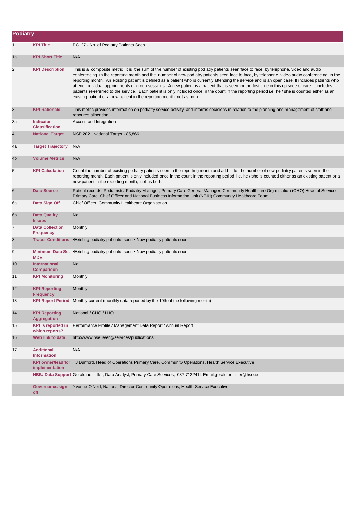| <b>Podiatry</b> |                                             |                                                                                                                                                                                                                                                                                                                                                                                                                                                                                                                                                                                                                                                                                                                                                                                                                                  |  |  |
|-----------------|---------------------------------------------|----------------------------------------------------------------------------------------------------------------------------------------------------------------------------------------------------------------------------------------------------------------------------------------------------------------------------------------------------------------------------------------------------------------------------------------------------------------------------------------------------------------------------------------------------------------------------------------------------------------------------------------------------------------------------------------------------------------------------------------------------------------------------------------------------------------------------------|--|--|
| 1               | <b>KPI Title</b>                            | PC127 - No. of Podiatry Patients Seen                                                                                                                                                                                                                                                                                                                                                                                                                                                                                                                                                                                                                                                                                                                                                                                            |  |  |
| 1a              | <b>KPI Short Title</b>                      | N/A                                                                                                                                                                                                                                                                                                                                                                                                                                                                                                                                                                                                                                                                                                                                                                                                                              |  |  |
| $\overline{c}$  | <b>KPI Description</b>                      | This is a composite metric. It is the sum of the number of existing podiatry patients seen face to face, by telephone, video and audio<br>conferencing in the reporting month and the number of new podiatry patients seen face to face, by telephone, video audio conferencing in the<br>reporting month. An existing patient is defined as a patient who is currently attending the service and is an open case. It includes patients who<br>attend individual appointments or group sessions. A new patient is a patient that is seen for the first time in this episode of care. It includes<br>patients re-referred to the service. Each patient is only included once in the count in the reporting period i.e. he / she is counted either as an<br>existing patient or a new patient in the reporting month, not as both. |  |  |
| 3               | <b>KPI Rationale</b>                        | This metric provides information on podiatry service activity and informs decisions in relation to the planning and management of staff and<br>resource allocation.                                                                                                                                                                                                                                                                                                                                                                                                                                                                                                                                                                                                                                                              |  |  |
| За              | <b>Indicator</b><br><b>Classification</b>   | Access and Integration                                                                                                                                                                                                                                                                                                                                                                                                                                                                                                                                                                                                                                                                                                                                                                                                           |  |  |
| 4               | <b>National Target</b>                      | NSP 2021 National Target - 85,866.                                                                                                                                                                                                                                                                                                                                                                                                                                                                                                                                                                                                                                                                                                                                                                                               |  |  |
| 4a              | <b>Target Trajectory</b>                    | N/A                                                                                                                                                                                                                                                                                                                                                                                                                                                                                                                                                                                                                                                                                                                                                                                                                              |  |  |
| 4 <sub>b</sub>  | <b>Volume Metrics</b>                       | N/A                                                                                                                                                                                                                                                                                                                                                                                                                                                                                                                                                                                                                                                                                                                                                                                                                              |  |  |
| 5               | <b>KPI Calculation</b>                      | Count the number of existing podiatry patients seen in the reporting month and add it to the number of new podiatry patients seen in the<br>reporting month. Each patient is only included once in the count in the reporting period i.e. he / she is counted either as an existing patient or a<br>new patient in the reporting month, not as both.                                                                                                                                                                                                                                                                                                                                                                                                                                                                             |  |  |
| 6               | <b>Data Source</b>                          | Patient records, Podiatrists, Podiatry Manager, Primary Care General Manager, Community Healthcare Organisation (CHO) Head of Service<br>Primary Care, Chief Officer and National Business Information Unit (NBIU) Community Healthcare Team.                                                                                                                                                                                                                                                                                                                                                                                                                                                                                                                                                                                    |  |  |
| 6а              | Data Sign Off                               | Chief Officer, Community Healthcare Organisation                                                                                                                                                                                                                                                                                                                                                                                                                                                                                                                                                                                                                                                                                                                                                                                 |  |  |
| 6b              | <b>Data Quality</b><br><b>Issues</b>        | No                                                                                                                                                                                                                                                                                                                                                                                                                                                                                                                                                                                                                                                                                                                                                                                                                               |  |  |
| 7               | <b>Data Collection</b><br><b>Frequency</b>  | Monthly                                                                                                                                                                                                                                                                                                                                                                                                                                                                                                                                                                                                                                                                                                                                                                                                                          |  |  |
| 8               |                                             | Tracer Conditions • Existing podiatry patients seen • New podiatry patients seen                                                                                                                                                                                                                                                                                                                                                                                                                                                                                                                                                                                                                                                                                                                                                 |  |  |
| 9               | <b>MDS</b>                                  | Minimum Data Set • Existing podiatry patients seen • New podiatry patients seen                                                                                                                                                                                                                                                                                                                                                                                                                                                                                                                                                                                                                                                                                                                                                  |  |  |
| 10              | <b>International</b><br><b>Comparison</b>   | No                                                                                                                                                                                                                                                                                                                                                                                                                                                                                                                                                                                                                                                                                                                                                                                                                               |  |  |
| 11              | <b>KPI Monitoring</b>                       | Monthly                                                                                                                                                                                                                                                                                                                                                                                                                                                                                                                                                                                                                                                                                                                                                                                                                          |  |  |
| 12              | <b>KPI Reporting</b><br><b>Frequency</b>    | Monthly                                                                                                                                                                                                                                                                                                                                                                                                                                                                                                                                                                                                                                                                                                                                                                                                                          |  |  |
| 13              |                                             | KPI Report Period Monthly current (monthly data reported by the 10th of the following month)                                                                                                                                                                                                                                                                                                                                                                                                                                                                                                                                                                                                                                                                                                                                     |  |  |
| 14              | <b>KPI Reporting</b><br><b>Aggregation</b>  | National / CHO / LHO                                                                                                                                                                                                                                                                                                                                                                                                                                                                                                                                                                                                                                                                                                                                                                                                             |  |  |
| 15              | <b>KPI</b> is reported in<br>which reports? | Performance Profile / Management Data Report / Annual Report                                                                                                                                                                                                                                                                                                                                                                                                                                                                                                                                                                                                                                                                                                                                                                     |  |  |
| 16              | Web link to data                            | http://www.hse.ie/eng/services/publications/                                                                                                                                                                                                                                                                                                                                                                                                                                                                                                                                                                                                                                                                                                                                                                                     |  |  |
| 17              | <b>Additional</b><br><b>Information</b>     | N/A                                                                                                                                                                                                                                                                                                                                                                                                                                                                                                                                                                                                                                                                                                                                                                                                                              |  |  |
|                 | implementation                              | KPI owner/lead for TJ Dunford, Head of Operations Primary Care, Community Operations, Health Service Executive                                                                                                                                                                                                                                                                                                                                                                                                                                                                                                                                                                                                                                                                                                                   |  |  |
|                 |                                             | NBIU Data Support Geraldine Littler, Data Analyst, Primary Care Services, 087 7122414 Email:geraldine.littler@hse.ie                                                                                                                                                                                                                                                                                                                                                                                                                                                                                                                                                                                                                                                                                                             |  |  |
|                 | Governance/sign<br>off                      | Yvonne O'Neill, National Director Community Operations, Health Service Executive                                                                                                                                                                                                                                                                                                                                                                                                                                                                                                                                                                                                                                                                                                                                                 |  |  |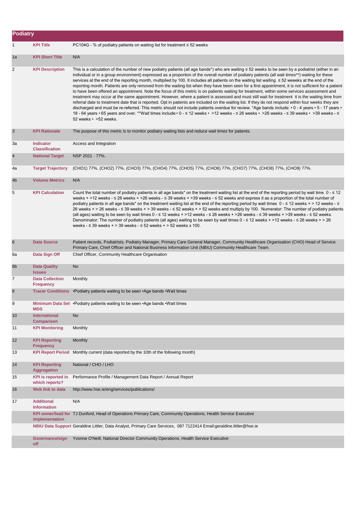| <b>Podiatry</b> |                                             |                                                                                                                                                                                                                                                                                                                                                                                                                                                                                                                                                                                                                                                                                                                                                                                                                                                                                                                                                                                                                                                                                                                                                                                                                                                                                                                                                                                                                   |
|-----------------|---------------------------------------------|-------------------------------------------------------------------------------------------------------------------------------------------------------------------------------------------------------------------------------------------------------------------------------------------------------------------------------------------------------------------------------------------------------------------------------------------------------------------------------------------------------------------------------------------------------------------------------------------------------------------------------------------------------------------------------------------------------------------------------------------------------------------------------------------------------------------------------------------------------------------------------------------------------------------------------------------------------------------------------------------------------------------------------------------------------------------------------------------------------------------------------------------------------------------------------------------------------------------------------------------------------------------------------------------------------------------------------------------------------------------------------------------------------------------|
| $\mathbf{1}$    | <b>KPI Title</b>                            | PC104G - % of podiatry patients on waiting list for treatment $\leq$ 52 weeks                                                                                                                                                                                                                                                                                                                                                                                                                                                                                                                                                                                                                                                                                                                                                                                                                                                                                                                                                                                                                                                                                                                                                                                                                                                                                                                                     |
| 1a              | <b>KPI Short Title</b>                      | N/A                                                                                                                                                                                                                                                                                                                                                                                                                                                                                                                                                                                                                                                                                                                                                                                                                                                                                                                                                                                                                                                                                                                                                                                                                                                                                                                                                                                                               |
| 2               | <b>KPI Description</b>                      | This is a calculation of the number of new podiatry patients (all age bands*) who are waiting $\leq$ 52 weeks to be seen by a podiatrist (either in an<br>individual or in a group environment) expressed as a proportion of the overall number of podiatry patients (all wait times**) waiting for these<br>services at the end of the reporting month, multiplied by 100. It includes all patients on the waiting list waiting ≤ 52 weeeks at the end of the<br>reporting month. Patients are only removed from the waiting list when they have been seen for a first appointment, it is not sufficient for a patient<br>to have been offered an appointment. Note the focus of this metric is on patients waiting for treatment, within some services assessment and<br>treatment may occur at the same appointment. However, where a patient is assessed and must still wait for treatment it is the waiting time from<br>referral date to treatment date that is reported. Opt in patients are included on the waiting list. If they do not respond within four weeks they are<br>discharged and must be re-referred. This metric should not include patients overdue for review. *Age bands include: • 0 - 4 years • 5 - 17 years •<br>18 - 64 years • 65 years and over. **Wait times include:• 0 - ≤ 12 weeks • >12 weeks - ≤ 26 weeks • >26 weeks - ≤ 39 weeks • >39 weeks - ≤<br>52 weeks • > 52 weeks. |
| $\mathbf{3}$    | <b>KPI Rationale</b>                        | The purpose of this metric is to monitor podiatry waiting lists and reduce wait times for patients.                                                                                                                                                                                                                                                                                                                                                                                                                                                                                                                                                                                                                                                                                                                                                                                                                                                                                                                                                                                                                                                                                                                                                                                                                                                                                                               |
| За              | <b>Indicator</b><br><b>Classification</b>   | Access and Integration                                                                                                                                                                                                                                                                                                                                                                                                                                                                                                                                                                                                                                                                                                                                                                                                                                                                                                                                                                                                                                                                                                                                                                                                                                                                                                                                                                                            |
| $\overline{4}$  | <b>National Target</b>                      | NSP 2021 - 77%.                                                                                                                                                                                                                                                                                                                                                                                                                                                                                                                                                                                                                                                                                                                                                                                                                                                                                                                                                                                                                                                                                                                                                                                                                                                                                                                                                                                                   |
| 4a              | <b>Target Trajectory</b>                    | (CHO1) 77%, (CHO2) 77%, (CHO3) 77%, (CHO4) 77%, (CHO5) 77%, (CHO6) 77%, (CHO7) 77%, (CHO8) 77%, (CHO9) 77%.                                                                                                                                                                                                                                                                                                                                                                                                                                                                                                                                                                                                                                                                                                                                                                                                                                                                                                                                                                                                                                                                                                                                                                                                                                                                                                       |
| 4 <sub>b</sub>  | <b>Volume Metrics</b>                       | N/A                                                                                                                                                                                                                                                                                                                                                                                                                                                                                                                                                                                                                                                                                                                                                                                                                                                                                                                                                                                                                                                                                                                                                                                                                                                                                                                                                                                                               |
| 5               | <b>KPI Calculation</b>                      | Count the total number of podiatry patients in all age bands* on the treatment waiting list at the end of the reporting period by wait time $0 \cdot \le 12$<br>weeks + >12 weeks - ≤ 26 weeks + >26 weeks - ≤ 39 weeks + >39 weeks - ≤ 52 weeks and express it as a proportion of the total number of<br>podiatry patients in all age bands* on the treatment waiting list at the end of the reporting period by wait times 0 - ≤ 12 weeks + > 12 weeks - ≤<br>26 weeks + > 26 weeks - ≤ 39 weeks + > 39 weeks - ≤ 52 weeks + > 52 weeks and multiply by 100. Numerator: The number of podiatry patients<br>(all ages) waiting to be seen by wait times 0 - ≤ 12 weeks + >12 weeks - ≤ 26 weeks + >26 weeks - ≤ 39 weeks + >39 weeks - ≤ 52 weeks.<br>Denominator: The number of podiatry patients (all ages) waiting to be seen by wait times 0 - ≤ 12 weeks + >12 weeks - ≤ 26 weeks + > 26<br>weeks $ \leq$ 39 weeks + $>$ 39 weeks $ \leq$ 52 weeks + $>$ 52 weeks x 100.                                                                                                                                                                                                                                                                                                                                                                                                                                    |
| 6               | <b>Data Source</b>                          | Patient records, Podiatrists, Podiatry Manager, Primary Care General Manager, Community Healthcare Organisation (CHO) Head of Service<br>Primary Care, Chief Officer and National Business Information Unit (NBIU) Community Healthcare Team.                                                                                                                                                                                                                                                                                                                                                                                                                                                                                                                                                                                                                                                                                                                                                                                                                                                                                                                                                                                                                                                                                                                                                                     |
| 6а              | Data Sign Off                               | Chief Officer, Community Healthcare Organisation                                                                                                                                                                                                                                                                                                                                                                                                                                                                                                                                                                                                                                                                                                                                                                                                                                                                                                                                                                                                                                                                                                                                                                                                                                                                                                                                                                  |
| 6 <sub>b</sub>  | <b>Data Quality</b><br><b>Issues</b>        | No                                                                                                                                                                                                                                                                                                                                                                                                                                                                                                                                                                                                                                                                                                                                                                                                                                                                                                                                                                                                                                                                                                                                                                                                                                                                                                                                                                                                                |
| $\overline{7}$  | <b>Data Collection</b><br><b>Frequency</b>  | Monthly                                                                                                                                                                                                                                                                                                                                                                                                                                                                                                                                                                                                                                                                                                                                                                                                                                                                                                                                                                                                                                                                                                                                                                                                                                                                                                                                                                                                           |
| 8               |                                             | Tracer Conditions • Podiatry patients waiting to be seen • Age bands • Wait times                                                                                                                                                                                                                                                                                                                                                                                                                                                                                                                                                                                                                                                                                                                                                                                                                                                                                                                                                                                                                                                                                                                                                                                                                                                                                                                                 |
| 9               | <b>MDS</b>                                  | Minimum Data Set . Podiatry patients waiting to be seen . Age bands . Wait times                                                                                                                                                                                                                                                                                                                                                                                                                                                                                                                                                                                                                                                                                                                                                                                                                                                                                                                                                                                                                                                                                                                                                                                                                                                                                                                                  |
| 10              | <b>International</b><br><b>Comparison</b>   | No                                                                                                                                                                                                                                                                                                                                                                                                                                                                                                                                                                                                                                                                                                                                                                                                                                                                                                                                                                                                                                                                                                                                                                                                                                                                                                                                                                                                                |
| 11              | <b>KPI Monitoring</b>                       | Monthly                                                                                                                                                                                                                                                                                                                                                                                                                                                                                                                                                                                                                                                                                                                                                                                                                                                                                                                                                                                                                                                                                                                                                                                                                                                                                                                                                                                                           |
| 12              | <b>KPI Reporting</b><br><b>Frequency</b>    | Monthly                                                                                                                                                                                                                                                                                                                                                                                                                                                                                                                                                                                                                                                                                                                                                                                                                                                                                                                                                                                                                                                                                                                                                                                                                                                                                                                                                                                                           |
| 13              | <b>KPI Report Period</b>                    | Monthly current (data reported by the 10th of the following month)                                                                                                                                                                                                                                                                                                                                                                                                                                                                                                                                                                                                                                                                                                                                                                                                                                                                                                                                                                                                                                                                                                                                                                                                                                                                                                                                                |
| 14              | <b>KPI Reporting</b><br><b>Aggregation</b>  | National / CHO / LHO                                                                                                                                                                                                                                                                                                                                                                                                                                                                                                                                                                                                                                                                                                                                                                                                                                                                                                                                                                                                                                                                                                                                                                                                                                                                                                                                                                                              |
| 15              | <b>KPI</b> is reported in<br>which reports? | Performance Profile / Management Data Report / Annual Report                                                                                                                                                                                                                                                                                                                                                                                                                                                                                                                                                                                                                                                                                                                                                                                                                                                                                                                                                                                                                                                                                                                                                                                                                                                                                                                                                      |
| 16              | Web link to data                            | http://www.hse.ie/eng/services/publications/                                                                                                                                                                                                                                                                                                                                                                                                                                                                                                                                                                                                                                                                                                                                                                                                                                                                                                                                                                                                                                                                                                                                                                                                                                                                                                                                                                      |
| 17              | <b>Additional</b><br><b>Information</b>     | N/A                                                                                                                                                                                                                                                                                                                                                                                                                                                                                                                                                                                                                                                                                                                                                                                                                                                                                                                                                                                                                                                                                                                                                                                                                                                                                                                                                                                                               |
|                 | implementation                              | KPI owner/lead for TJ Dunford, Head of Operations Primary Care, Community Operations, Health Service Executive                                                                                                                                                                                                                                                                                                                                                                                                                                                                                                                                                                                                                                                                                                                                                                                                                                                                                                                                                                                                                                                                                                                                                                                                                                                                                                    |
|                 |                                             | NBIU Data Support Geraldine Littler, Data Analyst, Primary Care Services, 087 7122414 Email:geraldine.littler@hse.ie                                                                                                                                                                                                                                                                                                                                                                                                                                                                                                                                                                                                                                                                                                                                                                                                                                                                                                                                                                                                                                                                                                                                                                                                                                                                                              |
|                 | Governance/sign<br>off                      | Yvonne O'Neill, National Director Community Operations, Health Service Executive                                                                                                                                                                                                                                                                                                                                                                                                                                                                                                                                                                                                                                                                                                                                                                                                                                                                                                                                                                                                                                                                                                                                                                                                                                                                                                                                  |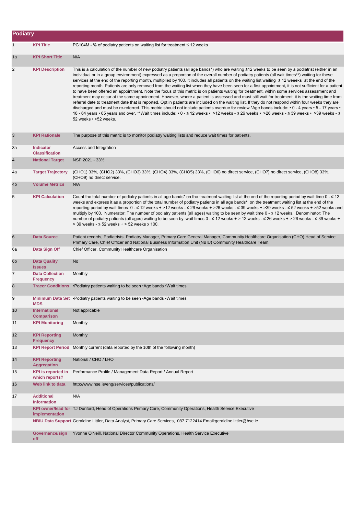| Podiatry         |                                             |                                                                                                                                                                                                                                                                                                                                                                                                                                                                                                                                                                                                                                                                                                                                                                                                                                                                                                                                                                                                                                                                                                                                                                                                                                                                                                                                                                                                             |
|------------------|---------------------------------------------|-------------------------------------------------------------------------------------------------------------------------------------------------------------------------------------------------------------------------------------------------------------------------------------------------------------------------------------------------------------------------------------------------------------------------------------------------------------------------------------------------------------------------------------------------------------------------------------------------------------------------------------------------------------------------------------------------------------------------------------------------------------------------------------------------------------------------------------------------------------------------------------------------------------------------------------------------------------------------------------------------------------------------------------------------------------------------------------------------------------------------------------------------------------------------------------------------------------------------------------------------------------------------------------------------------------------------------------------------------------------------------------------------------------|
| $\mathbf{1}$     | <b>KPI Title</b>                            | PC104M - % of podiatry patients on waiting list for treatment $\leq$ 12 weeks                                                                                                                                                                                                                                                                                                                                                                                                                                                                                                                                                                                                                                                                                                                                                                                                                                                                                                                                                                                                                                                                                                                                                                                                                                                                                                                               |
| 1a               | <b>KPI Short Title</b>                      | N/A                                                                                                                                                                                                                                                                                                                                                                                                                                                                                                                                                                                                                                                                                                                                                                                                                                                                                                                                                                                                                                                                                                                                                                                                                                                                                                                                                                                                         |
| $\overline{c}$   | <b>KPI Description</b>                      | This is a calculation of the number of new podiatry patients (all age bands*) who are waiting ≤12 weeks to be seen by a podiatrist (either in an<br>individual or in a group environment) expressed as a proportion of the overall number of podiatry patients (all wait times**) waiting for these<br>services at the end of the reporting month, multiplied by 100. It includes all patients on the waiting list waiting ≤ 12 weeeks at the end of the<br>reporting month. Patients are only removed from the waiting list when they have been seen for a first appointment, it is not sufficient for a patient<br>to have been offered an appointment. Note the focus of this metric is on patients waiting for treatment, within some services assessment and<br>treatment may occur at the same appointment. However, where a patient is assessed and must still wait for treatment it is the waiting time from<br>referral date to treatment date that is reported. Opt in patients are included on the waiting list. If they do not respond within four weeks they are<br>discharged and must be re-referred. This metric should not include patients overdue for review.*Age bands include: • 0 - 4 years • 5 - 17 years •<br>18 - 64 years • 65 years and over. **Wait times include: • 0 - ≤ 12 weeks • >12 weeks - ≤ 26 weeks • >26 weeks - ≤ 39 weeks • >39 weeks - ≤<br>52 weeks • > 52 weeks. |
| 3                | <b>KPI Rationale</b>                        | The purpose of this metric is to monitor podiatry waiting lists and reduce wait times for patients.                                                                                                                                                                                                                                                                                                                                                                                                                                                                                                                                                                                                                                                                                                                                                                                                                                                                                                                                                                                                                                                                                                                                                                                                                                                                                                         |
| За               | <b>Indicator</b><br><b>Classification</b>   | Access and Integration                                                                                                                                                                                                                                                                                                                                                                                                                                                                                                                                                                                                                                                                                                                                                                                                                                                                                                                                                                                                                                                                                                                                                                                                                                                                                                                                                                                      |
| $\overline{4}$   | <b>National Target</b>                      | NSP 2021 - 33%                                                                                                                                                                                                                                                                                                                                                                                                                                                                                                                                                                                                                                                                                                                                                                                                                                                                                                                                                                                                                                                                                                                                                                                                                                                                                                                                                                                              |
| 4a               | <b>Target Trajectory</b>                    | (CHO1) 33%, (CHO2) 33%, (CHO3) 33%, (CHO4) 33%, (CHO5) 33%, (CHO6) no direct service, (CHO7) no direct service, (CHO8) 33%,<br>(CHO9) no direct service.                                                                                                                                                                                                                                                                                                                                                                                                                                                                                                                                                                                                                                                                                                                                                                                                                                                                                                                                                                                                                                                                                                                                                                                                                                                    |
| 4 <sub>b</sub>   | <b>Volume Metrics</b>                       | N/A                                                                                                                                                                                                                                                                                                                                                                                                                                                                                                                                                                                                                                                                                                                                                                                                                                                                                                                                                                                                                                                                                                                                                                                                                                                                                                                                                                                                         |
| 5                | <b>KPI Calculation</b>                      | Count the total number of podiatry patients in all age bands <sup>*</sup> on the treatment waiting list at the end of the reporting period by wait time $0 - \le 12$<br>weeks and express it as a proportion of the total number of podiatry patients in all age bands* on the treatment waiting list at the end of the<br>reporting period by wait times 0 - ≤ 12 weeks + >12 weeks - ≤ 26 weeks + >26 weeks - ≤ 39 weeks + >39 weeks - ≤ 52 weeks + >52 weeks and<br>multiply by 100. Numerator: The number of podiatry patients (all ages) waiting to be seen by wait time 0 - ≤ 12 weeks. Denominator: The<br>number of podiatry patients (all ages) waiting to be seen by wait times 0 - ≤ 12 weeks + > 12 weeks - ≤ 26 weeks + > 26 weeks - ≤ 39 weeks +<br>> 39 weeks - ≤ 52 weeks + > 52 weeks x 100.                                                                                                                                                                                                                                                                                                                                                                                                                                                                                                                                                                                               |
| 6                | <b>Data Source</b>                          | Patient records, Podiatrists, Podiatry Manager, Primary Care General Manager, Community Healthcare Organisation (CHO) Head of Service<br>Primary Care, Chief Officer and National Business Information Unit (NBIU) Community Healthcare Team.                                                                                                                                                                                                                                                                                                                                                                                                                                                                                                                                                                                                                                                                                                                                                                                                                                                                                                                                                                                                                                                                                                                                                               |
| 6а               | Data Sign Off                               | Chief Officer, Community Healthcare Organisation                                                                                                                                                                                                                                                                                                                                                                                                                                                                                                                                                                                                                                                                                                                                                                                                                                                                                                                                                                                                                                                                                                                                                                                                                                                                                                                                                            |
| 6 <sub>b</sub>   | <b>Data Quality</b><br><b>Issues</b>        | No                                                                                                                                                                                                                                                                                                                                                                                                                                                                                                                                                                                                                                                                                                                                                                                                                                                                                                                                                                                                                                                                                                                                                                                                                                                                                                                                                                                                          |
| $\overline{7}$   | <b>Data Collection</b><br><b>Frequency</b>  | Monthly                                                                                                                                                                                                                                                                                                                                                                                                                                                                                                                                                                                                                                                                                                                                                                                                                                                                                                                                                                                                                                                                                                                                                                                                                                                                                                                                                                                                     |
| $\boldsymbol{8}$ |                                             | Tracer Conditions • Podiatry patients waiting to be seen • Age bands • Wait times                                                                                                                                                                                                                                                                                                                                                                                                                                                                                                                                                                                                                                                                                                                                                                                                                                                                                                                                                                                                                                                                                                                                                                                                                                                                                                                           |
| 9                | <b>MDS</b>                                  | Minimum Data Set • Podiatry patients waiting to be seen • Age bands • Wait times                                                                                                                                                                                                                                                                                                                                                                                                                                                                                                                                                                                                                                                                                                                                                                                                                                                                                                                                                                                                                                                                                                                                                                                                                                                                                                                            |
| 10               | <b>International</b><br><b>Comparison</b>   | Not applicable                                                                                                                                                                                                                                                                                                                                                                                                                                                                                                                                                                                                                                                                                                                                                                                                                                                                                                                                                                                                                                                                                                                                                                                                                                                                                                                                                                                              |
| 11               | <b>KPI Monitoring</b>                       | Monthly                                                                                                                                                                                                                                                                                                                                                                                                                                                                                                                                                                                                                                                                                                                                                                                                                                                                                                                                                                                                                                                                                                                                                                                                                                                                                                                                                                                                     |
| 12               | <b>KPI Reporting</b><br><b>Frequency</b>    | Monthly                                                                                                                                                                                                                                                                                                                                                                                                                                                                                                                                                                                                                                                                                                                                                                                                                                                                                                                                                                                                                                                                                                                                                                                                                                                                                                                                                                                                     |
| 13               | <b>KPI Report Period</b>                    | Monthly current (data reported by the 10th of the following month)                                                                                                                                                                                                                                                                                                                                                                                                                                                                                                                                                                                                                                                                                                                                                                                                                                                                                                                                                                                                                                                                                                                                                                                                                                                                                                                                          |
| 14               | <b>KPI Reporting</b><br><b>Aggregation</b>  | National / CHO / LHO                                                                                                                                                                                                                                                                                                                                                                                                                                                                                                                                                                                                                                                                                                                                                                                                                                                                                                                                                                                                                                                                                                                                                                                                                                                                                                                                                                                        |
| 15               | <b>KPI</b> is reported in<br>which reports? | Performance Profile / Management Data Report / Annual Report                                                                                                                                                                                                                                                                                                                                                                                                                                                                                                                                                                                                                                                                                                                                                                                                                                                                                                                                                                                                                                                                                                                                                                                                                                                                                                                                                |
| 16               | Web link to data                            | http://www.hse.ie/eng/services/publications/                                                                                                                                                                                                                                                                                                                                                                                                                                                                                                                                                                                                                                                                                                                                                                                                                                                                                                                                                                                                                                                                                                                                                                                                                                                                                                                                                                |
| 17               | <b>Additional</b><br><b>Information</b>     | N/A                                                                                                                                                                                                                                                                                                                                                                                                                                                                                                                                                                                                                                                                                                                                                                                                                                                                                                                                                                                                                                                                                                                                                                                                                                                                                                                                                                                                         |
|                  | implementation                              | KPI owner/lead for TJ Dunford, Head of Operations Primary Care, Community Operations, Health Service Executive                                                                                                                                                                                                                                                                                                                                                                                                                                                                                                                                                                                                                                                                                                                                                                                                                                                                                                                                                                                                                                                                                                                                                                                                                                                                                              |
|                  |                                             | NBIU Data Support Geraldine Littler, Data Analyst, Primary Care Services, 087 7122414 Email:geraldine.littler@hse.ie                                                                                                                                                                                                                                                                                                                                                                                                                                                                                                                                                                                                                                                                                                                                                                                                                                                                                                                                                                                                                                                                                                                                                                                                                                                                                        |
|                  | Governance/sign<br>off                      | Yvonne O'Neill, National Director Community Operations, Health Service Executive                                                                                                                                                                                                                                                                                                                                                                                                                                                                                                                                                                                                                                                                                                                                                                                                                                                                                                                                                                                                                                                                                                                                                                                                                                                                                                                            |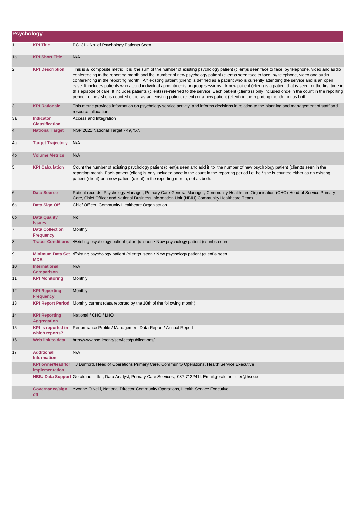|                | Psychology                                  |                                                                                                                                                                                                                                                                                                                                                                                                                                                                                                                                                                                                                                                                                                                                                                                                                                                                                                                   |  |  |
|----------------|---------------------------------------------|-------------------------------------------------------------------------------------------------------------------------------------------------------------------------------------------------------------------------------------------------------------------------------------------------------------------------------------------------------------------------------------------------------------------------------------------------------------------------------------------------------------------------------------------------------------------------------------------------------------------------------------------------------------------------------------------------------------------------------------------------------------------------------------------------------------------------------------------------------------------------------------------------------------------|--|--|
| 1              | <b>KPI Title</b>                            | PC131 - No. of Psychology Patients Seen                                                                                                                                                                                                                                                                                                                                                                                                                                                                                                                                                                                                                                                                                                                                                                                                                                                                           |  |  |
| 1a             | <b>KPI Short Title</b>                      | N/A                                                                                                                                                                                                                                                                                                                                                                                                                                                                                                                                                                                                                                                                                                                                                                                                                                                                                                               |  |  |
| 2              | <b>KPI Description</b>                      | This is a composite metric. It is the sum of the number of existing psychology patient (client)s seen face to face, by telephone, video and audio<br>conferencing in the reporting month and the number of new psychology patient (client)s seen face to face, by telephone, video and audio<br>conferencing in the reporting month. An existing patient (client) is defined as a patient who is currently attending the service and is an open<br>case. It includes patients who attend individual appointments or group sessions. A new patient (client) is a patient that is seen for the first time in<br>this episode of care. It includes patients (clients) re-referred to the service. Each patient (client) is only included once in the count in the reporting<br>period i.e. he / she is counted either as an existing patient (client) or a new patient (client) in the reporting month, not as both. |  |  |
| $\mathbf{3}$   | <b>KPI Rationale</b>                        | This metric provides information on psychology service activity and informs decisions in relation to the planning and management of staff and<br>resource allocation.                                                                                                                                                                                                                                                                                                                                                                                                                                                                                                                                                                                                                                                                                                                                             |  |  |
| За             | <b>Indicator</b><br><b>Classification</b>   | Access and Integration                                                                                                                                                                                                                                                                                                                                                                                                                                                                                                                                                                                                                                                                                                                                                                                                                                                                                            |  |  |
| $\overline{4}$ | <b>National Target</b>                      | NSP 2021 National Target - 49,757.                                                                                                                                                                                                                                                                                                                                                                                                                                                                                                                                                                                                                                                                                                                                                                                                                                                                                |  |  |
| 4a             | <b>Target Trajectory</b>                    | N/A                                                                                                                                                                                                                                                                                                                                                                                                                                                                                                                                                                                                                                                                                                                                                                                                                                                                                                               |  |  |
| 4 <sub>b</sub> | <b>Volume Metrics</b>                       | N/A                                                                                                                                                                                                                                                                                                                                                                                                                                                                                                                                                                                                                                                                                                                                                                                                                                                                                                               |  |  |
| 5              | <b>KPI Calculation</b>                      | Count the number of existing psychology patient (client)s seen and add it to the number of new psychology patient (client)s seen in the<br>reporting month. Each patient (client) is only included once in the count in the reporting period i.e. he / she is counted either as an existing<br>patient (client) or a new patient (client) in the reporting month, not as both.                                                                                                                                                                                                                                                                                                                                                                                                                                                                                                                                    |  |  |
| $\,$ 6         | <b>Data Source</b>                          | Patient records, Psychology Manager, Primary Care General Manager, Community Healthcare Organisation (CHO) Head of Service Primary<br>Care, Chief Officer and National Business Information Unit (NBIU) Community Healthcare Team.                                                                                                                                                                                                                                                                                                                                                                                                                                                                                                                                                                                                                                                                                |  |  |
| 6а             | Data Sign Off                               | Chief Officer, Community Healthcare Organisation                                                                                                                                                                                                                                                                                                                                                                                                                                                                                                                                                                                                                                                                                                                                                                                                                                                                  |  |  |
| 6 <sub>b</sub> | <b>Data Quality</b><br><b>Issues</b>        | No                                                                                                                                                                                                                                                                                                                                                                                                                                                                                                                                                                                                                                                                                                                                                                                                                                                                                                                |  |  |
| 7              | <b>Data Collection</b><br><b>Frequency</b>  | Monthly                                                                                                                                                                                                                                                                                                                                                                                                                                                                                                                                                                                                                                                                                                                                                                                                                                                                                                           |  |  |
| 8              | <b>Tracer Conditions</b>                    | •Existing psychology patient (client)s seen • New psychology patient (client)s seen                                                                                                                                                                                                                                                                                                                                                                                                                                                                                                                                                                                                                                                                                                                                                                                                                               |  |  |
| 9              | <b>MDS</b>                                  | Minimum Data Set • Existing psychology patient (client)s seen • New psychology patient (client)s seen                                                                                                                                                                                                                                                                                                                                                                                                                                                                                                                                                                                                                                                                                                                                                                                                             |  |  |
| 10             | <b>International</b><br><b>Comparison</b>   | N/A                                                                                                                                                                                                                                                                                                                                                                                                                                                                                                                                                                                                                                                                                                                                                                                                                                                                                                               |  |  |
| 11             | <b>KPI Monitoring</b>                       | Monthly                                                                                                                                                                                                                                                                                                                                                                                                                                                                                                                                                                                                                                                                                                                                                                                                                                                                                                           |  |  |
| 12             | <b>KPI Reporting</b><br><b>Frequency</b>    | Monthly                                                                                                                                                                                                                                                                                                                                                                                                                                                                                                                                                                                                                                                                                                                                                                                                                                                                                                           |  |  |
| 13             |                                             | KPI Report Period Monthly current (data reported by the 10th of the following month)                                                                                                                                                                                                                                                                                                                                                                                                                                                                                                                                                                                                                                                                                                                                                                                                                              |  |  |
| 14             | <b>KPI Reporting</b><br>Aggregation         | National / CHO / LHO                                                                                                                                                                                                                                                                                                                                                                                                                                                                                                                                                                                                                                                                                                                                                                                                                                                                                              |  |  |
| 15             | <b>KPI</b> is reported in<br>which reports? | Performance Profile / Management Data Report / Annual Report                                                                                                                                                                                                                                                                                                                                                                                                                                                                                                                                                                                                                                                                                                                                                                                                                                                      |  |  |
| 16             | Web link to data                            | http://www.hse.ie/eng/services/publications/                                                                                                                                                                                                                                                                                                                                                                                                                                                                                                                                                                                                                                                                                                                                                                                                                                                                      |  |  |
| 17             | <b>Additional</b><br><b>Information</b>     | N/A                                                                                                                                                                                                                                                                                                                                                                                                                                                                                                                                                                                                                                                                                                                                                                                                                                                                                                               |  |  |
|                | implementation                              | KPI owner/lead for TJ Dunford, Head of Operations Primary Care, Community Operations, Health Service Executive                                                                                                                                                                                                                                                                                                                                                                                                                                                                                                                                                                                                                                                                                                                                                                                                    |  |  |
|                |                                             | NBIU Data Support Geraldine Littler, Data Analyst, Primary Care Services, 087 7122414 Email:geraldine.littler@hse.ie                                                                                                                                                                                                                                                                                                                                                                                                                                                                                                                                                                                                                                                                                                                                                                                              |  |  |
|                | Governance/sign<br>off                      | Yvonne O'Neill, National Director Community Operations, Health Service Executive                                                                                                                                                                                                                                                                                                                                                                                                                                                                                                                                                                                                                                                                                                                                                                                                                                  |  |  |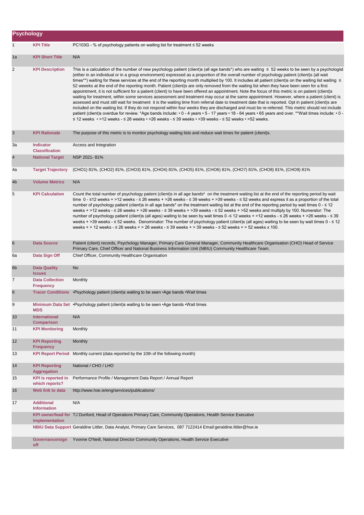| <b>Psychology</b> |                                             |                                                                                                                                                                                                                                                                                                                                                                                                                                                                                                                                                                                                                                                                                                                                                                                                                                                                                                                                                                                                                                                                                                                                                                                                                                                                                                                                                                                                                                                                                                             |
|-------------------|---------------------------------------------|-------------------------------------------------------------------------------------------------------------------------------------------------------------------------------------------------------------------------------------------------------------------------------------------------------------------------------------------------------------------------------------------------------------------------------------------------------------------------------------------------------------------------------------------------------------------------------------------------------------------------------------------------------------------------------------------------------------------------------------------------------------------------------------------------------------------------------------------------------------------------------------------------------------------------------------------------------------------------------------------------------------------------------------------------------------------------------------------------------------------------------------------------------------------------------------------------------------------------------------------------------------------------------------------------------------------------------------------------------------------------------------------------------------------------------------------------------------------------------------------------------------|
| $\mathbf{1}$      | <b>KPI Title</b>                            | PC103G - % of psychology patients on waiting list for treatment ≤ 52 weeks                                                                                                                                                                                                                                                                                                                                                                                                                                                                                                                                                                                                                                                                                                                                                                                                                                                                                                                                                                                                                                                                                                                                                                                                                                                                                                                                                                                                                                  |
| 1a                | <b>KPI Short Title</b>                      | N/A                                                                                                                                                                                                                                                                                                                                                                                                                                                                                                                                                                                                                                                                                                                                                                                                                                                                                                                                                                                                                                                                                                                                                                                                                                                                                                                                                                                                                                                                                                         |
| $\overline{2}$    | <b>KPI Description</b>                      | This is a calculation of the number of new psychology patient (client)s (all age bands*) who are waiting $\leq 52$ weeks to be seen by a psychologist<br>(either in an individual or in a group environment) expressed as a proportion of the overall number of psychology patient (client)s (all wait<br>times**) waiting for these services at the end of the reporting month multiplied by 100. It includes all patient (client)s on the waiting list waiting ≤<br>52 weeeks at the end of the reporting month. Patient (client)s are only removed from the waiting list when they have been seen for a first<br>appointment, it is not sufficient for a patient (client) to have been offered an appointment. Note the focus of this metric is on patient (client)s<br>waiting for treatment, within some services assessment and treatment may occur at the same appointment. However, where a patient (client) is<br>assessed and must still wait for treatment it is the waiting time from referral date to treatment date that is reported. Opt in patient (client)s are<br>included on the waiting list. If they do not respond within four weeks they are discharged and must be re-referred. This metric should not include<br>patient (client)s overdue for review. *Age bands include: • 0 - 4 years • 5 - 17 years • 18 - 64 years • 65 years and over. **Wait times include: • 0 -<br>≤ 12 weeks • > 12 weeks - ≤ 26 weeks • > 26 weeks - ≤ 39 weeks • > 39 weeks - ≤ 52 weeks • > 52 weeks. |
| 3                 | <b>KPI Rationale</b>                        | The purpose of this metric is to monitor psychology waiting lists and reduce wait times for patient (client)s.                                                                                                                                                                                                                                                                                                                                                                                                                                                                                                                                                                                                                                                                                                                                                                                                                                                                                                                                                                                                                                                                                                                                                                                                                                                                                                                                                                                              |
| 3a                | <b>Indicator</b><br><b>Classification</b>   | Access and Integration                                                                                                                                                                                                                                                                                                                                                                                                                                                                                                                                                                                                                                                                                                                                                                                                                                                                                                                                                                                                                                                                                                                                                                                                                                                                                                                                                                                                                                                                                      |
| $\overline{4}$    | <b>National Target</b>                      | NSP 2021-81%                                                                                                                                                                                                                                                                                                                                                                                                                                                                                                                                                                                                                                                                                                                                                                                                                                                                                                                                                                                                                                                                                                                                                                                                                                                                                                                                                                                                                                                                                                |
| 4a                | <b>Target Trajectory</b>                    | (CHO1) 81%, (CHO2) 81%, (CHO3) 81%, (CHO4) 81%, (CHO5) 81%, (CHO6) 81%, (CHO7) 81%, (CHO8) 81%, (CHO9) 81%                                                                                                                                                                                                                                                                                                                                                                                                                                                                                                                                                                                                                                                                                                                                                                                                                                                                                                                                                                                                                                                                                                                                                                                                                                                                                                                                                                                                  |
| 4 <sub>b</sub>    | <b>Volume Metrics</b>                       | N/A                                                                                                                                                                                                                                                                                                                                                                                                                                                                                                                                                                                                                                                                                                                                                                                                                                                                                                                                                                                                                                                                                                                                                                                                                                                                                                                                                                                                                                                                                                         |
| 5                 | <b>KPI Calculation</b>                      | Count the total number of psychology patient (client)s in all age bands* on the treatment waiting list at the end of the reporting period by wait<br>time $0 - 12$ weeks + >12 weeks - $\leq 26$ weeks + >26 weeks - $\leq 39$ weeks + >39 weeks - $\leq 52$ weeks and express it as a proportion of the total<br>number of psychology patient (client)s in all age bands <sup>*</sup> on the treatment waiting list at the end of the reporting period by wait times 0 - ≤ 12<br>weeks + >12 weeks - ≤ 26 weeks + >26 weeks - ≤ 39 weeks + >39 weeks - ≤ 52 weeks + >52 weeks and multiply by 100. Numerator: The<br>number of psychology patient (client)s (all ages) waiting to be seen by wait times 0 -≤ 12 weeks + >12 weeks - ≤ 26 weeks + >26 weeks - ≤ 39<br>weeks + >39 weeks - ≤ 52 weeks. Denominator: The number of psychology patient (client)s (all ages) waiting to be seen by wait times 0 - ≤ 12<br>weeks + > 12 weeks - $\leq$ 26 weeks + > 26 weeks - $\leq$ 39 weeks + > 39 weeks - $\leq$ 52 weeks + > 52 weeks x 100.                                                                                                                                                                                                                                                                                                                                                                                                                                                                |
| 6                 | <b>Data Source</b>                          | Patient (client) records, Psychology Manager, Primary Care General Manager, Community Healthcare Organisation (CHO) Head of Service<br>Primary Care, Chief Officer and National Business Information Unit (NBIU) Community Healthcare Team.                                                                                                                                                                                                                                                                                                                                                                                                                                                                                                                                                                                                                                                                                                                                                                                                                                                                                                                                                                                                                                                                                                                                                                                                                                                                 |
| 6a                | Data Sign Off                               | Chief Officer, Community Healthcare Organisation                                                                                                                                                                                                                                                                                                                                                                                                                                                                                                                                                                                                                                                                                                                                                                                                                                                                                                                                                                                                                                                                                                                                                                                                                                                                                                                                                                                                                                                            |
| 6 <sub>b</sub>    | <b>Data Quality</b><br><b>Issues</b>        | No                                                                                                                                                                                                                                                                                                                                                                                                                                                                                                                                                                                                                                                                                                                                                                                                                                                                                                                                                                                                                                                                                                                                                                                                                                                                                                                                                                                                                                                                                                          |
| $\overline{7}$    | <b>Data Collection</b><br><b>Frequency</b>  | Monthly                                                                                                                                                                                                                                                                                                                                                                                                                                                                                                                                                                                                                                                                                                                                                                                                                                                                                                                                                                                                                                                                                                                                                                                                                                                                                                                                                                                                                                                                                                     |
| 8                 |                                             | Tracer Conditions • Psychology patient (client)s waiting to be seen • Age bands • Wait times                                                                                                                                                                                                                                                                                                                                                                                                                                                                                                                                                                                                                                                                                                                                                                                                                                                                                                                                                                                                                                                                                                                                                                                                                                                                                                                                                                                                                |
| y                 | <b>MDS</b>                                  | Minimum Data Set · Psychology patient (client)s waiting to be seen · Age bands · Wait times                                                                                                                                                                                                                                                                                                                                                                                                                                                                                                                                                                                                                                                                                                                                                                                                                                                                                                                                                                                                                                                                                                                                                                                                                                                                                                                                                                                                                 |
| 10                | International<br><b>Comparison</b>          | N/A                                                                                                                                                                                                                                                                                                                                                                                                                                                                                                                                                                                                                                                                                                                                                                                                                                                                                                                                                                                                                                                                                                                                                                                                                                                                                                                                                                                                                                                                                                         |
| 11                | <b>KPI Monitoring</b>                       | Monthly                                                                                                                                                                                                                                                                                                                                                                                                                                                                                                                                                                                                                                                                                                                                                                                                                                                                                                                                                                                                                                                                                                                                                                                                                                                                                                                                                                                                                                                                                                     |
| 12                | <b>KPI Reporting</b><br><b>Frequency</b>    | Monthly                                                                                                                                                                                                                                                                                                                                                                                                                                                                                                                                                                                                                                                                                                                                                                                                                                                                                                                                                                                                                                                                                                                                                                                                                                                                                                                                                                                                                                                                                                     |
| 13                |                                             | KPI Report Period Monthly current (data reported by the 10th of the following month)                                                                                                                                                                                                                                                                                                                                                                                                                                                                                                                                                                                                                                                                                                                                                                                                                                                                                                                                                                                                                                                                                                                                                                                                                                                                                                                                                                                                                        |
| 14                | <b>KPI Reporting</b><br><b>Aggregation</b>  | National / CHO / LHO                                                                                                                                                                                                                                                                                                                                                                                                                                                                                                                                                                                                                                                                                                                                                                                                                                                                                                                                                                                                                                                                                                                                                                                                                                                                                                                                                                                                                                                                                        |
| 15                | <b>KPI</b> is reported in<br>which reports? | Performance Profile / Management Data Report / Annual Report                                                                                                                                                                                                                                                                                                                                                                                                                                                                                                                                                                                                                                                                                                                                                                                                                                                                                                                                                                                                                                                                                                                                                                                                                                                                                                                                                                                                                                                |
| 16                | Web link to data                            | http://www.hse.ie/eng/services/publications/                                                                                                                                                                                                                                                                                                                                                                                                                                                                                                                                                                                                                                                                                                                                                                                                                                                                                                                                                                                                                                                                                                                                                                                                                                                                                                                                                                                                                                                                |
| 17                | <b>Additional</b><br><b>Information</b>     | N/A                                                                                                                                                                                                                                                                                                                                                                                                                                                                                                                                                                                                                                                                                                                                                                                                                                                                                                                                                                                                                                                                                                                                                                                                                                                                                                                                                                                                                                                                                                         |
|                   | implementation                              | KPI owner/lead for TJ Dunford, Head of Operations Primary Care, Community Operations, Health Service Executive                                                                                                                                                                                                                                                                                                                                                                                                                                                                                                                                                                                                                                                                                                                                                                                                                                                                                                                                                                                                                                                                                                                                                                                                                                                                                                                                                                                              |
|                   |                                             | NBIU Data Support Geraldine Littler, Data Analyst, Primary Care Services, 087 7122414 Email:geraldine.littler@hse.ie                                                                                                                                                                                                                                                                                                                                                                                                                                                                                                                                                                                                                                                                                                                                                                                                                                                                                                                                                                                                                                                                                                                                                                                                                                                                                                                                                                                        |
|                   | Governance/sign<br>off                      | Yvonne O'Neill, National Director Community Operations, Health Service Executive                                                                                                                                                                                                                                                                                                                                                                                                                                                                                                                                                                                                                                                                                                                                                                                                                                                                                                                                                                                                                                                                                                                                                                                                                                                                                                                                                                                                                            |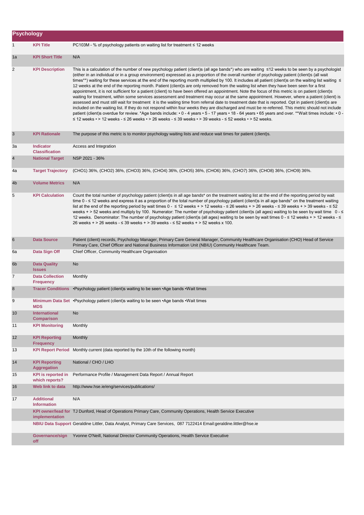| <b>Psychology</b> |                                             |                                                                                                                                                                                                                                                                                                                                                                                                                                                                                                                                                                                                                                                                                                                                                                                                                                                                                                                                                                                                                                                                                                                                                                                                                                                                                                                                                                                                                                                                                                                          |
|-------------------|---------------------------------------------|--------------------------------------------------------------------------------------------------------------------------------------------------------------------------------------------------------------------------------------------------------------------------------------------------------------------------------------------------------------------------------------------------------------------------------------------------------------------------------------------------------------------------------------------------------------------------------------------------------------------------------------------------------------------------------------------------------------------------------------------------------------------------------------------------------------------------------------------------------------------------------------------------------------------------------------------------------------------------------------------------------------------------------------------------------------------------------------------------------------------------------------------------------------------------------------------------------------------------------------------------------------------------------------------------------------------------------------------------------------------------------------------------------------------------------------------------------------------------------------------------------------------------|
| $\mathbf{1}$      | <b>KPI Title</b>                            | PC103M - % of psychology patients on waiting list for treatment $\leq$ 12 weeks                                                                                                                                                                                                                                                                                                                                                                                                                                                                                                                                                                                                                                                                                                                                                                                                                                                                                                                                                                                                                                                                                                                                                                                                                                                                                                                                                                                                                                          |
| 1a                | <b>KPI Short Title</b>                      | N/A                                                                                                                                                                                                                                                                                                                                                                                                                                                                                                                                                                                                                                                                                                                                                                                                                                                                                                                                                                                                                                                                                                                                                                                                                                                                                                                                                                                                                                                                                                                      |
| $\overline{2}$    | <b>KPI Description</b>                      | This is a calculation of the number of new psychology patient (client)s (all age bands*) who are waiting ≤12 weeks to be seen by a psychologist<br>(either in an individual or in a group environment) expressed as a proportion of the overall number of psychology patient (client)s (all wait<br>times**) waiting for these services at the end of the reporting month multiplied by 100. It includes all patient (client)s on the waiting list waiting ≤<br>12 weeks at the end of the reporting month. Patient (client)s are only removed from the waiting list when they have been seen for a first<br>appointment, it is not sufficient for a patient (client) to have been offered an appointment. Note the focus of this metric is on patient (client)s<br>waiting for treatment, within some services assessment and treatment may occur at the same appointment. However, where a patient (client) is<br>assessed and must still wait for treatment it is the waiting time from referral date to treatment date that is reported. Opt in patient (client)s are<br>included on the waiting list. If they do not respond within four weeks they are discharged and must be re-referred. This metric should not include<br>patient (client)s overdue for review. *Age bands include: • 0 - 4 years • 5 - 17 years • 18 - 64 years • 65 years and over. **Wait times include: • 0 -<br>$\leq$ 12 weeks • > 12 weeks - $\leq$ 26 weeks • > 26 weeks - $\leq$ 39 weeks • > 39 weeks - $\leq$ 52 weeks • > 52 weeks. |
| $\mathbf{3}$      | <b>KPI Rationale</b>                        | The purpose of this metric is to monitor psychology waiting lists and reduce wait times for patient (client)s.                                                                                                                                                                                                                                                                                                                                                                                                                                                                                                                                                                                                                                                                                                                                                                                                                                                                                                                                                                                                                                                                                                                                                                                                                                                                                                                                                                                                           |
| За                | <b>Indicator</b><br><b>Classification</b>   | Access and Integration                                                                                                                                                                                                                                                                                                                                                                                                                                                                                                                                                                                                                                                                                                                                                                                                                                                                                                                                                                                                                                                                                                                                                                                                                                                                                                                                                                                                                                                                                                   |
| $\overline{4}$    | <b>National Target</b>                      | NSP 2021 - 36%                                                                                                                                                                                                                                                                                                                                                                                                                                                                                                                                                                                                                                                                                                                                                                                                                                                                                                                                                                                                                                                                                                                                                                                                                                                                                                                                                                                                                                                                                                           |
| 4a                | <b>Target Trajectory</b>                    | (CHO1) 36%, (CHO2) 36%, (CHO3) 36%, (CHO4) 36%, (CHO5) 36%, (CHO6) 36%, (CHO7) 36%, (CHO8) 36%, (CHO9) 36%.                                                                                                                                                                                                                                                                                                                                                                                                                                                                                                                                                                                                                                                                                                                                                                                                                                                                                                                                                                                                                                                                                                                                                                                                                                                                                                                                                                                                              |
| 4 <sub>b</sub>    | <b>Volume Metrics</b>                       | N/A                                                                                                                                                                                                                                                                                                                                                                                                                                                                                                                                                                                                                                                                                                                                                                                                                                                                                                                                                                                                                                                                                                                                                                                                                                                                                                                                                                                                                                                                                                                      |
| 5                 | <b>KPI Calculation</b>                      | Count the total number of psychology patient (client)s in all age bands* on the treatment waiting list at the end of the reporting period by wait<br>time 0 - ≤ 12 weeks and express it as a proportion of the total number of psychology patient (client)s in all age bands* on the treatment waiting<br>list at the end of the reporting period by wait times $0 - 12$ weeks + > 12 weeks - $\leq 26$ weeks + > 26 weeks - $\leq 39$ weeks + > 39 weeks - $\leq 52$<br>weeks + > 52 weeks and multiply by 100. Numerator: The number of psychology patient (client)s (all ages) waiting to be seen by wait time 0 - ≤<br>12 weeks. Denominator: The number of psychology patient (client)s (all ages) waiting to be seen by wait times 0 - ≤ 12 weeks + > 12 weeks - ≤<br>26 weeks + > 26 weeks - $\leq$ 39 weeks + > 39 weeks - $\leq$ 52 weeks + > 52 weeks x 100.                                                                                                                                                                                                                                                                                                                                                                                                                                                                                                                                                                                                                                                   |
| 6                 | <b>Data Source</b>                          | Patient (client) records, Psychology Manager, Primary Care General Manager, Community Healthcare Organisation (CHO) Head of Service<br>Primary Care, Chief Officer and National Business Information Unit (NBIU) Community Healthcare Team.                                                                                                                                                                                                                                                                                                                                                                                                                                                                                                                                                                                                                                                                                                                                                                                                                                                                                                                                                                                                                                                                                                                                                                                                                                                                              |
| 6а                | Data Sign Off                               | Chief Officer, Community Healthcare Organisation                                                                                                                                                                                                                                                                                                                                                                                                                                                                                                                                                                                                                                                                                                                                                                                                                                                                                                                                                                                                                                                                                                                                                                                                                                                                                                                                                                                                                                                                         |
| 6 <sub>b</sub>    | <b>Data Quality</b><br><b>Issues</b>        | No                                                                                                                                                                                                                                                                                                                                                                                                                                                                                                                                                                                                                                                                                                                                                                                                                                                                                                                                                                                                                                                                                                                                                                                                                                                                                                                                                                                                                                                                                                                       |
| 7                 | <b>Data Collection</b><br><b>Frequency</b>  | Monthly                                                                                                                                                                                                                                                                                                                                                                                                                                                                                                                                                                                                                                                                                                                                                                                                                                                                                                                                                                                                                                                                                                                                                                                                                                                                                                                                                                                                                                                                                                                  |
| 8                 | <b>Tracer Conditions</b>                    | •Psychology patient (client)s waiting to be seen •Age bands •Wait times                                                                                                                                                                                                                                                                                                                                                                                                                                                                                                                                                                                                                                                                                                                                                                                                                                                                                                                                                                                                                                                                                                                                                                                                                                                                                                                                                                                                                                                  |
| 9                 | <b>MDS</b>                                  | Minimum Data Set • Psychology patient (client)s waiting to be seen • Age bands • Wait times                                                                                                                                                                                                                                                                                                                                                                                                                                                                                                                                                                                                                                                                                                                                                                                                                                                                                                                                                                                                                                                                                                                                                                                                                                                                                                                                                                                                                              |
| 10                | <b>International</b><br><b>Comparison</b>   | No                                                                                                                                                                                                                                                                                                                                                                                                                                                                                                                                                                                                                                                                                                                                                                                                                                                                                                                                                                                                                                                                                                                                                                                                                                                                                                                                                                                                                                                                                                                       |
| 11                | <b>KPI Monitoring</b>                       | Monthly                                                                                                                                                                                                                                                                                                                                                                                                                                                                                                                                                                                                                                                                                                                                                                                                                                                                                                                                                                                                                                                                                                                                                                                                                                                                                                                                                                                                                                                                                                                  |
| 12                | <b>KPI Reporting</b><br><b>Frequency</b>    | Monthly                                                                                                                                                                                                                                                                                                                                                                                                                                                                                                                                                                                                                                                                                                                                                                                                                                                                                                                                                                                                                                                                                                                                                                                                                                                                                                                                                                                                                                                                                                                  |
| 13                | <b>KPI Report Period</b>                    | Monthly current (data reported by the 10th of the following month)                                                                                                                                                                                                                                                                                                                                                                                                                                                                                                                                                                                                                                                                                                                                                                                                                                                                                                                                                                                                                                                                                                                                                                                                                                                                                                                                                                                                                                                       |
| 14                | <b>KPI Reporting</b><br><b>Aggregation</b>  | National / CHO / LHO                                                                                                                                                                                                                                                                                                                                                                                                                                                                                                                                                                                                                                                                                                                                                                                                                                                                                                                                                                                                                                                                                                                                                                                                                                                                                                                                                                                                                                                                                                     |
| 15                | <b>KPI</b> is reported in<br>which reports? | Performance Profile / Management Data Report / Annual Report                                                                                                                                                                                                                                                                                                                                                                                                                                                                                                                                                                                                                                                                                                                                                                                                                                                                                                                                                                                                                                                                                                                                                                                                                                                                                                                                                                                                                                                             |
| 16                | Web link to data                            | http://www.hse.ie/eng/services/publications/                                                                                                                                                                                                                                                                                                                                                                                                                                                                                                                                                                                                                                                                                                                                                                                                                                                                                                                                                                                                                                                                                                                                                                                                                                                                                                                                                                                                                                                                             |
| 17                | <b>Additional</b><br><b>Information</b>     | N/A                                                                                                                                                                                                                                                                                                                                                                                                                                                                                                                                                                                                                                                                                                                                                                                                                                                                                                                                                                                                                                                                                                                                                                                                                                                                                                                                                                                                                                                                                                                      |
|                   | implementation                              | KPI owner/lead for TJ Dunford, Head of Operations Primary Care, Community Operations, Health Service Executive                                                                                                                                                                                                                                                                                                                                                                                                                                                                                                                                                                                                                                                                                                                                                                                                                                                                                                                                                                                                                                                                                                                                                                                                                                                                                                                                                                                                           |
|                   |                                             | NBIU Data Support Geraldine Littler, Data Analyst, Primary Care Services, 087 7122414 Email:geraldine.littler@hse.ie                                                                                                                                                                                                                                                                                                                                                                                                                                                                                                                                                                                                                                                                                                                                                                                                                                                                                                                                                                                                                                                                                                                                                                                                                                                                                                                                                                                                     |
|                   | Governance/sign<br>off                      | Yvonne O'Neill, National Director Community Operations, Health Service Executive                                                                                                                                                                                                                                                                                                                                                                                                                                                                                                                                                                                                                                                                                                                                                                                                                                                                                                                                                                                                                                                                                                                                                                                                                                                                                                                                                                                                                                         |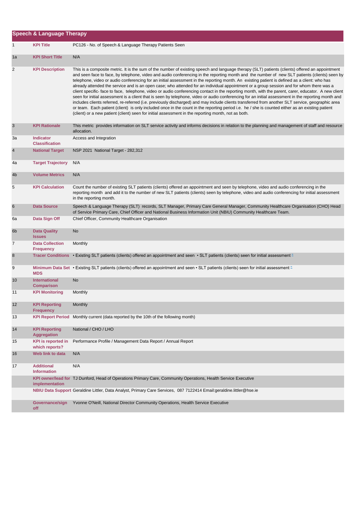|                | <b>Speech &amp; Language Therapy</b>        |                                                                                                                                                                                                                                                                                                                                                                                                                                                                                                                                                                                                                                                                                                                                                                                                                                                                                                                                                                                                                                                                                                                                                                                                                                                                                                                             |
|----------------|---------------------------------------------|-----------------------------------------------------------------------------------------------------------------------------------------------------------------------------------------------------------------------------------------------------------------------------------------------------------------------------------------------------------------------------------------------------------------------------------------------------------------------------------------------------------------------------------------------------------------------------------------------------------------------------------------------------------------------------------------------------------------------------------------------------------------------------------------------------------------------------------------------------------------------------------------------------------------------------------------------------------------------------------------------------------------------------------------------------------------------------------------------------------------------------------------------------------------------------------------------------------------------------------------------------------------------------------------------------------------------------|
| 1              | <b>KPI Title</b>                            | PC126 - No. of Speech & Language Therapy Patients Seen                                                                                                                                                                                                                                                                                                                                                                                                                                                                                                                                                                                                                                                                                                                                                                                                                                                                                                                                                                                                                                                                                                                                                                                                                                                                      |
| 1a             | <b>KPI Short Title</b>                      | N/A                                                                                                                                                                                                                                                                                                                                                                                                                                                                                                                                                                                                                                                                                                                                                                                                                                                                                                                                                                                                                                                                                                                                                                                                                                                                                                                         |
| 2              | <b>KPI Description</b>                      | This is a composite metric. It is the sum of the number of existing speech and language therapy (SLT) patients (clients) offered an appointment<br>and seen face to face, by telephone, video and audio conferencing in the reporting month and the number of new SLT patients (clients) seen by<br>telephone, video or audio conferencing for an initial assessment in the reporting month. An existing patient is defined as a client: who has<br>already attended the service and is an open case; who attended for an individual appointment or a group session and for whom there was a<br>client specific- face to face, telephone, video or audio conferencing contact in the reporting month, with the parent, carer, educator. A new client<br>seen for initial assessment is a client that is seen by telephone, video or audio conferencing for an initial assessment in the reporting month and<br>includes clients referred, re-referred (i.e. previously discharged) and may include clients transferred from another SLT service, geographic area<br>or team. Each patient (client) is only included once in the count in the reporting period i.e. he / she is counted either as an existing patient<br>(client) or a new patient (client) seen for initial assessment in the reporting month, not as both. |
| $\sqrt{3}$     | <b>KPI Rationale</b>                        | This metric provides information on SLT service activity and informs decisions in relation to the planning and management of staff and resource<br>allocation.                                                                                                                                                                                                                                                                                                                                                                                                                                                                                                                                                                                                                                                                                                                                                                                                                                                                                                                                                                                                                                                                                                                                                              |
| За             | <b>Indicator</b><br><b>Classification</b>   | Access and Integration                                                                                                                                                                                                                                                                                                                                                                                                                                                                                                                                                                                                                                                                                                                                                                                                                                                                                                                                                                                                                                                                                                                                                                                                                                                                                                      |
| $\overline{4}$ | <b>National Target</b>                      | NSP 2021 National Target - 282,312                                                                                                                                                                                                                                                                                                                                                                                                                                                                                                                                                                                                                                                                                                                                                                                                                                                                                                                                                                                                                                                                                                                                                                                                                                                                                          |
| 4a             | <b>Target Trajectory</b>                    | N/A                                                                                                                                                                                                                                                                                                                                                                                                                                                                                                                                                                                                                                                                                                                                                                                                                                                                                                                                                                                                                                                                                                                                                                                                                                                                                                                         |
| 4 <sub>b</sub> | <b>Volume Metrics</b>                       | N/A                                                                                                                                                                                                                                                                                                                                                                                                                                                                                                                                                                                                                                                                                                                                                                                                                                                                                                                                                                                                                                                                                                                                                                                                                                                                                                                         |
| 5              | <b>KPI Calculation</b>                      | Count the number of existing SLT patients (clients) offered an appointment and seen by telephone, video and audio conferencing in the<br>reporting month and add it to the number of new SLT patients (clients) seen by telephone, video and audio conferencing for initial assessment<br>in the reporting month.                                                                                                                                                                                                                                                                                                                                                                                                                                                                                                                                                                                                                                                                                                                                                                                                                                                                                                                                                                                                           |
| 6              | <b>Data Source</b>                          | Speech & Language Therapy (SLT) records, SLT Manager, Primary Care General Manager, Community Healthcare Organisation (CHO) Head<br>of Service Primary Care, Chief Officer and National Business Information Unit (NBIU) Community Healthcare Team.                                                                                                                                                                                                                                                                                                                                                                                                                                                                                                                                                                                                                                                                                                                                                                                                                                                                                                                                                                                                                                                                         |
| 6а             | Data Sign Off                               | Chief Officer, Community Healthcare Organisation                                                                                                                                                                                                                                                                                                                                                                                                                                                                                                                                                                                                                                                                                                                                                                                                                                                                                                                                                                                                                                                                                                                                                                                                                                                                            |
| 6 <sub>b</sub> | <b>Data Quality</b><br><b>Issues</b>        | <b>No</b>                                                                                                                                                                                                                                                                                                                                                                                                                                                                                                                                                                                                                                                                                                                                                                                                                                                                                                                                                                                                                                                                                                                                                                                                                                                                                                                   |
| 7              | <b>Data Collection</b><br><b>Frequency</b>  | Monthly                                                                                                                                                                                                                                                                                                                                                                                                                                                                                                                                                                                                                                                                                                                                                                                                                                                                                                                                                                                                                                                                                                                                                                                                                                                                                                                     |
| 8              |                                             | Tracer Conditions • Existing SLT patients (clients) offered an appointment and seen • SLT patients (clients) seen for initial assessment "                                                                                                                                                                                                                                                                                                                                                                                                                                                                                                                                                                                                                                                                                                                                                                                                                                                                                                                                                                                                                                                                                                                                                                                  |
| 9              | <b>MDS</b>                                  | Minimum Data Set · Existing SLT patients (clients) offered an appointment and seen · SLT patients (clients) seen for initial assessment "                                                                                                                                                                                                                                                                                                                                                                                                                                                                                                                                                                                                                                                                                                                                                                                                                                                                                                                                                                                                                                                                                                                                                                                   |
| 10             | <b>International</b><br><b>Comparison</b>   | No                                                                                                                                                                                                                                                                                                                                                                                                                                                                                                                                                                                                                                                                                                                                                                                                                                                                                                                                                                                                                                                                                                                                                                                                                                                                                                                          |
| 11             | <b>KPI Monitoring</b>                       | Monthly                                                                                                                                                                                                                                                                                                                                                                                                                                                                                                                                                                                                                                                                                                                                                                                                                                                                                                                                                                                                                                                                                                                                                                                                                                                                                                                     |
| 12             | <b>KPI Reporting</b><br><b>Frequency</b>    | Monthly                                                                                                                                                                                                                                                                                                                                                                                                                                                                                                                                                                                                                                                                                                                                                                                                                                                                                                                                                                                                                                                                                                                                                                                                                                                                                                                     |
| 13             |                                             | KPI Report Period Monthly current (data reported by the 10th of the following month)                                                                                                                                                                                                                                                                                                                                                                                                                                                                                                                                                                                                                                                                                                                                                                                                                                                                                                                                                                                                                                                                                                                                                                                                                                        |
| 14             | <b>KPI Reporting</b><br><b>Aggregation</b>  | National / CHO / LHO                                                                                                                                                                                                                                                                                                                                                                                                                                                                                                                                                                                                                                                                                                                                                                                                                                                                                                                                                                                                                                                                                                                                                                                                                                                                                                        |
| 15             | <b>KPI</b> is reported in<br>which reports? | Performance Profile / Management Data Report / Annual Report                                                                                                                                                                                                                                                                                                                                                                                                                                                                                                                                                                                                                                                                                                                                                                                                                                                                                                                                                                                                                                                                                                                                                                                                                                                                |
| 16             | Web link to data                            | N/A                                                                                                                                                                                                                                                                                                                                                                                                                                                                                                                                                                                                                                                                                                                                                                                                                                                                                                                                                                                                                                                                                                                                                                                                                                                                                                                         |
| 17             | <b>Additional</b><br><b>Information</b>     | N/A                                                                                                                                                                                                                                                                                                                                                                                                                                                                                                                                                                                                                                                                                                                                                                                                                                                                                                                                                                                                                                                                                                                                                                                                                                                                                                                         |
|                | implementation                              | KPI owner/lead for TJ Dunford, Head of Operations Primary Care, Community Operations, Health Service Executive                                                                                                                                                                                                                                                                                                                                                                                                                                                                                                                                                                                                                                                                                                                                                                                                                                                                                                                                                                                                                                                                                                                                                                                                              |
|                |                                             | NBIU Data Support Geraldine Littler, Data Analyst, Primary Care Services, 087 7122414 Email:geraldine.littler@hse.ie                                                                                                                                                                                                                                                                                                                                                                                                                                                                                                                                                                                                                                                                                                                                                                                                                                                                                                                                                                                                                                                                                                                                                                                                        |
|                | Governance/sign<br>off                      | Yvonne O'Neill, National Director Community Operations, Health Service Executive                                                                                                                                                                                                                                                                                                                                                                                                                                                                                                                                                                                                                                                                                                                                                                                                                                                                                                                                                                                                                                                                                                                                                                                                                                            |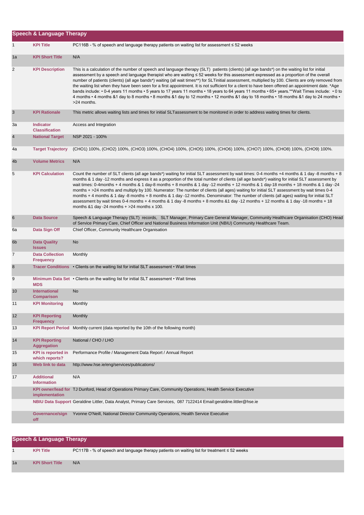|                | <b>Speech &amp; Language Therapy</b>        |                                                                                                                                                                                                                                                                                                                                                                                                                                                                                                                                                                                                                                                                                                                                                                                                                                                                                                                             |  |
|----------------|---------------------------------------------|-----------------------------------------------------------------------------------------------------------------------------------------------------------------------------------------------------------------------------------------------------------------------------------------------------------------------------------------------------------------------------------------------------------------------------------------------------------------------------------------------------------------------------------------------------------------------------------------------------------------------------------------------------------------------------------------------------------------------------------------------------------------------------------------------------------------------------------------------------------------------------------------------------------------------------|--|
| $\mathbf{1}$   | <b>KPI Title</b>                            | PC116B - % of speech and language therapy patients on waiting list for assessment ≤ 52 weeks                                                                                                                                                                                                                                                                                                                                                                                                                                                                                                                                                                                                                                                                                                                                                                                                                                |  |
| 1a             | <b>KPI Short Title</b>                      | N/A                                                                                                                                                                                                                                                                                                                                                                                                                                                                                                                                                                                                                                                                                                                                                                                                                                                                                                                         |  |
| 2              | <b>KPI Description</b>                      | This is a calculation of the number of speech and language therapy (SLT) patients (clients) (all age bands*) on the waiting list for initial<br>assessment by a speech and language therapist who are waiting ≤ 52 weeks for this assessment expressed as a proportion of the overall<br>number of patients (clients) (all age bands*) waiting (all wait times**) for SLTinitial assessment, multiplied by 100. Clients are only removed from<br>the waiting list when they have been seen for a first appointment. It is not sufficient for a client to have been offered an appointment date. *Age<br>bands include: • 0-4 years 11 months • 5 years to 17 years 11 months • 18 years to 64 years 11 months • 65+ years.**Wait Times include: • 0 to<br>4 months • 4 months &1 day to 8 months • 8 months &1 day to 12 months • 12 months &1 day to 18 months • 18 months &1 day to 24 months •<br>>24 months.            |  |
| $\sqrt{3}$     | <b>KPI Rationale</b>                        | This metric allows waiting lists and times for initial SLTassessment to be monitored in order to address waiting times for clients.                                                                                                                                                                                                                                                                                                                                                                                                                                                                                                                                                                                                                                                                                                                                                                                         |  |
| За             | <b>Indicator</b><br><b>Classification</b>   | Access and Integration                                                                                                                                                                                                                                                                                                                                                                                                                                                                                                                                                                                                                                                                                                                                                                                                                                                                                                      |  |
| $\overline{4}$ | <b>National Target</b>                      | NSP 2021 - 100%                                                                                                                                                                                                                                                                                                                                                                                                                                                                                                                                                                                                                                                                                                                                                                                                                                                                                                             |  |
| 4a             | <b>Target Trajectory</b>                    | (CHO1) 100%, (CHO2) 100%, (CHO3) 100%, (CHO4) 100%, (CHO5) 100%, (CHO6) 100%, (CHO7) 100%, (CHO8) 100%, (CHO9) 100%.                                                                                                                                                                                                                                                                                                                                                                                                                                                                                                                                                                                                                                                                                                                                                                                                        |  |
| 4 <sub>b</sub> | <b>Volume Metrics</b>                       | N/A                                                                                                                                                                                                                                                                                                                                                                                                                                                                                                                                                                                                                                                                                                                                                                                                                                                                                                                         |  |
| 5              | <b>KPI Calculation</b>                      | Count the number of SLT clients (all age bands*) waiting for initial SLT assessment by wait times: 0-4 months +4 months & 1 day -8 months + 8<br>months & 1 day -12 months and express it as a proportion of the total number of clients (all age bands*) waiting for initial SLT assessment by<br>wait times: 0-4months + 4 months & 1 day-8 months + 8 months & 1 day -12 months + 12 months & 1 day-18 months + 18 months & 1 day -24<br>months + >24 months and multiply by 100. Numerator: The number of clients (all ages) waiting for initial SLT assessment by wait times 0-4<br>months + 4 months & 1 day -8 months + 8 months & 1 day -12 months. Denominator: The number of clients (all ages) waiting for initial SLT<br>assessment by wait times 0-4 months + 4 months & 1 day -8 months + 8 months &1 day -12 months + 12 months & 1 day -18 months + 18<br>months $& 1$ day -24 months $+$ >24 months x 100. |  |
| 6              | <b>Data Source</b>                          | Speech & Language Therapy (SLT) records, SLT Manager, Primary Care General Manager, Community Healthcare Organisation (CHO) Head<br>of Service Primary Care, Chief Officer and National Business Information Unit (NBIU) Community Healthcare Team.                                                                                                                                                                                                                                                                                                                                                                                                                                                                                                                                                                                                                                                                         |  |
| 6а             | Data Sign Off                               | Chief Officer, Community Healthcare Organisation                                                                                                                                                                                                                                                                                                                                                                                                                                                                                                                                                                                                                                                                                                                                                                                                                                                                            |  |
| 6 <sub>b</sub> | <b>Data Quality</b><br><b>Issues</b>        | No                                                                                                                                                                                                                                                                                                                                                                                                                                                                                                                                                                                                                                                                                                                                                                                                                                                                                                                          |  |
| 7              | <b>Data Collection</b><br><b>Frequency</b>  | Monthly                                                                                                                                                                                                                                                                                                                                                                                                                                                                                                                                                                                                                                                                                                                                                                                                                                                                                                                     |  |
| 8              |                                             | Tracer Conditions • Clients on the waiting list for initial SLT assessment • Wait times                                                                                                                                                                                                                                                                                                                                                                                                                                                                                                                                                                                                                                                                                                                                                                                                                                     |  |
| 9              | <b>MDS</b>                                  | Minimum Data Set • Clients on the waiting list for initial SLT assessment • Wait times                                                                                                                                                                                                                                                                                                                                                                                                                                                                                                                                                                                                                                                                                                                                                                                                                                      |  |
| 10             | International<br><b>Comparison</b>          | No                                                                                                                                                                                                                                                                                                                                                                                                                                                                                                                                                                                                                                                                                                                                                                                                                                                                                                                          |  |
| 11             | <b>KPI Monitoring</b>                       | Monthly                                                                                                                                                                                                                                                                                                                                                                                                                                                                                                                                                                                                                                                                                                                                                                                                                                                                                                                     |  |
| 12             | <b>KPI Reporting</b><br><b>Frequency</b>    | Monthly                                                                                                                                                                                                                                                                                                                                                                                                                                                                                                                                                                                                                                                                                                                                                                                                                                                                                                                     |  |
| 13             | <b>KPI Report Period</b>                    | Monthly current (data reported by the 10th of the following month)                                                                                                                                                                                                                                                                                                                                                                                                                                                                                                                                                                                                                                                                                                                                                                                                                                                          |  |
| 14             | <b>KPI Reporting</b><br><b>Aggregation</b>  | National / CHO / LHO                                                                                                                                                                                                                                                                                                                                                                                                                                                                                                                                                                                                                                                                                                                                                                                                                                                                                                        |  |
| 15             | <b>KPI</b> is reported in<br>which reports? | Performance Profile / Management Data Report / Annual Report                                                                                                                                                                                                                                                                                                                                                                                                                                                                                                                                                                                                                                                                                                                                                                                                                                                                |  |
| 16             | Web link to data                            | http://www.hse.ie/eng/services/publications/                                                                                                                                                                                                                                                                                                                                                                                                                                                                                                                                                                                                                                                                                                                                                                                                                                                                                |  |
| 17             | <b>Additional</b><br><b>Information</b>     | N/A                                                                                                                                                                                                                                                                                                                                                                                                                                                                                                                                                                                                                                                                                                                                                                                                                                                                                                                         |  |
|                | implementation                              | KPI owner/lead for TJ Dunford, Head of Operations Primary Care, Community Operations, Health Service Executive                                                                                                                                                                                                                                                                                                                                                                                                                                                                                                                                                                                                                                                                                                                                                                                                              |  |
|                |                                             | NBIU Data Support Geraldine Littler, Data Analyst, Primary Care Services, 087 7122414 Email:geraldine.littler@hse.ie                                                                                                                                                                                                                                                                                                                                                                                                                                                                                                                                                                                                                                                                                                                                                                                                        |  |
|                | Governance/sign<br>off                      | Yvonne O'Neill, National Director Community Operations, Health Service Executive                                                                                                                                                                                                                                                                                                                                                                                                                                                                                                                                                                                                                                                                                                                                                                                                                                            |  |

|    | <b>Speech &amp; Language Therapy</b> |                                                                                                  |  |
|----|--------------------------------------|--------------------------------------------------------------------------------------------------|--|
|    | <b>KPI Title</b>                     | PC117B - % of speech and language therapy patients on waiting list for treatment $\leq 52$ weeks |  |
| 1a | <b>KPI Short Title</b>               | N/A                                                                                              |  |